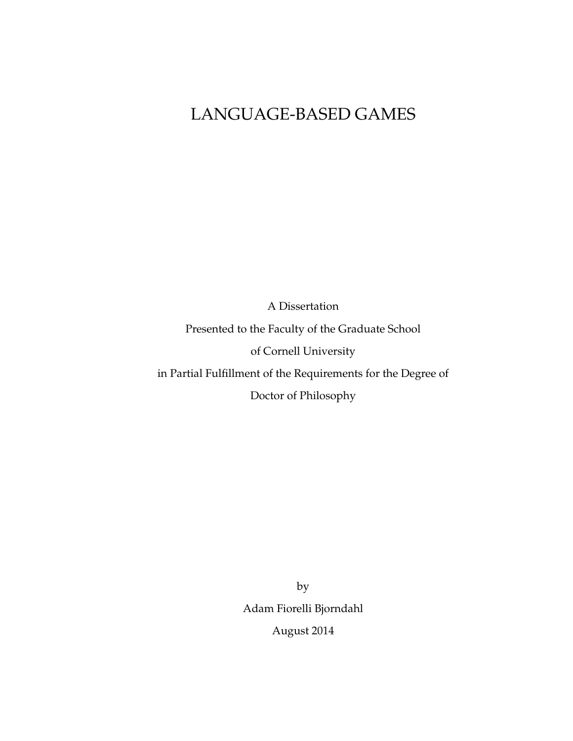# LANGUAGE-BASED GAMES

A Dissertation Presented to the Faculty of the Graduate School of Cornell University in Partial Fulfillment of the Requirements for the Degree of Doctor of Philosophy

> by Adam Fiorelli Bjorndahl August 2014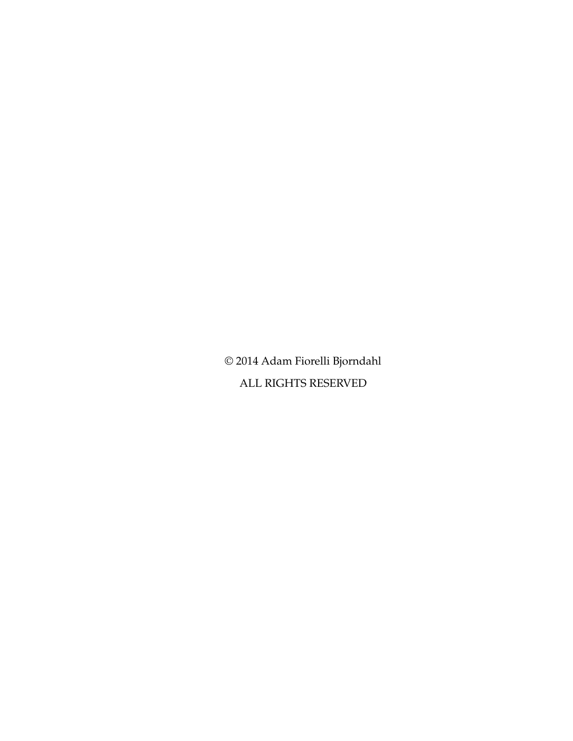© 2014 Adam Fiorelli Bjorndahl ALL RIGHTS RESERVED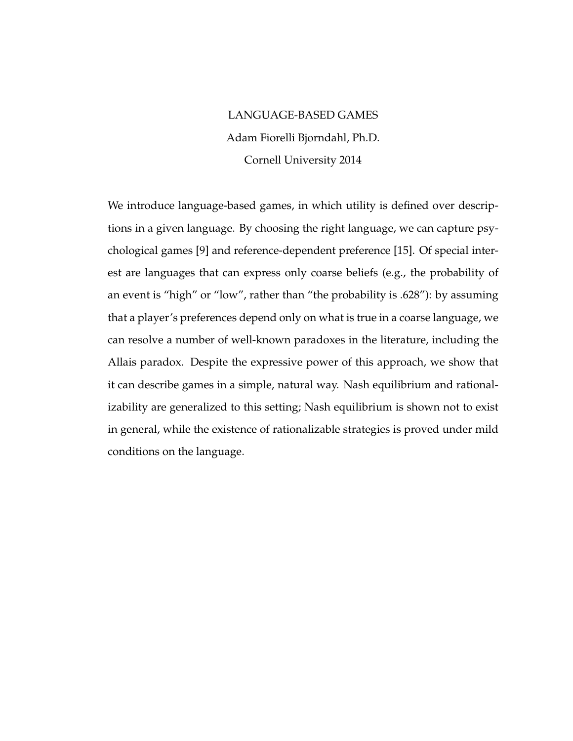## LANGUAGE-BASED GAMES Adam Fiorelli Bjorndahl, Ph.D. Cornell University 2014

We introduce language-based games, in which utility is defined over descriptions in a given language. By choosing the right language, we can capture psychological games [9] and reference-dependent preference [15]. Of special interest are languages that can express only coarse beliefs (e.g., the probability of an event is "high" or "low", rather than "the probability is .628"): by assuming that a player's preferences depend only on what is true in a coarse language, we can resolve a number of well-known paradoxes in the literature, including the Allais paradox. Despite the expressive power of this approach, we show that it can describe games in a simple, natural way. Nash equilibrium and rationalizability are generalized to this setting; Nash equilibrium is shown not to exist in general, while the existence of rationalizable strategies is proved under mild conditions on the language.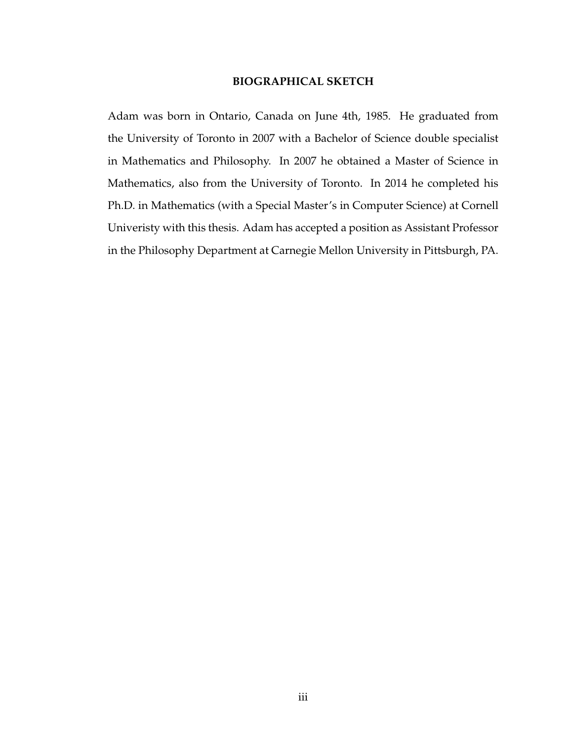#### **BIOGRAPHICAL SKETCH**

Adam was born in Ontario, Canada on June 4th, 1985. He graduated from the University of Toronto in 2007 with a Bachelor of Science double specialist in Mathematics and Philosophy. In 2007 he obtained a Master of Science in Mathematics, also from the University of Toronto. In 2014 he completed his Ph.D. in Mathematics (with a Special Master's in Computer Science) at Cornell Univeristy with this thesis. Adam has accepted a position as Assistant Professor in the Philosophy Department at Carnegie Mellon University in Pittsburgh, PA.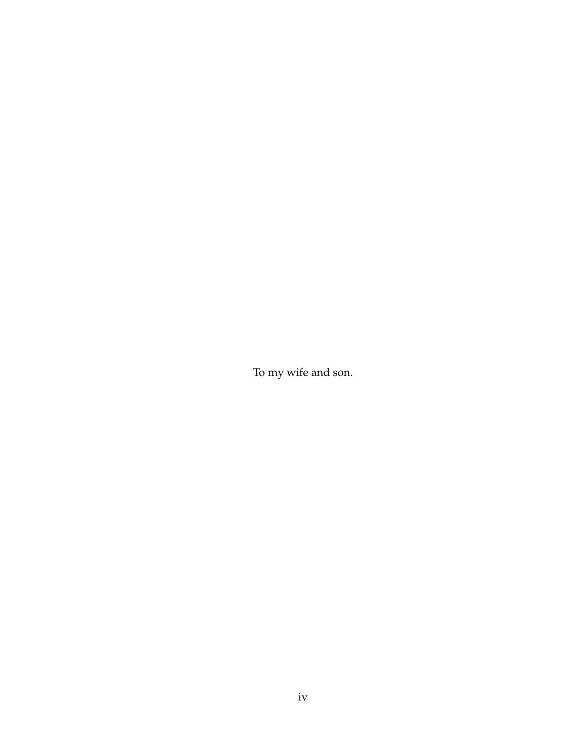To my wife and son.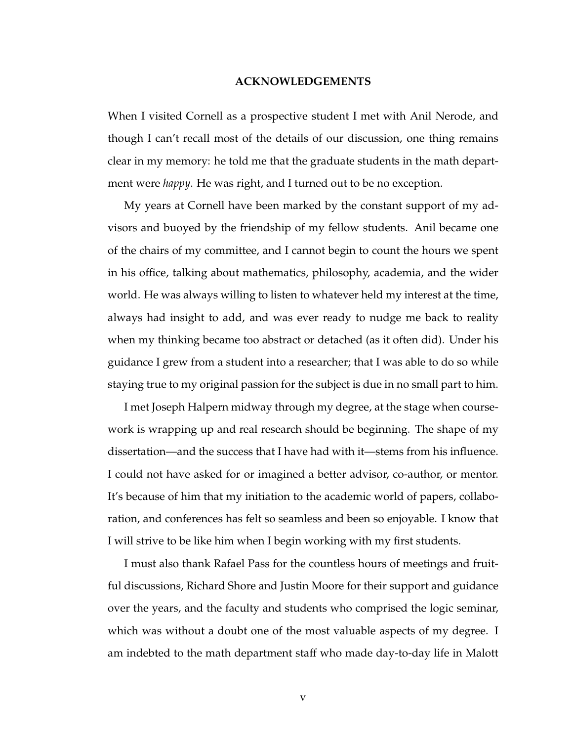#### **ACKNOWLEDGEMENTS**

When I visited Cornell as a prospective student I met with Anil Nerode, and though I can't recall most of the details of our discussion, one thing remains clear in my memory: he told me that the graduate students in the math department were *happy*. He was right, and I turned out to be no exception.

My years at Cornell have been marked by the constant support of my advisors and buoyed by the friendship of my fellow students. Anil became one of the chairs of my committee, and I cannot begin to count the hours we spent in his office, talking about mathematics, philosophy, academia, and the wider world. He was always willing to listen to whatever held my interest at the time, always had insight to add, and was ever ready to nudge me back to reality when my thinking became too abstract or detached (as it often did). Under his guidance I grew from a student into a researcher; that I was able to do so while staying true to my original passion for the subject is due in no small part to him.

I met Joseph Halpern midway through my degree, at the stage when coursework is wrapping up and real research should be beginning. The shape of my dissertation—and the success that I have had with it—stems from his influence. I could not have asked for or imagined a better advisor, co-author, or mentor. It's because of him that my initiation to the academic world of papers, collaboration, and conferences has felt so seamless and been so enjoyable. I know that I will strive to be like him when I begin working with my first students.

I must also thank Rafael Pass for the countless hours of meetings and fruitful discussions, Richard Shore and Justin Moore for their support and guidance over the years, and the faculty and students who comprised the logic seminar, which was without a doubt one of the most valuable aspects of my degree. I am indebted to the math department staff who made day-to-day life in Malott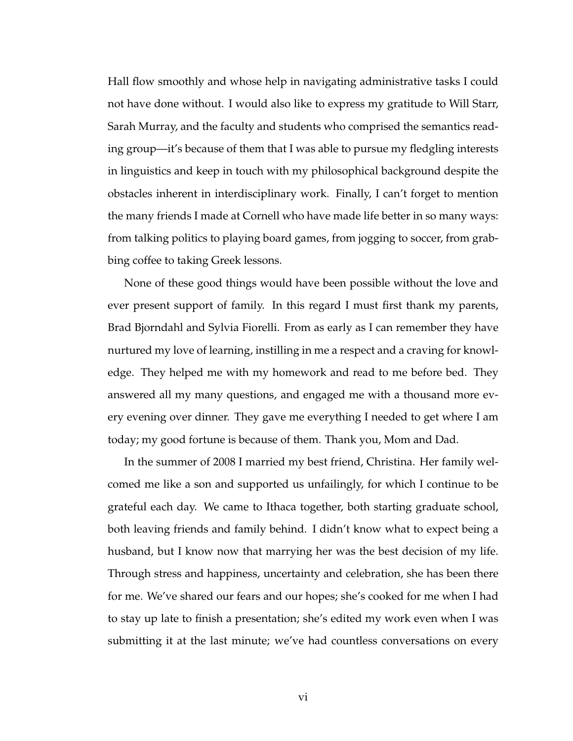Hall flow smoothly and whose help in navigating administrative tasks I could not have done without. I would also like to express my gratitude to Will Starr, Sarah Murray, and the faculty and students who comprised the semantics reading group—it's because of them that I was able to pursue my fledgling interests in linguistics and keep in touch with my philosophical background despite the obstacles inherent in interdisciplinary work. Finally, I can't forget to mention the many friends I made at Cornell who have made life better in so many ways: from talking politics to playing board games, from jogging to soccer, from grabbing coffee to taking Greek lessons.

None of these good things would have been possible without the love and ever present support of family. In this regard I must first thank my parents, Brad Bjorndahl and Sylvia Fiorelli. From as early as I can remember they have nurtured my love of learning, instilling in me a respect and a craving for knowledge. They helped me with my homework and read to me before bed. They answered all my many questions, and engaged me with a thousand more every evening over dinner. They gave me everything I needed to get where I am today; my good fortune is because of them. Thank you, Mom and Dad.

In the summer of 2008 I married my best friend, Christina. Her family welcomed me like a son and supported us unfailingly, for which I continue to be grateful each day. We came to Ithaca together, both starting graduate school, both leaving friends and family behind. I didn't know what to expect being a husband, but I know now that marrying her was the best decision of my life. Through stress and happiness, uncertainty and celebration, she has been there for me. We've shared our fears and our hopes; she's cooked for me when I had to stay up late to finish a presentation; she's edited my work even when I was submitting it at the last minute; we've had countless conversations on every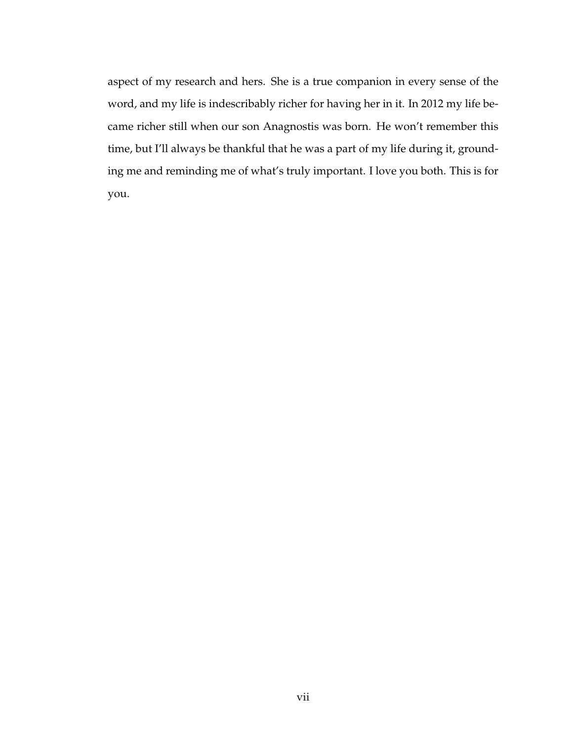aspect of my research and hers. She is a true companion in every sense of the word, and my life is indescribably richer for having her in it. In 2012 my life became richer still when our son Anagnostis was born. He won't remember this time, but I'll always be thankful that he was a part of my life during it, grounding me and reminding me of what's truly important. I love you both. This is for you.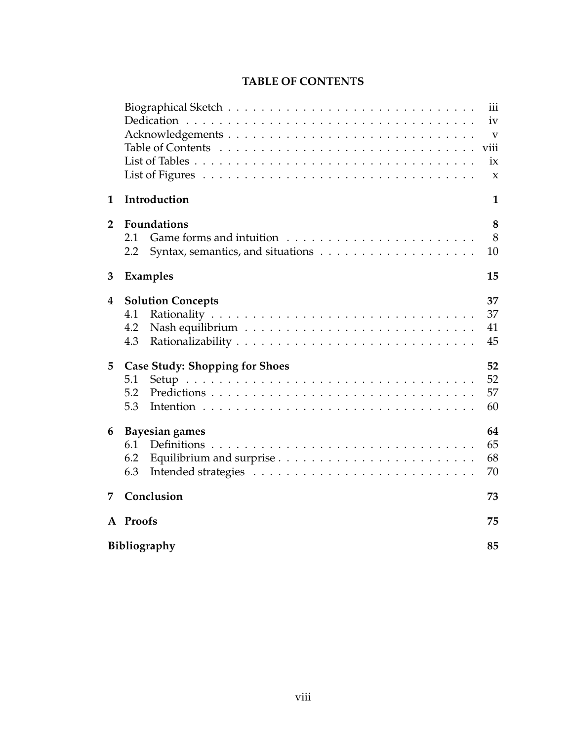|                |                                                                                         | iii                 |  |  |  |  |  |  |
|----------------|-----------------------------------------------------------------------------------------|---------------------|--|--|--|--|--|--|
|                |                                                                                         | iv                  |  |  |  |  |  |  |
|                |                                                                                         |                     |  |  |  |  |  |  |
|                |                                                                                         | viii                |  |  |  |  |  |  |
|                |                                                                                         | ix                  |  |  |  |  |  |  |
|                | List of Figures $\ldots \ldots \ldots \ldots \ldots \ldots \ldots \ldots \ldots \ldots$ | $\boldsymbol{\chi}$ |  |  |  |  |  |  |
| $\mathbf{1}$   | Introduction                                                                            | $\mathbf{1}$        |  |  |  |  |  |  |
| $\overline{2}$ | <b>Foundations</b>                                                                      | 8                   |  |  |  |  |  |  |
|                | 2.1                                                                                     | 8                   |  |  |  |  |  |  |
|                | 2.2                                                                                     | 10                  |  |  |  |  |  |  |
| 3              | Examples                                                                                | 15                  |  |  |  |  |  |  |
| 4              | <b>Solution Concepts</b>                                                                | 37                  |  |  |  |  |  |  |
|                | 4.1                                                                                     | 37                  |  |  |  |  |  |  |
|                | 4.2                                                                                     | 41                  |  |  |  |  |  |  |
|                | 4.3                                                                                     | 45                  |  |  |  |  |  |  |
| 5              | <b>Case Study: Shopping for Shoes</b>                                                   | 52                  |  |  |  |  |  |  |
|                | 5.1                                                                                     | 52                  |  |  |  |  |  |  |
|                | 5.2                                                                                     | 57                  |  |  |  |  |  |  |
|                | 5.3                                                                                     | 60                  |  |  |  |  |  |  |
| 6              | <b>Bayesian games</b>                                                                   | 64                  |  |  |  |  |  |  |
|                | 6.1                                                                                     | 65                  |  |  |  |  |  |  |
|                | 6.2                                                                                     | 68                  |  |  |  |  |  |  |
|                | 6.3                                                                                     | 70                  |  |  |  |  |  |  |
| 7              | Conclusion                                                                              | 73                  |  |  |  |  |  |  |
|                | A Proofs                                                                                | 75                  |  |  |  |  |  |  |
|                | Bibliography                                                                            | 85                  |  |  |  |  |  |  |
|                |                                                                                         |                     |  |  |  |  |  |  |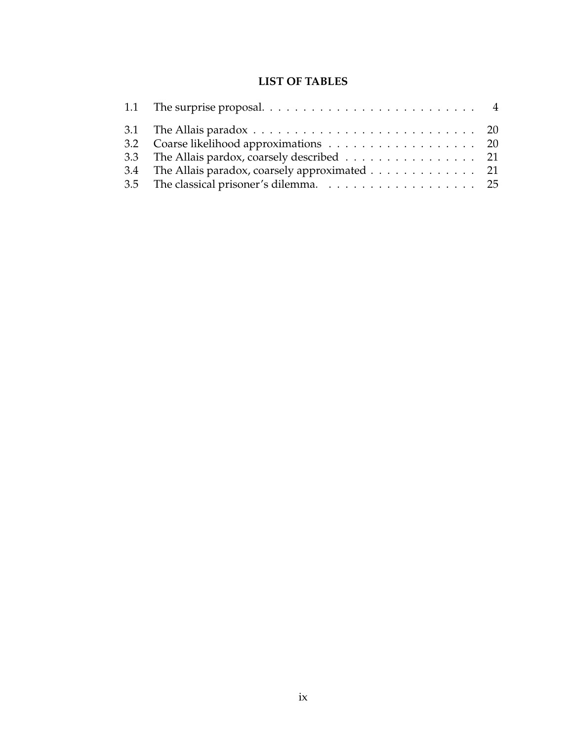### **LIST OF TABLES**

| 1.1 The surprise proposal. $\ldots \ldots \ldots \ldots \ldots \ldots \ldots \ldots$       |  |
|--------------------------------------------------------------------------------------------|--|
| 3.1 The Allais paradox $\ldots \ldots \ldots \ldots \ldots \ldots \ldots \ldots \ldots 20$ |  |
| 3.2 Coarse likelihood approximations 20                                                    |  |
| 3.3 The Allais pardox, coarsely described 21                                               |  |
| 3.4 The Allais paradox, coarsely approximated 21                                           |  |
|                                                                                            |  |
|                                                                                            |  |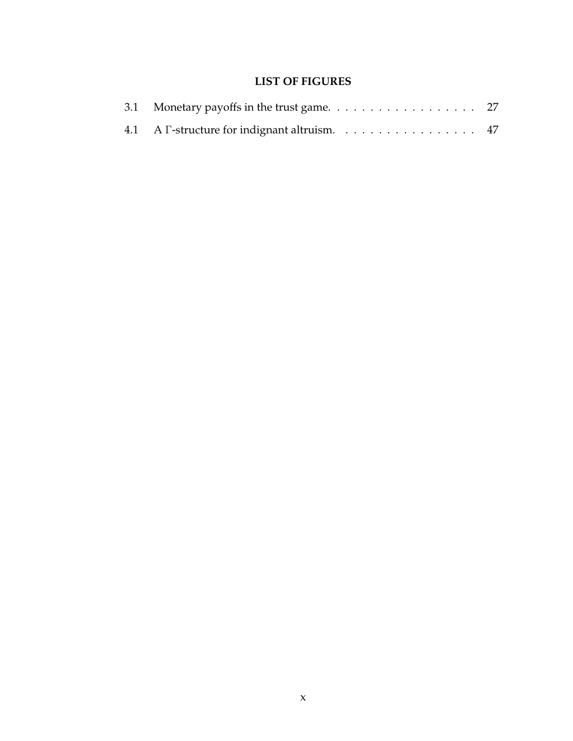### **LIST OF FIGURES**

| 4.1 A $\Gamma$ -structure for indignant altruism. 47 |  |  |  |  |  |  |  |  |  |
|------------------------------------------------------|--|--|--|--|--|--|--|--|--|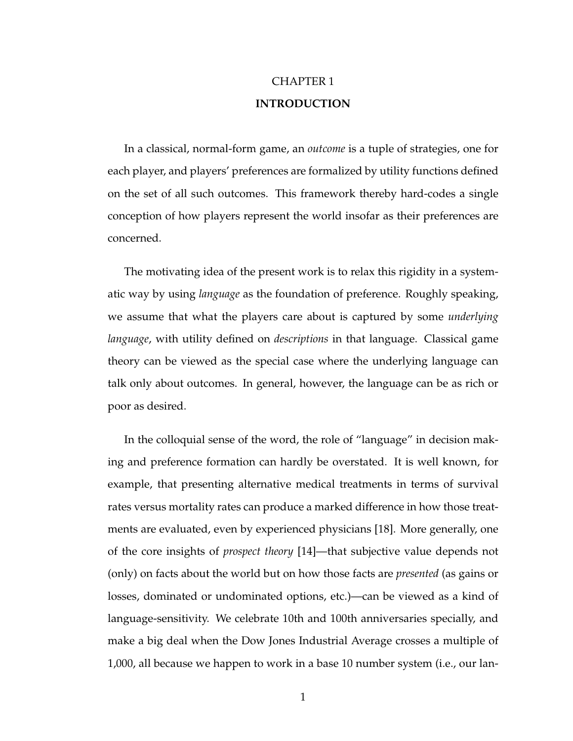## CHAPTER 1 **INTRODUCTION**

In a classical, normal-form game, an *outcome* is a tuple of strategies, one for each player, and players' preferences are formalized by utility functions defined on the set of all such outcomes. This framework thereby hard-codes a single conception of how players represent the world insofar as their preferences are concerned.

The motivating idea of the present work is to relax this rigidity in a systematic way by using *language* as the foundation of preference. Roughly speaking, we assume that what the players care about is captured by some *underlying language*, with utility defined on *descriptions* in that language. Classical game theory can be viewed as the special case where the underlying language can talk only about outcomes. In general, however, the language can be as rich or poor as desired.

In the colloquial sense of the word, the role of "language" in decision making and preference formation can hardly be overstated. It is well known, for example, that presenting alternative medical treatments in terms of survival rates versus mortality rates can produce a marked difference in how those treatments are evaluated, even by experienced physicians [18]. More generally, one of the core insights of *prospect theory* [14]—that subjective value depends not (only) on facts about the world but on how those facts are *presented* (as gains or losses, dominated or undominated options, etc.)—can be viewed as a kind of language-sensitivity. We celebrate 10th and 100th anniversaries specially, and make a big deal when the Dow Jones Industrial Average crosses a multiple of 1,000, all because we happen to work in a base 10 number system (i.e., our lan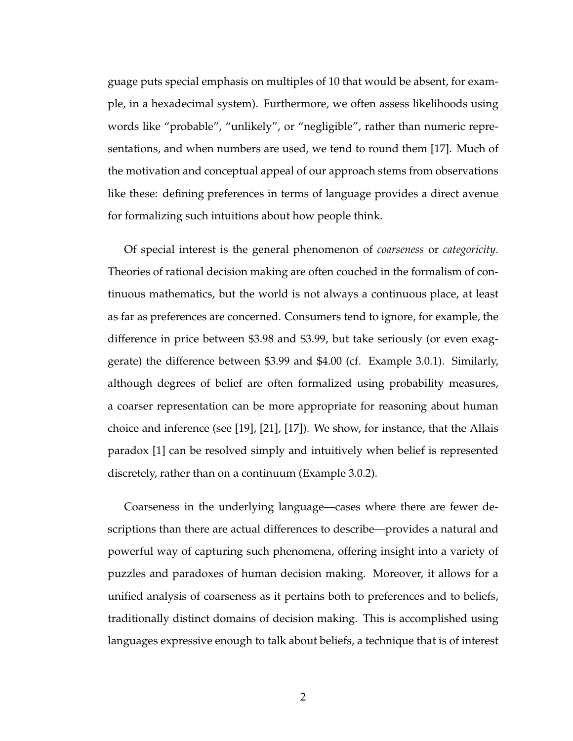guage puts special emphasis on multiples of 10 that would be absent, for example, in a hexadecimal system). Furthermore, we often assess likelihoods using words like "probable", "unlikely", or "negligible", rather than numeric representations, and when numbers are used, we tend to round them [17]. Much of the motivation and conceptual appeal of our approach stems from observations like these: defining preferences in terms of language provides a direct avenue for formalizing such intuitions about how people think.

Of special interest is the general phenomenon of *coarseness* or *categoricity*. Theories of rational decision making are often couched in the formalism of continuous mathematics, but the world is not always a continuous place, at least as far as preferences are concerned. Consumers tend to ignore, for example, the difference in price between \$3.98 and \$3.99, but take seriously (or even exaggerate) the difference between \$3.99 and \$4.00 (cf. Example 3.0.1). Similarly, although degrees of belief are often formalized using probability measures, a coarser representation can be more appropriate for reasoning about human choice and inference (see [19], [21], [17]). We show, for instance, that the Allais paradox [1] can be resolved simply and intuitively when belief is represented discretely, rather than on a continuum (Example 3.0.2).

Coarseness in the underlying language—cases where there are fewer descriptions than there are actual differences to describe—provides a natural and powerful way of capturing such phenomena, offering insight into a variety of puzzles and paradoxes of human decision making. Moreover, it allows for a unified analysis of coarseness as it pertains both to preferences and to beliefs, traditionally distinct domains of decision making. This is accomplished using languages expressive enough to talk about beliefs, a technique that is of interest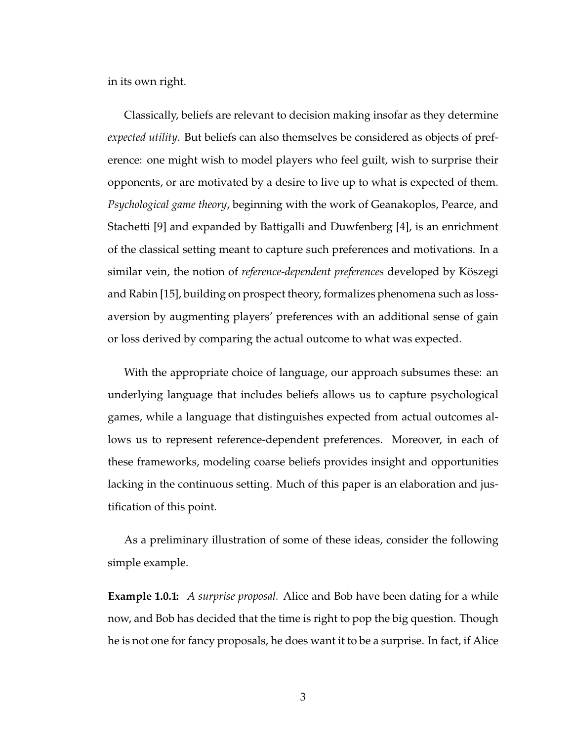in its own right.

Classically, beliefs are relevant to decision making insofar as they determine *expected utility*. But beliefs can also themselves be considered as objects of preference: one might wish to model players who feel guilt, wish to surprise their opponents, or are motivated by a desire to live up to what is expected of them. *Psychological game theory*, beginning with the work of Geanakoplos, Pearce, and Stachetti [9] and expanded by Battigalli and Duwfenberg [4], is an enrichment of the classical setting meant to capture such preferences and motivations. In a similar vein, the notion of *reference-dependent preferences* developed by Köszegi and Rabin [15], building on prospect theory, formalizes phenomena such as lossaversion by augmenting players' preferences with an additional sense of gain or loss derived by comparing the actual outcome to what was expected.

With the appropriate choice of language, our approach subsumes these: an underlying language that includes beliefs allows us to capture psychological games, while a language that distinguishes expected from actual outcomes allows us to represent reference-dependent preferences. Moreover, in each of these frameworks, modeling coarse beliefs provides insight and opportunities lacking in the continuous setting. Much of this paper is an elaboration and justification of this point.

As a preliminary illustration of some of these ideas, consider the following simple example.

**Example 1.0.1:** *A surprise proposal.* Alice and Bob have been dating for a while now, and Bob has decided that the time is right to pop the big question. Though he is not one for fancy proposals, he does want it to be a surprise. In fact, if Alice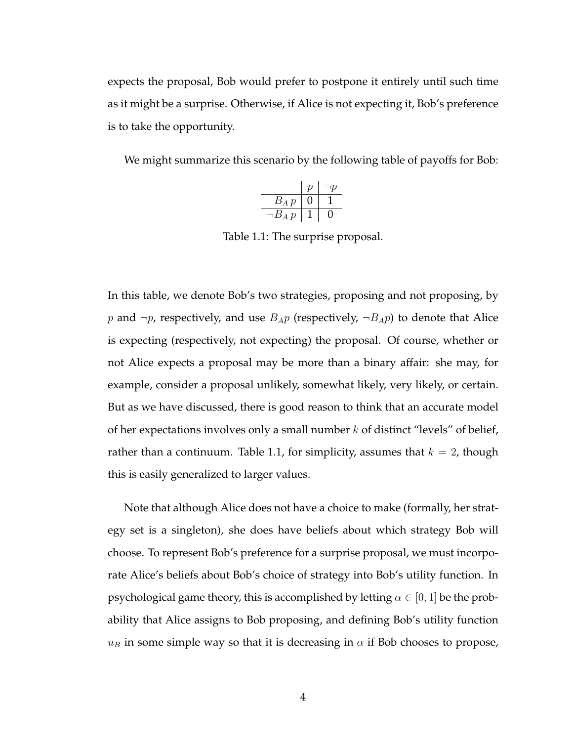expects the proposal, Bob would prefer to postpone it entirely until such time as it might be a surprise. Otherwise, if Alice is not expecting it, Bob's preference is to take the opportunity.

We might summarize this scenario by the following table of payoffs for Bob:

|              | Ŋ | ۱D |
|--------------|---|----|
| $B_A p$      |   |    |
| $\neg B_A p$ |   |    |

Table 1.1: The surprise proposal.

In this table, we denote Bob's two strategies, proposing and not proposing, by p and  $\neg p$ , respectively, and use  $B_{AP}$  (respectively,  $\neg B_{AP}$ ) to denote that Alice is expecting (respectively, not expecting) the proposal. Of course, whether or not Alice expects a proposal may be more than a binary affair: she may, for example, consider a proposal unlikely, somewhat likely, very likely, or certain. But as we have discussed, there is good reason to think that an accurate model of her expectations involves only a small number  $k$  of distinct "levels" of belief, rather than a continuum. Table 1.1, for simplicity, assumes that  $k = 2$ , though this is easily generalized to larger values.

Note that although Alice does not have a choice to make (formally, her strategy set is a singleton), she does have beliefs about which strategy Bob will choose. To represent Bob's preference for a surprise proposal, we must incorporate Alice's beliefs about Bob's choice of strategy into Bob's utility function. In psychological game theory, this is accomplished by letting  $\alpha \in [0, 1]$  be the probability that Alice assigns to Bob proposing, and defining Bob's utility function  $u_B$  in some simple way so that it is decreasing in  $\alpha$  if Bob chooses to propose,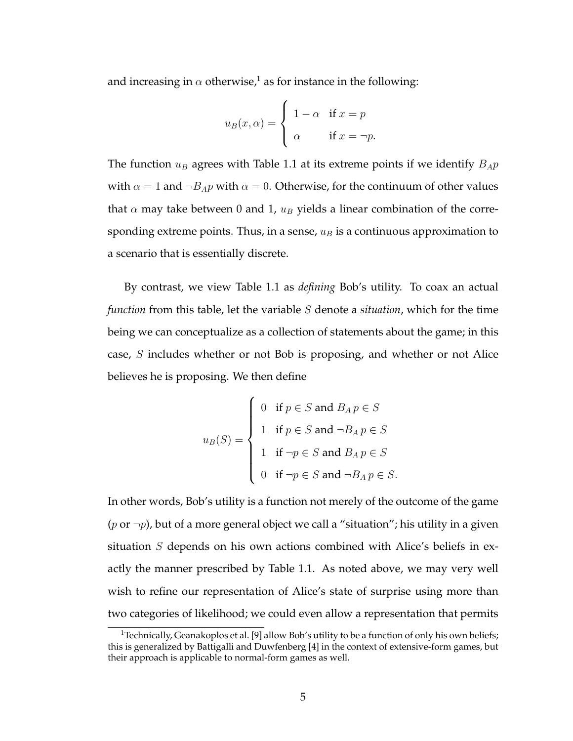and increasing in  $\alpha$  otherwise,<sup>1</sup> as for instance in the following:

$$
u_B(x, \alpha) = \begin{cases} 1 - \alpha & \text{if } x = p \\ \alpha & \text{if } x = \neg p. \end{cases}
$$

The function  $u_B$  agrees with Table 1.1 at its extreme points if we identify  $B_A p$ with  $\alpha = 1$  and  $\neg B_A p$  with  $\alpha = 0$ . Otherwise, for the continuum of other values that  $\alpha$  may take between 0 and 1,  $u_B$  yields a linear combination of the corresponding extreme points. Thus, in a sense,  $u_B$  is a continuous approximation to a scenario that is essentially discrete.

By contrast, we view Table 1.1 as *defining* Bob's utility. To coax an actual *function* from this table, let the variable S denote a *situation*, which for the time being we can conceptualize as a collection of statements about the game; in this case, S includes whether or not Bob is proposing, and whether or not Alice believes he is proposing. We then define

$$
u_B(S) = \begin{cases} 0 & \text{if } p \in S \text{ and } B_A p \in S \\ 1 & \text{if } p \in S \text{ and } \neg B_A p \in S \\ 1 & \text{if } \neg p \in S \text{ and } B_A p \in S \\ 0 & \text{if } \neg p \in S \text{ and } \neg B_A p \in S. \end{cases}
$$

In other words, Bob's utility is a function not merely of the outcome of the game (p or  $\neg p$ ), but of a more general object we call a "situation"; his utility in a given situation S depends on his own actions combined with Alice's beliefs in exactly the manner prescribed by Table 1.1. As noted above, we may very well wish to refine our representation of Alice's state of surprise using more than two categories of likelihood; we could even allow a representation that permits

<sup>&</sup>lt;sup>1</sup> Technically, Geanakoplos et al. [9] allow Bob's utility to be a function of only his own beliefs; this is generalized by Battigalli and Duwfenberg [4] in the context of extensive-form games, but their approach is applicable to normal-form games as well.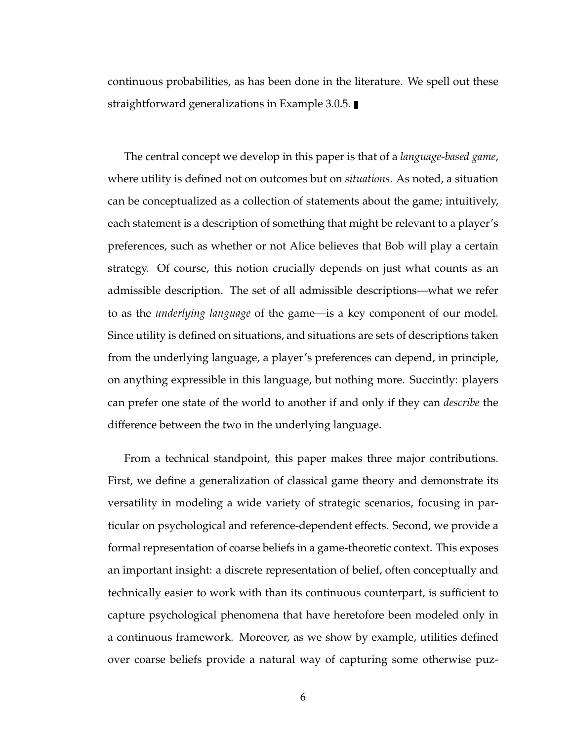continuous probabilities, as has been done in the literature. We spell out these straightforward generalizations in Example 3.0.5.

The central concept we develop in this paper is that of a *language-based game*, where utility is defined not on outcomes but on *situations*. As noted, a situation can be conceptualized as a collection of statements about the game; intuitively, each statement is a description of something that might be relevant to a player's preferences, such as whether or not Alice believes that Bob will play a certain strategy. Of course, this notion crucially depends on just what counts as an admissible description. The set of all admissible descriptions—what we refer to as the *underlying language* of the game—is a key component of our model. Since utility is defined on situations, and situations are sets of descriptions taken from the underlying language, a player's preferences can depend, in principle, on anything expressible in this language, but nothing more. Succintly: players can prefer one state of the world to another if and only if they can *describe* the difference between the two in the underlying language.

From a technical standpoint, this paper makes three major contributions. First, we define a generalization of classical game theory and demonstrate its versatility in modeling a wide variety of strategic scenarios, focusing in particular on psychological and reference-dependent effects. Second, we provide a formal representation of coarse beliefs in a game-theoretic context. This exposes an important insight: a discrete representation of belief, often conceptually and technically easier to work with than its continuous counterpart, is sufficient to capture psychological phenomena that have heretofore been modeled only in a continuous framework. Moreover, as we show by example, utilities defined over coarse beliefs provide a natural way of capturing some otherwise puz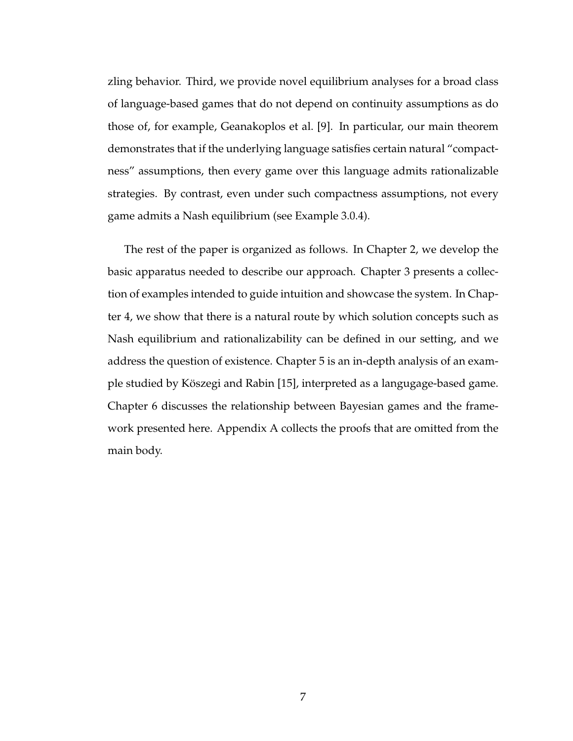zling behavior. Third, we provide novel equilibrium analyses for a broad class of language-based games that do not depend on continuity assumptions as do those of, for example, Geanakoplos et al. [9]. In particular, our main theorem demonstrates that if the underlying language satisfies certain natural "compactness" assumptions, then every game over this language admits rationalizable strategies. By contrast, even under such compactness assumptions, not every game admits a Nash equilibrium (see Example 3.0.4).

The rest of the paper is organized as follows. In Chapter 2, we develop the basic apparatus needed to describe our approach. Chapter 3 presents a collection of examples intended to guide intuition and showcase the system. In Chapter 4, we show that there is a natural route by which solution concepts such as Nash equilibrium and rationalizability can be defined in our setting, and we address the question of existence. Chapter 5 is an in-depth analysis of an example studied by Köszegi and Rabin [15], interpreted as a langugage-based game. Chapter 6 discusses the relationship between Bayesian games and the framework presented here. Appendix A collects the proofs that are omitted from the main body.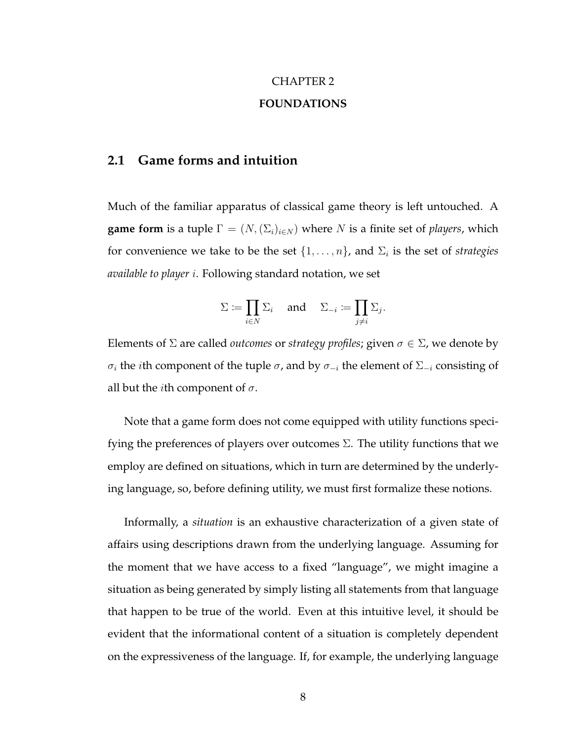## CHAPTER 2 **FOUNDATIONS**

#### **2.1 Game forms and intuition**

Much of the familiar apparatus of classical game theory is left untouched. A **game form** is a tuple  $\Gamma = (N, (\Sigma_i)_{i \in N})$  where N is a finite set of *players*, which for convenience we take to be the set  $\{1,\ldots,n\}$ , and  $\Sigma_i$  is the set of *strategies available to player* i. Following standard notation, we set

$$
\Sigma := \prod_{i \in N} \Sigma_i \quad \text{ and } \quad \Sigma_{-i} := \prod_{j \neq i} \Sigma_j.
$$

Elements of  $\Sigma$  are called *outcomes* or *strategy profiles*; given  $\sigma \in \Sigma$ , we denote by σ<sub>i</sub> the *i*th component of the tuple σ, and by  $\sigma_{-i}$  the element of  $\Sigma_{-i}$  consisting of all but the *i*th component of  $\sigma$ .

Note that a game form does not come equipped with utility functions specifying the preferences of players over outcomes  $\Sigma$ . The utility functions that we employ are defined on situations, which in turn are determined by the underlying language, so, before defining utility, we must first formalize these notions.

Informally, a *situation* is an exhaustive characterization of a given state of affairs using descriptions drawn from the underlying language. Assuming for the moment that we have access to a fixed "language", we might imagine a situation as being generated by simply listing all statements from that language that happen to be true of the world. Even at this intuitive level, it should be evident that the informational content of a situation is completely dependent on the expressiveness of the language. If, for example, the underlying language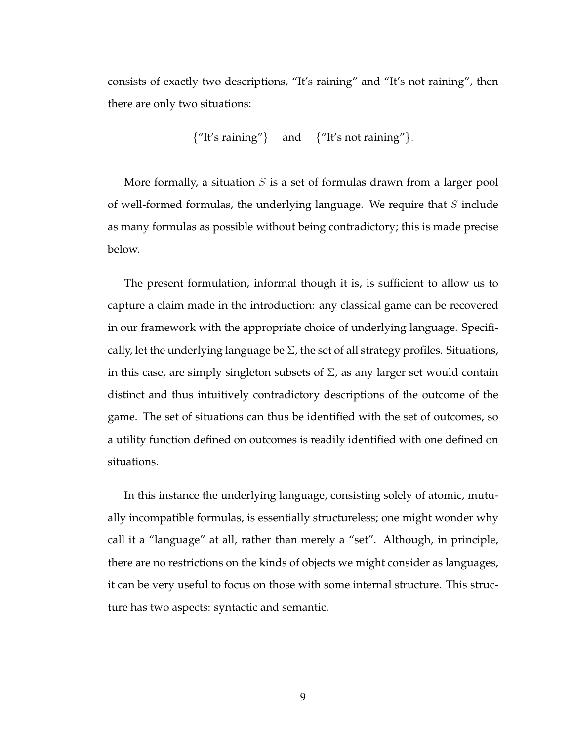consists of exactly two descriptions, "It's raining" and "It's not raining", then there are only two situations:

$$
{\text{``It's raining''}}\quad\text{and}\quad{\text{``It's not raining''}}.
$$

More formally, a situation  $S$  is a set of formulas drawn from a larger pool of well-formed formulas, the underlying language. We require that  $S$  include as many formulas as possible without being contradictory; this is made precise below.

The present formulation, informal though it is, is sufficient to allow us to capture a claim made in the introduction: any classical game can be recovered in our framework with the appropriate choice of underlying language. Specifically, let the underlying language be  $\Sigma$ , the set of all strategy profiles. Situations, in this case, are simply singleton subsets of  $\Sigma$ , as any larger set would contain distinct and thus intuitively contradictory descriptions of the outcome of the game. The set of situations can thus be identified with the set of outcomes, so a utility function defined on outcomes is readily identified with one defined on situations.

In this instance the underlying language, consisting solely of atomic, mutually incompatible formulas, is essentially structureless; one might wonder why call it a "language" at all, rather than merely a "set". Although, in principle, there are no restrictions on the kinds of objects we might consider as languages, it can be very useful to focus on those with some internal structure. This structure has two aspects: syntactic and semantic.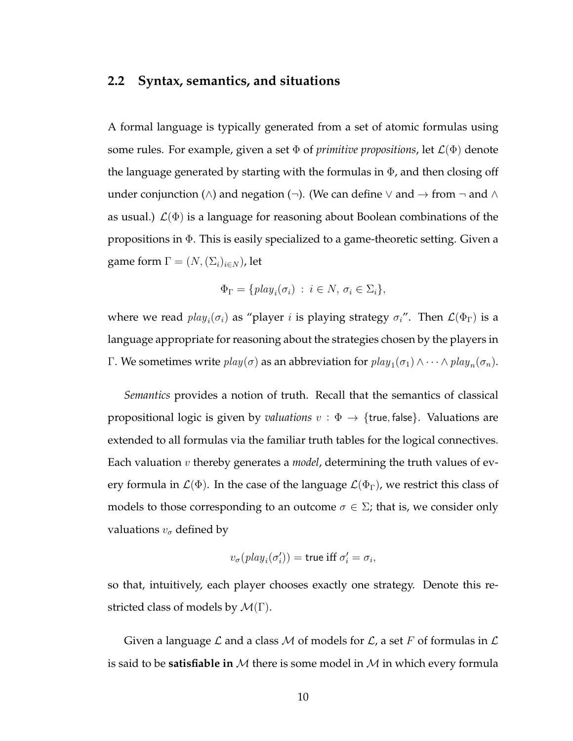#### **2.2 Syntax, semantics, and situations**

A formal language is typically generated from a set of atomic formulas using some rules. For example, given a set  $\Phi$  of *primitive propositions*, let  $\mathcal{L}(\Phi)$  denote the language generated by starting with the formulas in  $\Phi$ , and then closing off under conjunction (∧) and negation (¬). (We can define  $\vee$  and  $\rightarrow$  from  $\neg$  and  $\wedge$ as usual.)  $\mathcal{L}(\Phi)$  is a language for reasoning about Boolean combinations of the propositions in Φ. This is easily specialized to a game-theoretic setting. Given a game form  $\Gamma = (N, (\Sigma_i)_{i \in N})$ , let

$$
\Phi_{\Gamma} = \{ \text{play}_i(\sigma_i) \; : \; i \in N, \, \sigma_i \in \Sigma_i \},
$$

where we read  $play_i(\sigma_i)$  as "player  $i$  is playing strategy  $\sigma_i$ ". Then  $\mathcal{L}(\Phi_{\Gamma})$  is a language appropriate for reasoning about the strategies chosen by the players in Γ. We sometimes write  $play(σ)$  as an abbreviation for  $play_1(σ_1) ∧ · · · ∧ play_n(σ_n)$ .

*Semantics* provides a notion of truth. Recall that the semantics of classical propositional logic is given by *valuations*  $v : \Phi \to \{true, false\}$ . Valuations are extended to all formulas via the familiar truth tables for the logical connectives. Each valuation v thereby generates a *model*, determining the truth values of every formula in  $\mathcal{L}(\Phi)$ . In the case of the language  $\mathcal{L}(\Phi_{\Gamma})$ , we restrict this class of models to those corresponding to an outcome  $\sigma \in \Sigma$ ; that is, we consider only valuations  $v_{\sigma}$  defined by

$$
v_{\sigma}(\textit{play}_i(\sigma'_i)) = \text{true iff } \sigma'_i = \sigma_i,
$$

so that, intuitively, each player chooses exactly one strategy. Denote this restricted class of models by  $\mathcal{M}(\Gamma)$ .

Given a language  $\mathcal L$  and a class  $\mathcal M$  of models for  $\mathcal L$ , a set  $F$  of formulas in  $\mathcal L$ is said to be **satisfiable in** M there is some model in M in which every formula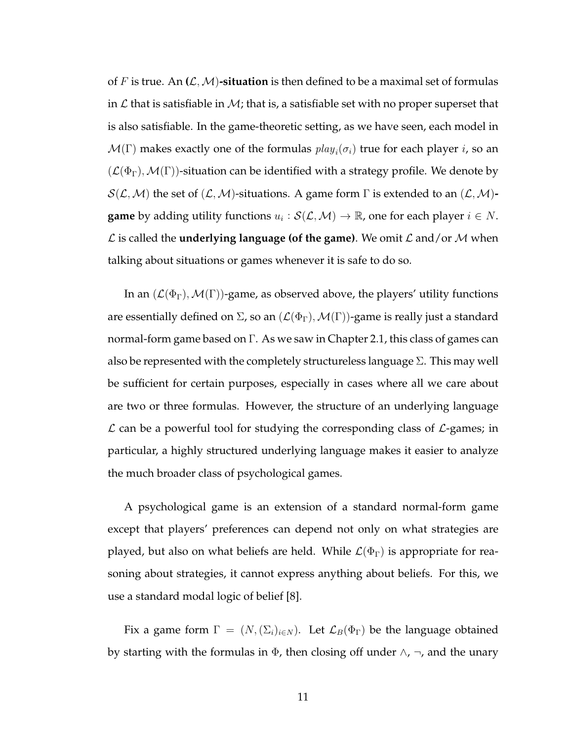of F is true. An  $(L, M)$ -situation is then defined to be a maximal set of formulas in  $\mathcal L$  that is satisfiable in  $\mathcal M$ ; that is, a satisfiable set with no proper superset that is also satisfiable. In the game-theoretic setting, as we have seen, each model in  $\mathcal{M}(\Gamma)$  makes exactly one of the formulas  $play_i(\sigma_i)$  true for each player  $i$ , so an  $(\mathcal{L}(\Phi_{\Gamma}), \mathcal{M}(\Gamma))$ -situation can be identified with a strategy profile. We denote by  $S(\mathcal{L},\mathcal{M})$  the set of  $(\mathcal{L},\mathcal{M})$ -situations. A game form  $\Gamma$  is extended to an  $(\mathcal{L},\mathcal{M})$ **game** by adding utility functions  $u_i : \mathcal{S}(\mathcal{L}, \mathcal{M}) \to \mathbb{R}$ , one for each player  $i \in N$ .  $\mathcal L$  is called the **underlying language (of the game)**. We omit  $\mathcal L$  and/or M when talking about situations or games whenever it is safe to do so.

In an  $(\mathcal{L}(\Phi_{\Gamma}), \mathcal{M}(\Gamma))$ -game, as observed above, the players' utility functions are essentially defined on  $\Sigma$ , so an  $(\mathcal{L}(\Phi_{\Gamma}), \mathcal{M}(\Gamma))$ -game is really just a standard normal-form game based on Γ. As we saw in Chapter 2.1, this class of games can also be represented with the completely structureless language  $\Sigma$ . This may well be sufficient for certain purposes, especially in cases where all we care about are two or three formulas. However, the structure of an underlying language  $\mathcal L$  can be a powerful tool for studying the corresponding class of  $\mathcal L$ -games; in particular, a highly structured underlying language makes it easier to analyze the much broader class of psychological games.

A psychological game is an extension of a standard normal-form game except that players' preferences can depend not only on what strategies are played, but also on what beliefs are held. While  $\mathcal{L}(\Phi_{\Gamma})$  is appropriate for reasoning about strategies, it cannot express anything about beliefs. For this, we use a standard modal logic of belief [8].

Fix a game form  $\Gamma = (N, (\Sigma_i)_{i \in N})$ . Let  $\mathcal{L}_B(\Phi_{\Gamma})$  be the language obtained by starting with the formulas in  $\Phi$ , then closing off under  $\wedge$ ,  $\neg$ , and the unary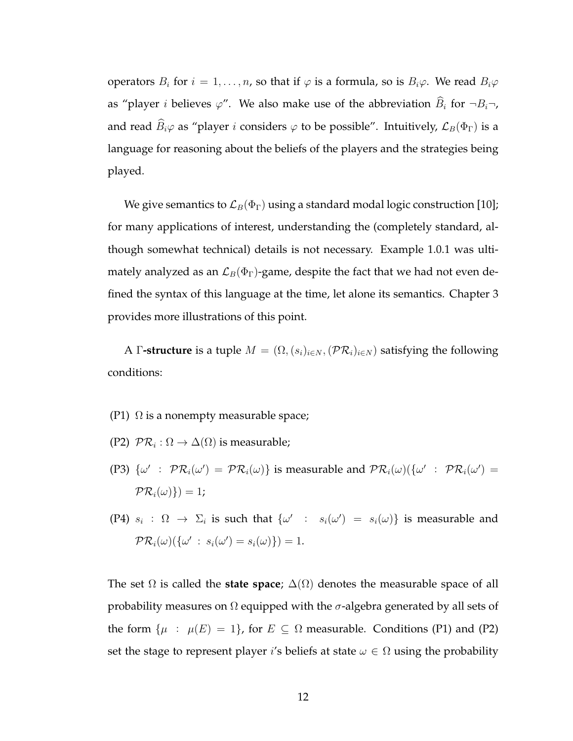operators  $B_i$  for  $i = 1, \ldots, n$ , so that if  $\varphi$  is a formula, so is  $B_i\varphi$ . We read  $B_i\varphi$ as "player *i* believes  $\varphi$ ". We also make use of the abbreviation  $\widehat{B}_i$  for  $\neg B_i\neg$ , and read  $\widehat{B}_i\varphi$  as "player i considers  $\varphi$  to be possible". Intuitively,  $\mathcal{L}_B(\Phi_{\Gamma})$  is a language for reasoning about the beliefs of the players and the strategies being played.

We give semantics to  $\mathcal{L}_B(\Phi_{\Gamma})$  using a standard modal logic construction [10]; for many applications of interest, understanding the (completely standard, although somewhat technical) details is not necessary. Example 1.0.1 was ultimately analyzed as an  $\mathcal{L}_B(\Phi_{\Gamma})$ -game, despite the fact that we had not even defined the syntax of this language at the time, let alone its semantics. Chapter 3 provides more illustrations of this point.

A Γ**-structure** is a tuple  $M = (\Omega, (s_i)_{i \in N}, (\mathcal{PR}_i)_{i \in N})$  satisfying the following conditions:

- (P1)  $\Omega$  is a nonempty measurable space;
- (P2)  $\ \mathcal{PR}_i:\Omega\rightarrow \Delta(\Omega)$  is measurable;
- (P3)  $\{\omega' \; : \; \mathcal{PR}_i(\omega') = \mathcal{PR}_i(\omega)\}\$  is measurable and  $\mathcal{PR}_i(\omega)(\{\omega' \; : \; \mathcal{PR}_i(\omega') = \mathcal{PR}_i(\omega')\})$  $PR_i(\omega)$ }) = 1;
- (P4)  $s_i$  :  $\Omega \to \Sigma_i$  is such that  $\{\omega' : s_i(\omega') = s_i(\omega)\}\$  is measurable and  $PR_i(\omega)(\{\omega' \,:\, s_i(\omega') = s_i(\omega)\}) = 1.$

The set  $\Omega$  is called the **state space**;  $\Delta(\Omega)$  denotes the measurable space of all probability measures on  $\Omega$  equipped with the  $\sigma$ -algebra generated by all sets of the form  $\{\mu : \mu(E) = 1\}$ , for  $E \subseteq \Omega$  measurable. Conditions (P1) and (P2) set the stage to represent player i's beliefs at state  $\omega \in \Omega$  using the probability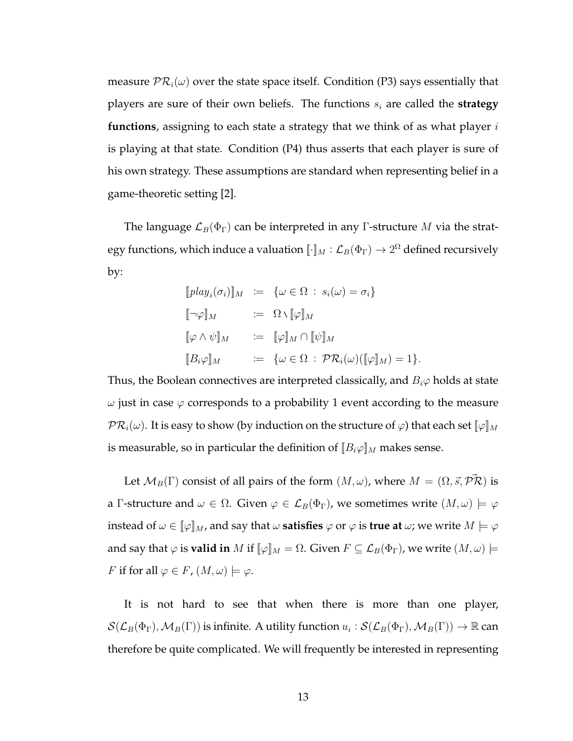measure  $PR_i(\omega)$  over the state space itself. Condition (P3) says essentially that players are sure of their own beliefs. The functions  $s_i$  are called the **strategy functions**, assigning to each state a strategy that we think of as what player i is playing at that state. Condition (P4) thus asserts that each player is sure of his own strategy. These assumptions are standard when representing belief in a game-theoretic setting [2].

The language  $\mathcal{L}_B(\Phi_{\Gamma})$  can be interpreted in any Γ-structure M via the strategy functions, which induce a valuation  $\llbracket \cdot \rrbracket_M : \mathcal{L}_B(\Phi_\Gamma) \to 2^\Omega$  defined recursively by:

$$
[play_i(\sigma_i)]_M := \{ \omega \in \Omega : s_i(\omega) = \sigma_i \}
$$
  

$$
[\neg \varphi]_M := \Omega \setminus [\varphi]_M
$$
  

$$
[\varphi \wedge \psi]_M := [\varphi]_M \cap [\psi]_M
$$
  

$$
[B_i \varphi]_M := \{ \omega \in \Omega : \mathcal{PR}_i(\omega)([\varphi]_M) = 1 \}.
$$

Thus, the Boolean connectives are interpreted classically, and  $B_i\varphi$  holds at state  $\omega$  just in case  $\varphi$  corresponds to a probability 1 event according to the measure  $\mathcal{PR}_i(\omega)$ . It is easy to show (by induction on the structure of  $\varphi$ ) that each set  $\llbracket \varphi \rrbracket_M$ is measurable, so in particular the definition of  $[[B_i\varphi]]_M$  makes sense.

Let  $\mathcal{M}_B(\Gamma)$  consist of all pairs of the form  $(M, \omega)$ , where  $M = (\Omega, \vec{s}, \vec{PR})$  is a Γ-structure and  $\omega \in \Omega$ . Given  $\varphi \in \mathcal{L}_B(\Phi_{\Gamma})$ , we sometimes write  $(M, \omega) \models \varphi$ instead of  $\omega \in [\![\varphi]\!]_M$ , and say that  $\omega$  **satisfies**  $\varphi$  or  $\varphi$  is **true at**  $\omega$ ; we write  $M \models \varphi$ and say that  $\varphi$  is **valid in** M if  $[\varphi]_M = \Omega$ . Given  $F \subseteq \mathcal{L}_B(\Phi_\Gamma)$ , we write  $(M, \omega) \models$ F if for all  $\varphi \in F$ ,  $(M, \omega) \models \varphi$ .

It is not hard to see that when there is more than one player,  $\mathcal{S}(\mathcal{L}_B(\Phi_\Gamma),\mathcal{M}_B(\Gamma))$  is infinite. A utility function  $u_i:\mathcal{S}(\mathcal{L}_B(\Phi_\Gamma),\mathcal{M}_B(\Gamma))\to\mathbb{R}$  can therefore be quite complicated. We will frequently be interested in representing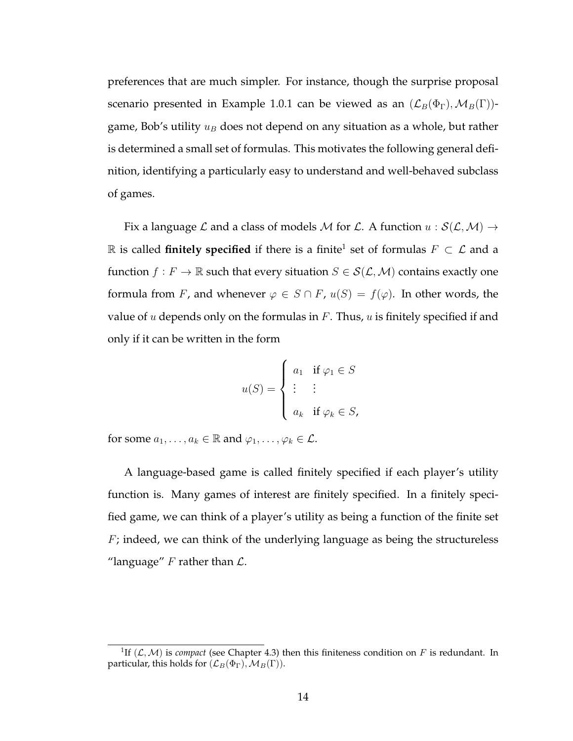preferences that are much simpler. For instance, though the surprise proposal scenario presented in Example 1.0.1 can be viewed as an  $(\mathcal{L}_B(\Phi_{\Gamma}), \mathcal{M}_B(\Gamma))$ game, Bob's utility  $u_B$  does not depend on any situation as a whole, but rather is determined a small set of formulas. This motivates the following general definition, identifying a particularly easy to understand and well-behaved subclass of games.

Fix a language L and a class of models M for L. A function  $u : S(L, M) \rightarrow$  $\mathbb R$  is called **finitely specified** if there is a finite<sup>1</sup> set of formulas  $F \subset \mathcal L$  and a function  $f : F \to \mathbb{R}$  such that every situation  $S \in \mathcal{S}(\mathcal{L}, \mathcal{M})$  contains exactly one formula from F, and whenever  $\varphi \in S \cap F$ ,  $u(S) = f(\varphi)$ . In other words, the value of  $u$  depends only on the formulas in  $F$ . Thus,  $u$  is finitely specified if and only if it can be written in the form

$$
u(S) = \begin{cases} a_1 & \text{if } \varphi_1 \in S \\ \vdots & \vdots \\ a_k & \text{if } \varphi_k \in S, \end{cases}
$$

for some  $a_1, \ldots, a_k \in \mathbb{R}$  and  $\varphi_1, \ldots, \varphi_k \in \mathcal{L}$ .

A language-based game is called finitely specified if each player's utility function is. Many games of interest are finitely specified. In a finitely specified game, we can think of a player's utility as being a function of the finite set  $F$ ; indeed, we can think of the underlying language as being the structureless "language"  $F$  rather than  $\mathcal{L}$ .

<sup>&</sup>lt;sup>1</sup>If  $(L, M)$  is *compact* (see Chapter 4.3) then this finiteness condition on F is redundant. In particular, this holds for  $(\mathcal{L}_B(\Phi_{\Gamma}), \mathcal{M}_B(\Gamma)).$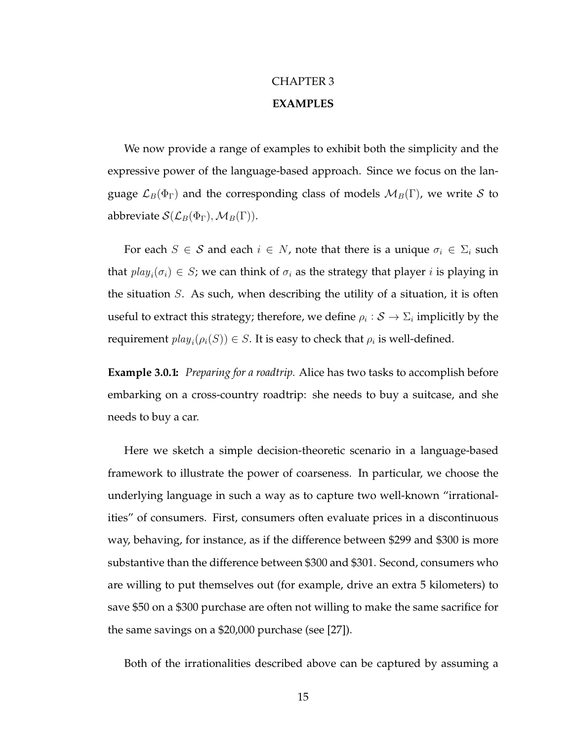### CHAPTER 3 **EXAMPLES**

We now provide a range of examples to exhibit both the simplicity and the expressive power of the language-based approach. Since we focus on the language  $\mathcal{L}_B(\Phi_{\Gamma})$  and the corresponding class of models  $\mathcal{M}_B(\Gamma)$ , we write S to abbreviate  $\mathcal{S}(\mathcal{L}_B(\Phi_{\Gamma}), \mathcal{M}_B(\Gamma)).$ 

For each  $S \in \mathcal{S}$  and each  $i \in N$ , note that there is a unique  $\sigma_i \in \Sigma_i$  such that  $play_i(\sigma_i) \in S$ ; we can think of  $\sigma_i$  as the strategy that player  $i$  is playing in the situation  $S$ . As such, when describing the utility of a situation, it is often useful to extract this strategy; therefore, we define  $\rho_i : \mathcal{S} \to \Sigma_i$  implicitly by the requirement  $play_i(\rho_i(S)) \in S$ . It is easy to check that  $\rho_i$  is well-defined.

**Example 3.0.1:** *Preparing for a roadtrip.* Alice has two tasks to accomplish before embarking on a cross-country roadtrip: she needs to buy a suitcase, and she needs to buy a car.

Here we sketch a simple decision-theoretic scenario in a language-based framework to illustrate the power of coarseness. In particular, we choose the underlying language in such a way as to capture two well-known "irrationalities" of consumers. First, consumers often evaluate prices in a discontinuous way, behaving, for instance, as if the difference between \$299 and \$300 is more substantive than the difference between \$300 and \$301. Second, consumers who are willing to put themselves out (for example, drive an extra 5 kilometers) to save \$50 on a \$300 purchase are often not willing to make the same sacrifice for the same savings on a \$20,000 purchase (see [27]).

Both of the irrationalities described above can be captured by assuming a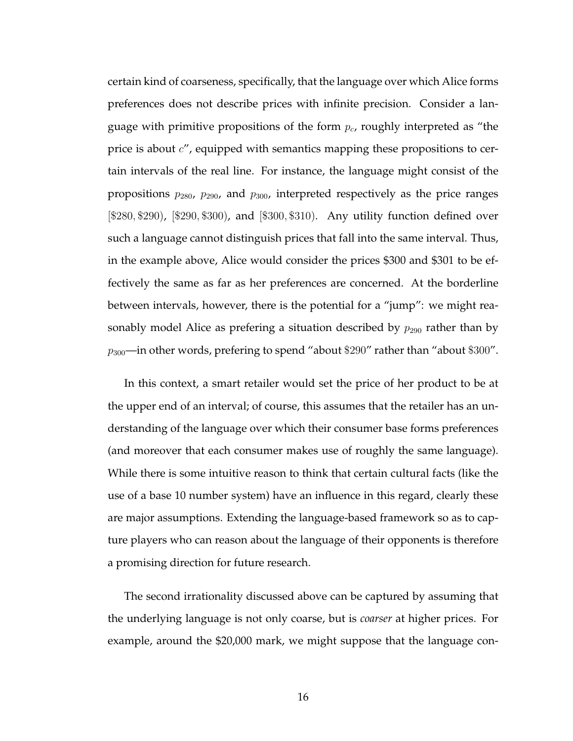certain kind of coarseness, specifically, that the language over which Alice forms preferences does not describe prices with infinite precision. Consider a language with primitive propositions of the form  $p_c$ , roughly interpreted as "the price is about  $c''$ , equipped with semantics mapping these propositions to certain intervals of the real line. For instance, the language might consist of the propositions  $p_{280}$ ,  $p_{290}$ , and  $p_{300}$ , interpreted respectively as the price ranges [\$280, \$290), [\$290, \$300), and [\$300, \$310). Any utility function defined over such a language cannot distinguish prices that fall into the same interval. Thus, in the example above, Alice would consider the prices \$300 and \$301 to be effectively the same as far as her preferences are concerned. At the borderline between intervals, however, there is the potential for a "jump": we might reasonably model Alice as prefering a situation described by  $p_{290}$  rather than by  $p_{300}$ —in other words, prefering to spend "about \$290" rather than "about \$300".

In this context, a smart retailer would set the price of her product to be at the upper end of an interval; of course, this assumes that the retailer has an understanding of the language over which their consumer base forms preferences (and moreover that each consumer makes use of roughly the same language). While there is some intuitive reason to think that certain cultural facts (like the use of a base 10 number system) have an influence in this regard, clearly these are major assumptions. Extending the language-based framework so as to capture players who can reason about the language of their opponents is therefore a promising direction for future research.

The second irrationality discussed above can be captured by assuming that the underlying language is not only coarse, but is *coarser* at higher prices. For example, around the \$20,000 mark, we might suppose that the language con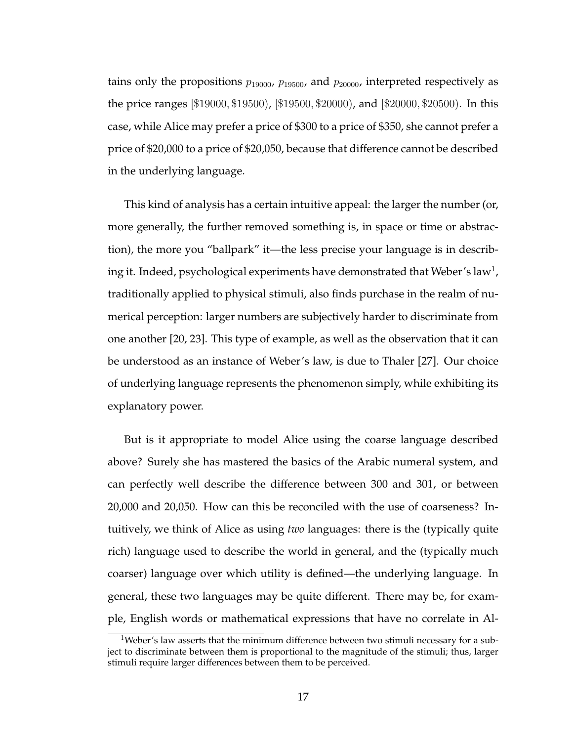tains only the propositions  $p_{19000}$ ,  $p_{19500}$ , and  $p_{20000}$ , interpreted respectively as the price ranges [\$19000, \$19500), [\$19500, \$20000), and [\$20000, \$20500). In this case, while Alice may prefer a price of \$300 to a price of \$350, she cannot prefer a price of \$20,000 to a price of \$20,050, because that difference cannot be described in the underlying language.

This kind of analysis has a certain intuitive appeal: the larger the number (or, more generally, the further removed something is, in space or time or abstraction), the more you "ballpark" it—the less precise your language is in describing it. Indeed, psychological experiments have demonstrated that Weber's law $^{\rm l}$ , traditionally applied to physical stimuli, also finds purchase in the realm of numerical perception: larger numbers are subjectively harder to discriminate from one another [20, 23]. This type of example, as well as the observation that it can be understood as an instance of Weber's law, is due to Thaler [27]. Our choice of underlying language represents the phenomenon simply, while exhibiting its explanatory power.

But is it appropriate to model Alice using the coarse language described above? Surely she has mastered the basics of the Arabic numeral system, and can perfectly well describe the difference between 300 and 301, or between 20,000 and 20,050. How can this be reconciled with the use of coarseness? Intuitively, we think of Alice as using *two* languages: there is the (typically quite rich) language used to describe the world in general, and the (typically much coarser) language over which utility is defined—the underlying language. In general, these two languages may be quite different. There may be, for example, English words or mathematical expressions that have no correlate in Al-

<sup>&</sup>lt;sup>1</sup>Weber's law asserts that the minimum difference between two stimuli necessary for a subject to discriminate between them is proportional to the magnitude of the stimuli; thus, larger stimuli require larger differences between them to be perceived.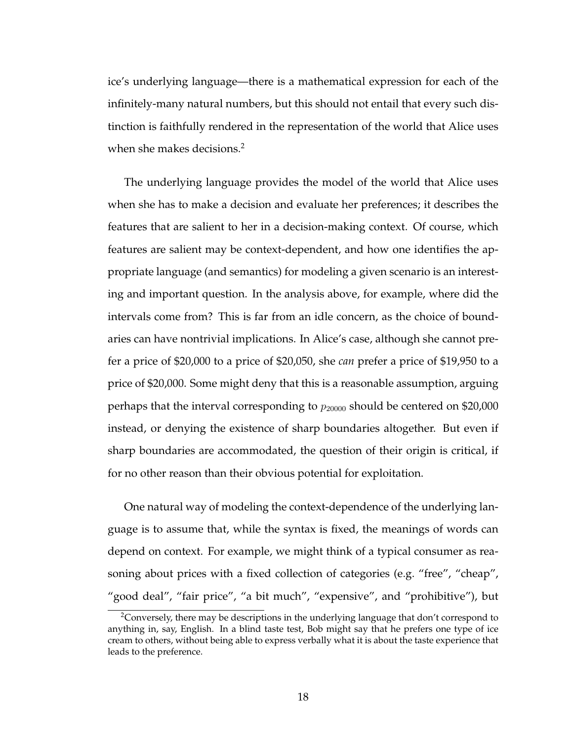ice's underlying language—there is a mathematical expression for each of the infinitely-many natural numbers, but this should not entail that every such distinction is faithfully rendered in the representation of the world that Alice uses when she makes decisions.<sup>2</sup>

The underlying language provides the model of the world that Alice uses when she has to make a decision and evaluate her preferences; it describes the features that are salient to her in a decision-making context. Of course, which features are salient may be context-dependent, and how one identifies the appropriate language (and semantics) for modeling a given scenario is an interesting and important question. In the analysis above, for example, where did the intervals come from? This is far from an idle concern, as the choice of boundaries can have nontrivial implications. In Alice's case, although she cannot prefer a price of \$20,000 to a price of \$20,050, she *can* prefer a price of \$19,950 to a price of \$20,000. Some might deny that this is a reasonable assumption, arguing perhaps that the interval corresponding to  $p_{20000}$  should be centered on \$20,000 instead, or denying the existence of sharp boundaries altogether. But even if sharp boundaries are accommodated, the question of their origin is critical, if for no other reason than their obvious potential for exploitation.

One natural way of modeling the context-dependence of the underlying language is to assume that, while the syntax is fixed, the meanings of words can depend on context. For example, we might think of a typical consumer as reasoning about prices with a fixed collection of categories (e.g. "free", "cheap", "good deal", "fair price", "a bit much", "expensive", and "prohibitive"), but

<sup>&</sup>lt;sup>2</sup>Conversely, there may be descriptions in the underlying language that don't correspond to anything in, say, English. In a blind taste test, Bob might say that he prefers one type of ice cream to others, without being able to express verbally what it is about the taste experience that leads to the preference.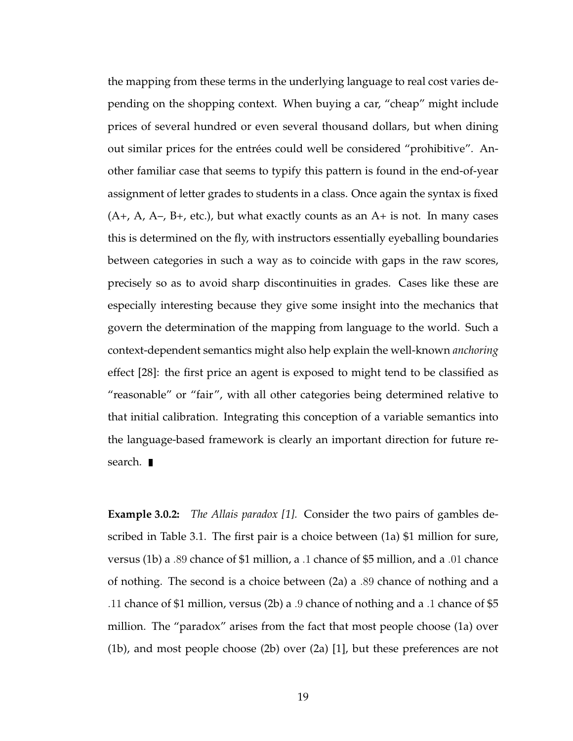the mapping from these terms in the underlying language to real cost varies depending on the shopping context. When buying a car, "cheap" might include prices of several hundred or even several thousand dollars, but when dining out similar prices for the entrées could well be considered "prohibitive". Another familiar case that seems to typify this pattern is found in the end-of-year assignment of letter grades to students in a class. Once again the syntax is fixed  $(A+, A, A-, B+, etc.),$  but what exactly counts as an  $A+$  is not. In many cases this is determined on the fly, with instructors essentially eyeballing boundaries between categories in such a way as to coincide with gaps in the raw scores, precisely so as to avoid sharp discontinuities in grades. Cases like these are especially interesting because they give some insight into the mechanics that govern the determination of the mapping from language to the world. Such a context-dependent semantics might also help explain the well-known *anchoring* effect [28]: the first price an agent is exposed to might tend to be classified as "reasonable" or "fair", with all other categories being determined relative to that initial calibration. Integrating this conception of a variable semantics into the language-based framework is clearly an important direction for future research.  $\blacksquare$ 

**Example 3.0.2:** *The Allais paradox [1].* Consider the two pairs of gambles described in Table 3.1. The first pair is a choice between (1a) \$1 million for sure, versus (1b) a .89 chance of \$1 million, a .1 chance of \$5 million, and a .01 chance of nothing. The second is a choice between (2a) a .89 chance of nothing and a .11 chance of \$1 million, versus (2b) a .9 chance of nothing and a .1 chance of \$5 million. The "paradox" arises from the fact that most people choose (1a) over (1b), and most people choose (2b) over (2a) [1], but these preferences are not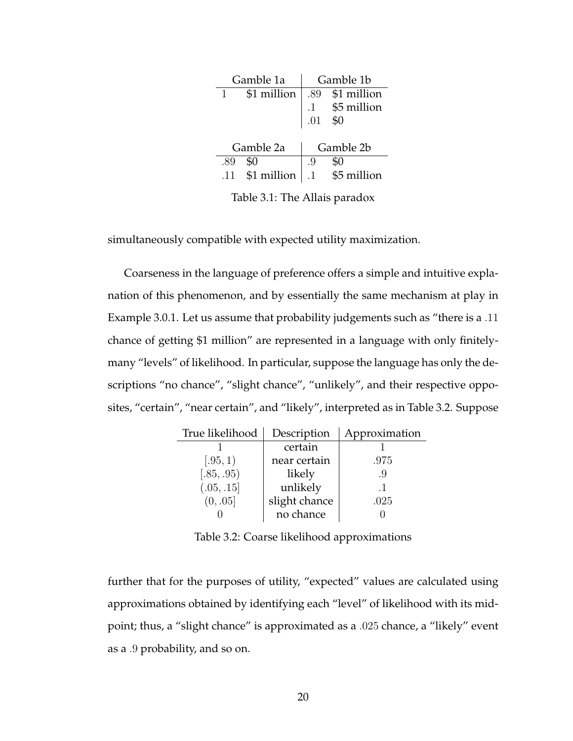|     | Gamble 1a                          |    | Gamble 1b                   |
|-----|------------------------------------|----|-----------------------------|
|     | \$1 million                        |    | $\vert$ .89 \$1 million     |
|     |                                    |    |                             |
|     |                                    |    | .1 $$5$ million<br>.01 $$0$ |
|     |                                    |    |                             |
|     | Gamble 2a                          |    | Gamble 2b                   |
| .89 |                                    | .9 |                             |
| .11 | \$1 million $\vert .1$ \$5 million |    |                             |

Table 3.1: The Allais paradox

simultaneously compatible with expected utility maximization.

Coarseness in the language of preference offers a simple and intuitive explanation of this phenomenon, and by essentially the same mechanism at play in Example 3.0.1. Let us assume that probability judgements such as "there is a .11 chance of getting \$1 million" are represented in a language with only finitelymany "levels" of likelihood. In particular, suppose the language has only the descriptions "no chance", "slight chance", "unlikely", and their respective opposites, "certain", "near certain", and "likely", interpreted as in Table 3.2. Suppose

| True likelihood | Description   | Approximation |
|-----------------|---------------|---------------|
|                 | certain       |               |
| (.95,1)         | near certain  | .975          |
| (.85, .95)      | likely        | .9            |
| (.05, .15]      | unlikely      | $\cdot$ 1     |
| (0, .05]        | slight chance | .025          |
|                 | no chance     |               |

Table 3.2: Coarse likelihood approximations

further that for the purposes of utility, "expected" values are calculated using approximations obtained by identifying each "level" of likelihood with its midpoint; thus, a "slight chance" is approximated as a .025 chance, a "likely" event as a .9 probability, and so on.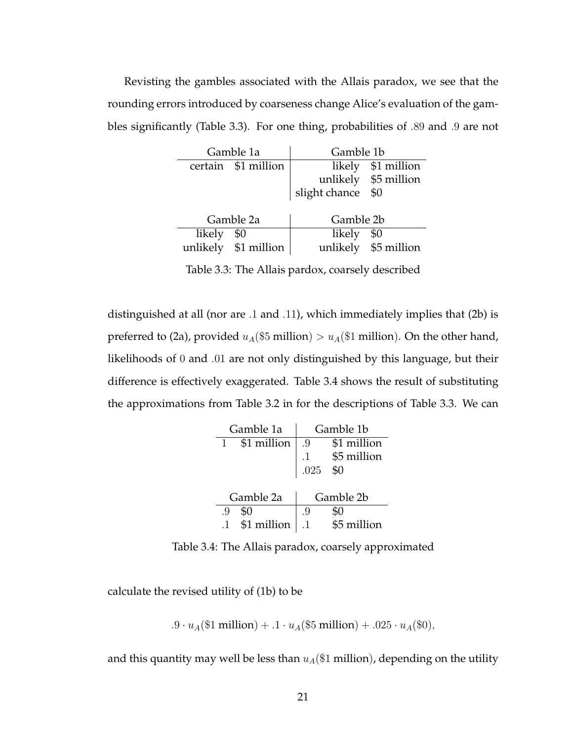Revisting the gambles associated with the Allais paradox, we see that the rounding errors introduced by coarseness change Alice's evaluation of the gambles significantly (Table 3.3). For one thing, probabilities of .89 and .9 are not

|        | Gamble 1a            | Gamble 1b     |                      |
|--------|----------------------|---------------|----------------------|
|        | certain \$1 million  |               | likely \$1 million   |
|        |                      |               | unlikely \$5 million |
|        |                      | slight chance | \$0                  |
|        |                      |               |                      |
|        | Gamble 2a            | Gamble 2b     |                      |
| likely | \$0                  | likely        | \$0                  |
|        | unlikely \$1 million |               | unlikely \$5 million |
|        |                      |               |                      |

Table 3.3: The Allais pardox, coarsely described

distinguished at all (nor are .1 and .11), which immediately implies that (2b) is preferred to (2a), provided  $u_A(\$5$  million) >  $u_A(\$1$  million). On the other hand, likelihoods of 0 and .01 are not only distinguished by this language, but their difference is effectively exaggerated. Table 3.4 shows the result of substituting the approximations from Table 3.2 in for the descriptions of Table 3.3. We can

| Gamble 1a   | Gamble 1b                                                             |
|-------------|-----------------------------------------------------------------------|
| \$1 million | \$1 million<br>.9                                                     |
|             |                                                                       |
|             | $\begin{tabular}{ll} -1 & $\$5$ million \\ 025 & $0 \\ \end{tabular}$ |
|             |                                                                       |
| Gamble 2a   | Gamble 2b                                                             |
| \$0<br>.9   | .9                                                                    |
| \$1 million | \$5 million                                                           |

Table 3.4: The Allais paradox, coarsely approximated

calculate the revised utility of (1b) to be

.9 ·  $u_A(\$1 \text{ million}) + .1 \cdot u_A(\$5 \text{ million}) + .025 \cdot u_A(\$0),$ 

and this quantity may well be less than  $u_A(\$1\text{ million})$ , depending on the utility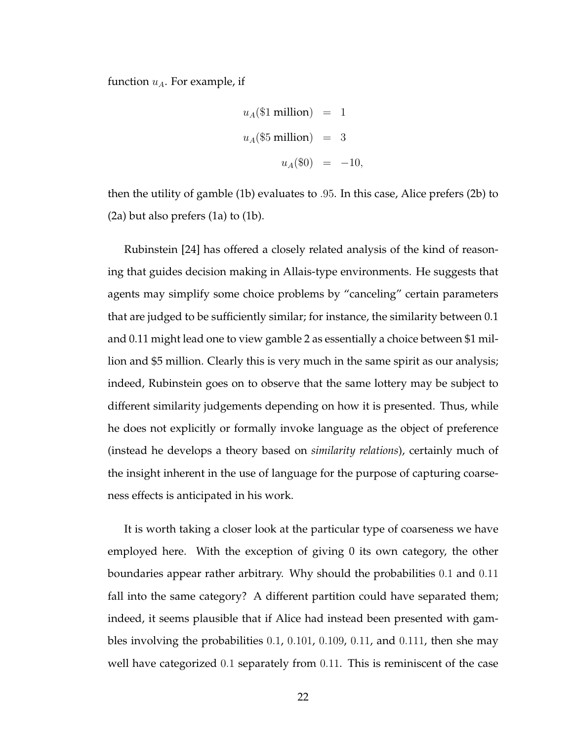function  $u_A$ . For example, if

$$
u_A(\$1 \text{ million}) = 1
$$
  

$$
u_A(\$5 \text{ million}) = 3
$$
  

$$
u_A(\$0) = -10,
$$

then the utility of gamble (1b) evaluates to .95. In this case, Alice prefers (2b) to (2a) but also prefers (1a) to (1b).

Rubinstein [24] has offered a closely related analysis of the kind of reasoning that guides decision making in Allais-type environments. He suggests that agents may simplify some choice problems by "canceling" certain parameters that are judged to be sufficiently similar; for instance, the similarity between 0.1 and 0.11 might lead one to view gamble 2 as essentially a choice between \$1 million and \$5 million. Clearly this is very much in the same spirit as our analysis; indeed, Rubinstein goes on to observe that the same lottery may be subject to different similarity judgements depending on how it is presented. Thus, while he does not explicitly or formally invoke language as the object of preference (instead he develops a theory based on *similarity relations*), certainly much of the insight inherent in the use of language for the purpose of capturing coarseness effects is anticipated in his work.

It is worth taking a closer look at the particular type of coarseness we have employed here. With the exception of giving 0 its own category, the other boundaries appear rather arbitrary. Why should the probabilities 0.1 and 0.11 fall into the same category? A different partition could have separated them; indeed, it seems plausible that if Alice had instead been presented with gambles involving the probabilities 0.1, 0.101, 0.109, 0.11, and 0.111, then she may well have categorized 0.1 separately from 0.11. This is reminiscent of the case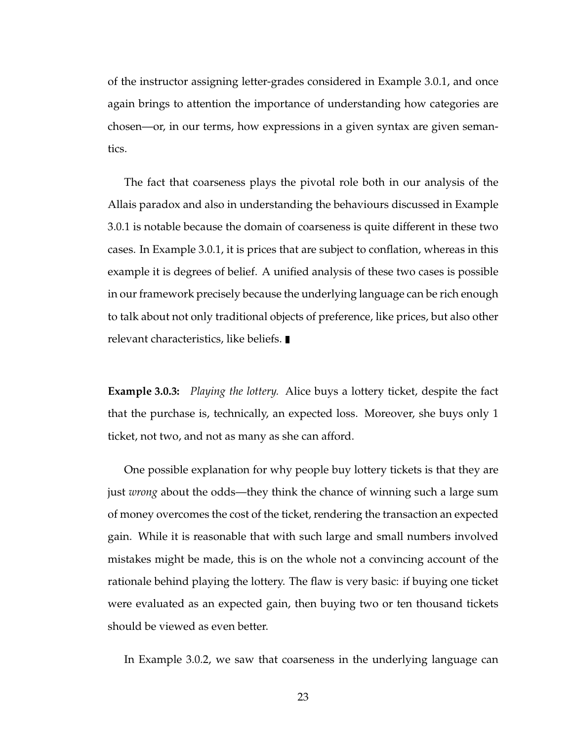of the instructor assigning letter-grades considered in Example 3.0.1, and once again brings to attention the importance of understanding how categories are chosen—or, in our terms, how expressions in a given syntax are given semantics.

The fact that coarseness plays the pivotal role both in our analysis of the Allais paradox and also in understanding the behaviours discussed in Example 3.0.1 is notable because the domain of coarseness is quite different in these two cases. In Example 3.0.1, it is prices that are subject to conflation, whereas in this example it is degrees of belief. A unified analysis of these two cases is possible in our framework precisely because the underlying language can be rich enough to talk about not only traditional objects of preference, like prices, but also other relevant characteristics, like beliefs.

**Example 3.0.3:** *Playing the lottery.* Alice buys a lottery ticket, despite the fact that the purchase is, technically, an expected loss. Moreover, she buys only 1 ticket, not two, and not as many as she can afford.

One possible explanation for why people buy lottery tickets is that they are just *wrong* about the odds—they think the chance of winning such a large sum of money overcomes the cost of the ticket, rendering the transaction an expected gain. While it is reasonable that with such large and small numbers involved mistakes might be made, this is on the whole not a convincing account of the rationale behind playing the lottery. The flaw is very basic: if buying one ticket were evaluated as an expected gain, then buying two or ten thousand tickets should be viewed as even better.

In Example 3.0.2, we saw that coarseness in the underlying language can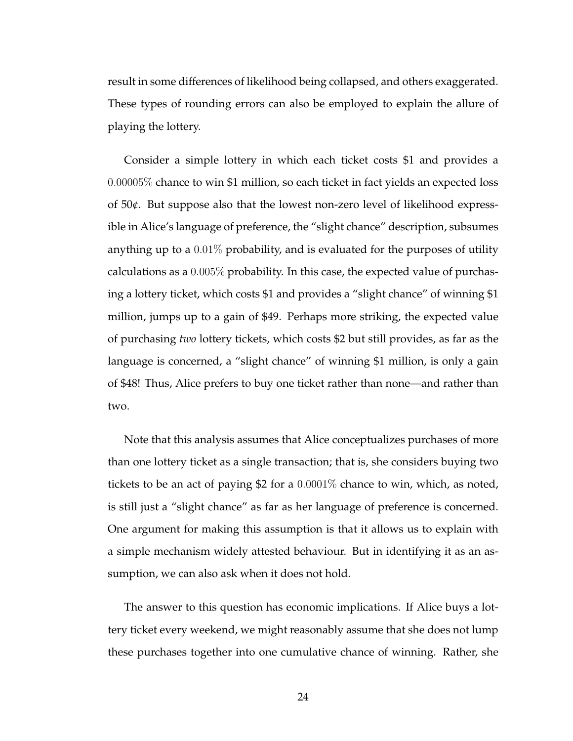result in some differences of likelihood being collapsed, and others exaggerated. These types of rounding errors can also be employed to explain the allure of playing the lottery.

Consider a simple lottery in which each ticket costs \$1 and provides a 0.00005% chance to win \$1 million, so each ticket in fact yields an expected loss of 50¢. But suppose also that the lowest non-zero level of likelihood expressible in Alice's language of preference, the "slight chance" description, subsumes anything up to a  $0.01\%$  probability, and is evaluated for the purposes of utility calculations as a 0.005% probability. In this case, the expected value of purchasing a lottery ticket, which costs \$1 and provides a "slight chance" of winning \$1 million, jumps up to a gain of \$49. Perhaps more striking, the expected value of purchasing *two* lottery tickets, which costs \$2 but still provides, as far as the language is concerned, a "slight chance" of winning \$1 million, is only a gain of \$48! Thus, Alice prefers to buy one ticket rather than none—and rather than two.

Note that this analysis assumes that Alice conceptualizes purchases of more than one lottery ticket as a single transaction; that is, she considers buying two tickets to be an act of paying \$2 for a 0.0001% chance to win, which, as noted, is still just a "slight chance" as far as her language of preference is concerned. One argument for making this assumption is that it allows us to explain with a simple mechanism widely attested behaviour. But in identifying it as an assumption, we can also ask when it does not hold.

The answer to this question has economic implications. If Alice buys a lottery ticket every weekend, we might reasonably assume that she does not lump these purchases together into one cumulative chance of winning. Rather, she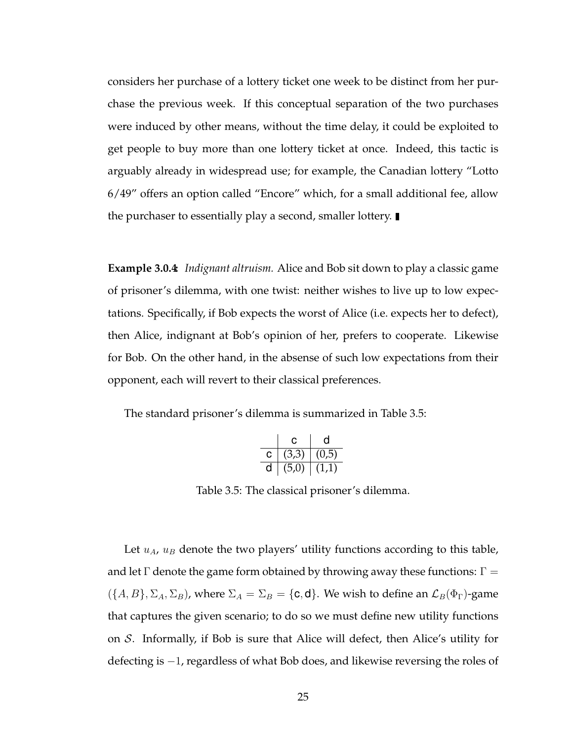considers her purchase of a lottery ticket one week to be distinct from her purchase the previous week. If this conceptual separation of the two purchases were induced by other means, without the time delay, it could be exploited to get people to buy more than one lottery ticket at once. Indeed, this tactic is arguably already in widespread use; for example, the Canadian lottery "Lotto 6/49" offers an option called "Encore" which, for a small additional fee, allow the purchaser to essentially play a second, smaller lottery.

**Example 3.0.4:** *Indignant altruism.* Alice and Bob sit down to play a classic game of prisoner's dilemma, with one twist: neither wishes to live up to low expectations. Specifically, if Bob expects the worst of Alice (i.e. expects her to defect), then Alice, indignant at Bob's opinion of her, prefers to cooperate. Likewise for Bob. On the other hand, in the absense of such low expectations from their opponent, each will revert to their classical preferences.

The standard prisoner's dilemma is summarized in Table 3.5:

|   | C.    | n     |
|---|-------|-------|
| С | (3.3) | (d.U) |
|   | (5.0) |       |

Table 3.5: The classical prisoner's dilemma.

Let  $u_A$ ,  $u_B$  denote the two players' utility functions according to this table, and let  $\Gamma$  denote the game form obtained by throwing away these functions:  $\Gamma =$  $({A, B}, \Sigma_A, \Sigma_B)$ , where  $\Sigma_A = \Sigma_B = {\bf{c, d}}$ . We wish to define an  $\mathcal{L}_B(\Phi_\Gamma)$ -game that captures the given scenario; to do so we must define new utility functions on S. Informally, if Bob is sure that Alice will defect, then Alice's utility for defecting is −1, regardless of what Bob does, and likewise reversing the roles of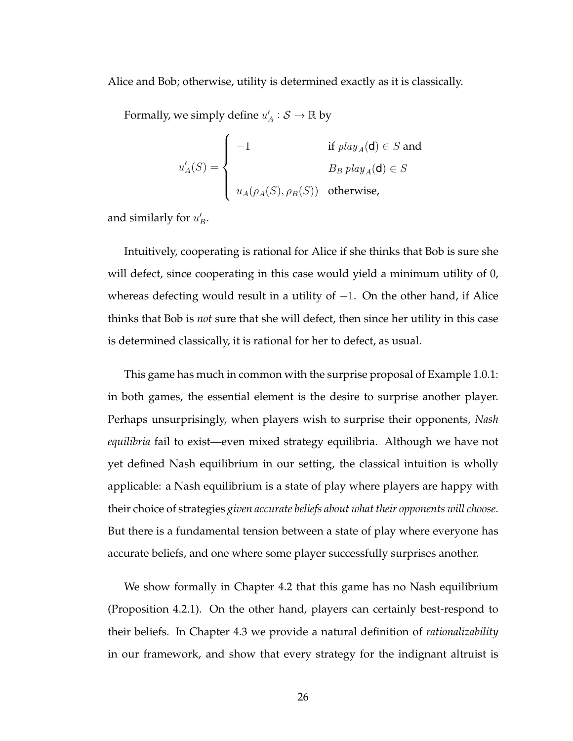Alice and Bob; otherwise, utility is determined exactly as it is classically.

Formally, we simply define  $u'_A : \mathcal{S} \to \mathbb{R}$  by

$$
u'_{A}(S) = \begin{cases}\n-1 & \text{if } play_{A}(\mathbf{d}) \in S \text{ and} \\
B_B \, play_{A}(\mathbf{d}) \in S \\
u_{A}(\rho_{A}(S), \rho_{B}(S)) & \text{otherwise,} \n\end{cases}
$$

and similarly for  $u'_B$ .

Intuitively, cooperating is rational for Alice if she thinks that Bob is sure she will defect, since cooperating in this case would yield a minimum utility of 0, whereas defecting would result in a utility of  $-1$ . On the other hand, if Alice thinks that Bob is *not* sure that she will defect, then since her utility in this case is determined classically, it is rational for her to defect, as usual.

This game has much in common with the surprise proposal of Example 1.0.1: in both games, the essential element is the desire to surprise another player. Perhaps unsurprisingly, when players wish to surprise their opponents, *Nash equilibria* fail to exist—even mixed strategy equilibria. Although we have not yet defined Nash equilibrium in our setting, the classical intuition is wholly applicable: a Nash equilibrium is a state of play where players are happy with their choice of strategies *given accurate beliefs about what their opponents will choose*. But there is a fundamental tension between a state of play where everyone has accurate beliefs, and one where some player successfully surprises another.

We show formally in Chapter 4.2 that this game has no Nash equilibrium (Proposition 4.2.1). On the other hand, players can certainly best-respond to their beliefs. In Chapter 4.3 we provide a natural definition of *rationalizability* in our framework, and show that every strategy for the indignant altruist is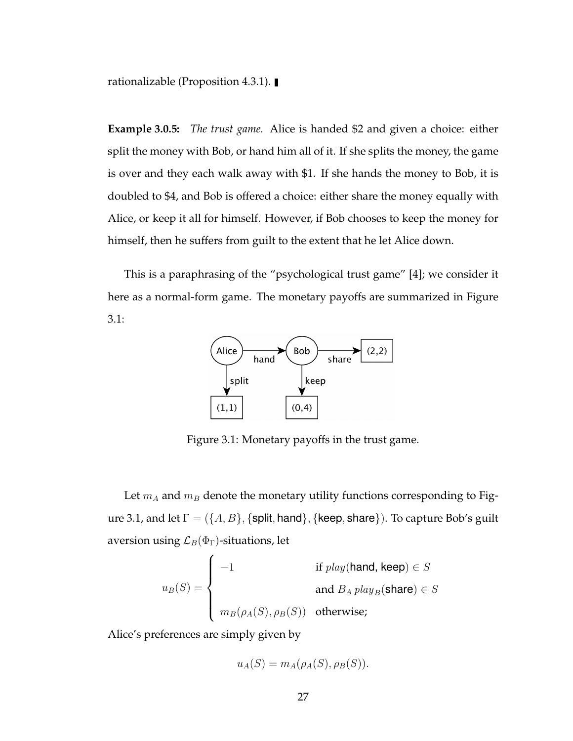rationalizable (Proposition 4.3.1).

**Example 3.0.5:** *The trust game.* Alice is handed \$2 and given a choice: either split the money with Bob, or hand him all of it. If she splits the money, the game is over and they each walk away with \$1. If she hands the money to Bob, it is doubled to \$4, and Bob is offered a choice: either share the money equally with Alice, or keep it all for himself. However, if Bob chooses to keep the money for himself, then he suffers from guilt to the extent that he let Alice down.

This is a paraphrasing of the "psychological trust game" [4]; we consider it here as a normal-form game. The monetary payoffs are summarized in Figure 3.1:



Figure 3.1: Monetary payoffs in the trust game.

Let  $m_A$  and  $m_B$  denote the monetary utility functions corresponding to Figure 3.1, and let  $\Gamma = (\{A, B\}, \{\text{split}, \text{hand}\}, \{\text{keep}, \text{share}\}).$  To capture Bob's guilt aversion using  $\mathcal{L}_B(\Phi_{\Gamma})$ -situations, let

$$
u_B(S) = \begin{cases}\n-1 & \text{if } play(\text{hand, keep}) \in S \\
& \text{and } B_A \, play_B(\text{share}) \in S \\
& m_B(\rho_A(S), \rho_B(S)) & \text{otherwise};\n\end{cases}
$$

Alice's preferences are simply given by

$$
u_A(S) = m_A(\rho_A(S), \rho_B(S)).
$$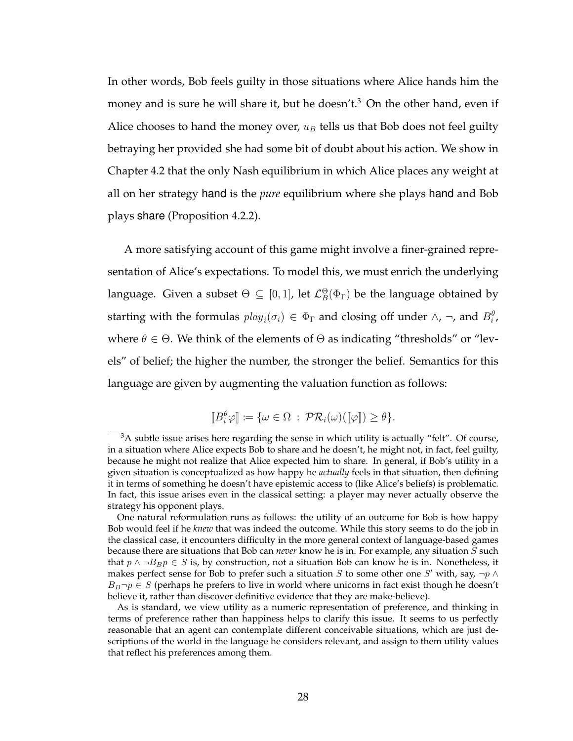In other words, Bob feels guilty in those situations where Alice hands him the money and is sure he will share it, but he doesn't.<sup>3</sup> On the other hand, even if Alice chooses to hand the money over,  $u_B$  tells us that Bob does not feel guilty betraying her provided she had some bit of doubt about his action. We show in Chapter 4.2 that the only Nash equilibrium in which Alice places any weight at all on her strategy hand is the *pure* equilibrium where she plays hand and Bob plays share (Proposition 4.2.2).

A more satisfying account of this game might involve a finer-grained representation of Alice's expectations. To model this, we must enrich the underlying language. Given a subset  $\Theta \subseteq [0,1]$ , let  ${\mathcal L}^\Theta_B(\Phi_\Gamma)$  be the language obtained by starting with the formulas  $play_i(\sigma_i) \in \Phi_{\Gamma}$  and closing off under  $\wedge$ ,  $\neg$ , and  $B_i^{\theta}$ , where  $\theta \in \Theta$ . We think of the elements of  $\Theta$  as indicating "thresholds" or "levels" of belief; the higher the number, the stronger the belief. Semantics for this language are given by augmenting the valuation function as follows:

$$
[\![B_i^{\theta}\varphi]\!]:=\{\omega\in\Omega\,:\,\mathcal{PR}_i(\omega)([\![\varphi]\!])\geq\theta\}.
$$

 $3A$  subtle issue arises here regarding the sense in which utility is actually "felt". Of course, in a situation where Alice expects Bob to share and he doesn't, he might not, in fact, feel guilty, because he might not realize that Alice expected him to share. In general, if Bob's utility in a given situation is conceptualized as how happy he *actually* feels in that situation, then defining it in terms of something he doesn't have epistemic access to (like Alice's beliefs) is problematic. In fact, this issue arises even in the classical setting: a player may never actually observe the strategy his opponent plays.

One natural reformulation runs as follows: the utility of an outcome for Bob is how happy Bob would feel if he *knew* that was indeed the outcome. While this story seems to do the job in the classical case, it encounters difficulty in the more general context of language-based games because there are situations that Bob can *never* know he is in. For example, any situation S such that  $p \land \neg B_B p \in S$  is, by construction, not a situation Bob can know he is in. Nonetheless, it makes perfect sense for Bob to prefer such a situation S to some other one S' with, say,  $\neg p \land p$  $B_B\neg p \in S$  (perhaps he prefers to live in world where unicorns in fact exist though he doesn't believe it, rather than discover definitive evidence that they are make-believe).

As is standard, we view utility as a numeric representation of preference, and thinking in terms of preference rather than happiness helps to clarify this issue. It seems to us perfectly reasonable that an agent can contemplate different conceivable situations, which are just descriptions of the world in the language he considers relevant, and assign to them utility values that reflect his preferences among them.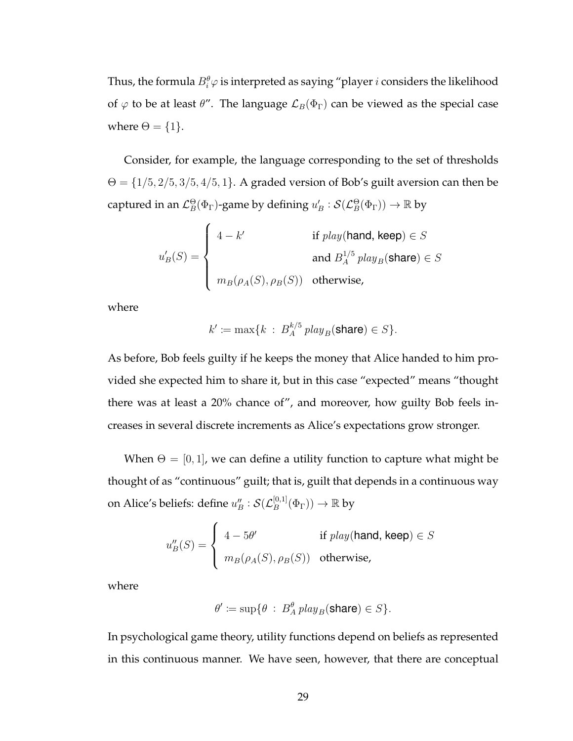Thus, the formula  $B_i^{\theta} \varphi$  is interpreted as saying "player  $i$  considers the likelihood of  $\varphi$  to be at least  $\theta''$ . The language  $\mathcal{L}_B(\Phi_{\Gamma})$  can be viewed as the special case where  $\Theta = \{1\}.$ 

Consider, for example, the language corresponding to the set of thresholds  $\Theta = \{1/5, 2/5, 3/5, 4/5, 1\}$ . A graded version of Bob's guilt aversion can then be captured in an  $\mathcal{L}_{B}^{\Theta}(\Phi_{\Gamma})$ -game by defining  $u'_{B}:\mathcal{S}(\mathcal{L}_{B}^{\Theta}(\Phi_{\Gamma}))\to \mathbb{R}$  by

$$
u'_{B}(S) = \begin{cases} 4 - k' & \text{if } play(\text{hand, keep}) \in S \\ & \text{and } B_A^{1/5} \text{ play}_B(\text{share}) \in S \\ m_B(\rho_A(S), \rho_B(S)) & \text{otherwise,} \end{cases}
$$

where

$$
k' := \max\{k \ : \ B_A^{k/5} \, play_B(\text{share}) \in S\}.
$$

As before, Bob feels guilty if he keeps the money that Alice handed to him provided she expected him to share it, but in this case "expected" means "thought there was at least a 20% chance of", and moreover, how guilty Bob feels increases in several discrete increments as Alice's expectations grow stronger.

When  $\Theta = [0, 1]$ , we can define a utility function to capture what might be thought of as "continuous" guilt; that is, guilt that depends in a continuous way on Alice's beliefs: define  $u_B''$  :  $\mathcal{S}({\mathcal L}_B^{[0,1]}$  $_{B}^{[0,1]}(\Phi_{\Gamma}))\rightarrow\mathbb{R}$  by

$$
u''_B(S) = \begin{cases} 4 - 5\theta' & \text{if } play(\text{hand, keep}) \in S \\ m_B(\rho_A(S), \rho_B(S)) & \text{otherwise,} \end{cases}
$$

where

$$
\theta' \coloneqq \sup \{ \theta \, : \, B_A^{\theta} \, play_B(\text{share}) \in S \}.
$$

In psychological game theory, utility functions depend on beliefs as represented in this continuous manner. We have seen, however, that there are conceptual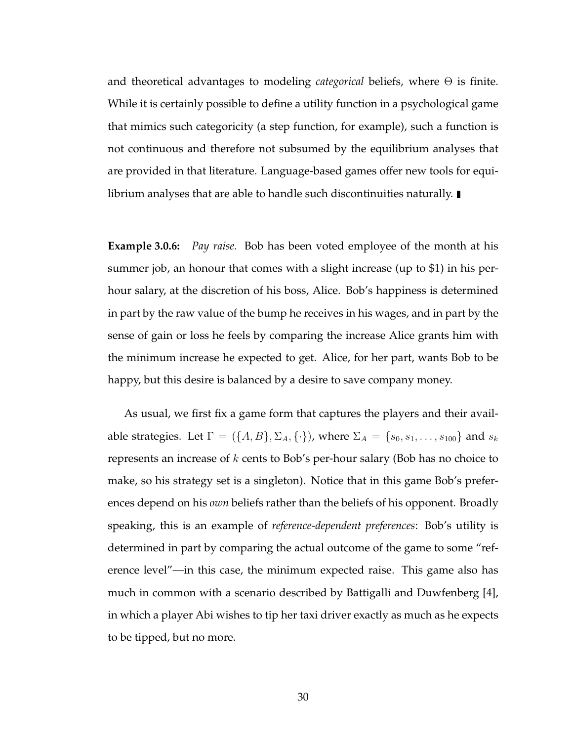and theoretical advantages to modeling *categorical* beliefs, where Θ is finite. While it is certainly possible to define a utility function in a psychological game that mimics such categoricity (a step function, for example), such a function is not continuous and therefore not subsumed by the equilibrium analyses that are provided in that literature. Language-based games offer new tools for equilibrium analyses that are able to handle such discontinuities naturally.  $\blacksquare$ 

**Example 3.0.6:** *Pay raise.* Bob has been voted employee of the month at his summer job, an honour that comes with a slight increase (up to \$1) in his perhour salary, at the discretion of his boss, Alice. Bob's happiness is determined in part by the raw value of the bump he receives in his wages, and in part by the sense of gain or loss he feels by comparing the increase Alice grants him with the minimum increase he expected to get. Alice, for her part, wants Bob to be happy, but this desire is balanced by a desire to save company money.

As usual, we first fix a game form that captures the players and their available strategies. Let  $\Gamma = (\{A, B\}, \Sigma_A, \{\cdot\})$ , where  $\Sigma_A = \{s_0, s_1, \ldots, s_{100}\}$  and  $s_k$ represents an increase of  $k$  cents to Bob's per-hour salary (Bob has no choice to make, so his strategy set is a singleton). Notice that in this game Bob's preferences depend on his *own* beliefs rather than the beliefs of his opponent. Broadly speaking, this is an example of *reference-dependent preferences*: Bob's utility is determined in part by comparing the actual outcome of the game to some "reference level"—in this case, the minimum expected raise. This game also has much in common with a scenario described by Battigalli and Duwfenberg [4], in which a player Abi wishes to tip her taxi driver exactly as much as he expects to be tipped, but no more.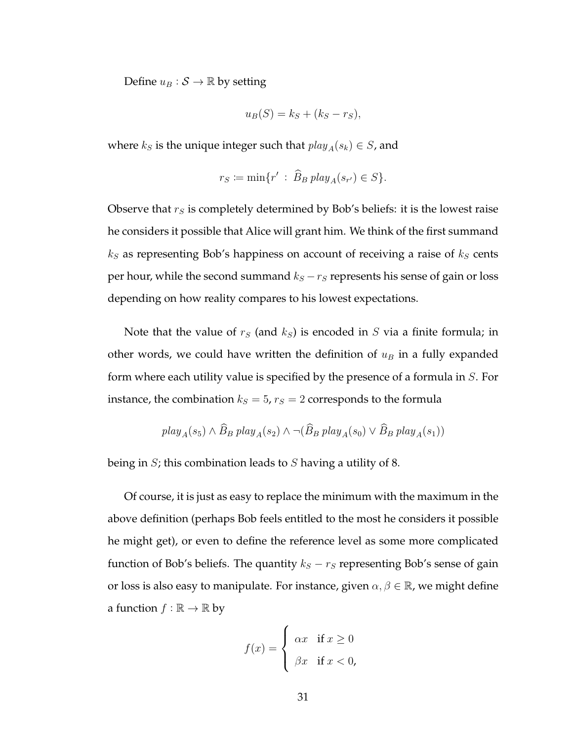Define  $u_B : \mathcal{S} \to \mathbb{R}$  by setting

$$
u_B(S) = k_S + (k_S - r_S),
$$

where  $k_S$  is the unique integer such that  $play_A(s_k) \in S$ , and

$$
r_S := \min\{r' \,:\, \widehat{B}_B \, play_A(s_{r'}) \in S\}.
$$

Observe that  $r<sub>S</sub>$  is completely determined by Bob's beliefs: it is the lowest raise he considers it possible that Alice will grant him. We think of the first summand  $k<sub>S</sub>$  as representing Bob's happiness on account of receiving a raise of  $k<sub>S</sub>$  cents per hour, while the second summand  $k_S - r_S$  represents his sense of gain or loss depending on how reality compares to his lowest expectations.

Note that the value of  $r<sub>S</sub>$  (and  $k<sub>S</sub>$ ) is encoded in S via a finite formula; in other words, we could have written the definition of  $u_B$  in a fully expanded form where each utility value is specified by the presence of a formula in S. For instance, the combination  $k_S = 5$ ,  $r_S = 2$  corresponds to the formula

$$
play_A(s_5) \land \widehat{B}_B \ play_A(s_2) \land \neg (\widehat{B}_B \ play_A(s_0) \lor \widehat{B}_B \ play_A(s_1))
$$

being in  $S$ ; this combination leads to  $S$  having a utility of 8.

Of course, it is just as easy to replace the minimum with the maximum in the above definition (perhaps Bob feels entitled to the most he considers it possible he might get), or even to define the reference level as some more complicated function of Bob's beliefs. The quantity  $k<sub>S</sub> - r<sub>S</sub>$  representing Bob's sense of gain or loss is also easy to manipulate. For instance, given  $\alpha, \beta \in \mathbb{R}$ , we might define a function  $f : \mathbb{R} \to \mathbb{R}$  by

$$
f(x) = \begin{cases} \alpha x & \text{if } x \ge 0 \\ \beta x & \text{if } x < 0, \end{cases}
$$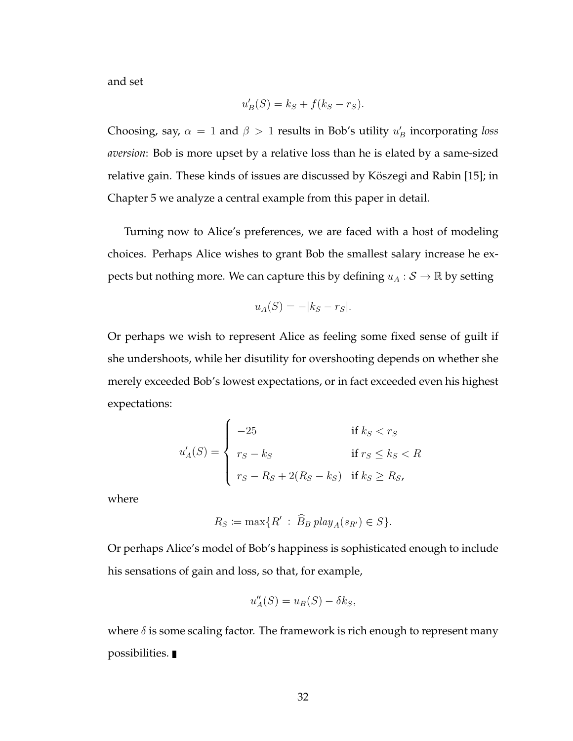and set

$$
u'_B(S) = k_S + f(k_S - r_S).
$$

Choosing, say,  $\alpha = 1$  and  $\beta > 1$  results in Bob's utility  $u'_B$  incorporating *loss aversion*: Bob is more upset by a relative loss than he is elated by a same-sized relative gain. These kinds of issues are discussed by Köszegi and Rabin [15]; in Chapter 5 we analyze a central example from this paper in detail.

Turning now to Alice's preferences, we are faced with a host of modeling choices. Perhaps Alice wishes to grant Bob the smallest salary increase he expects but nothing more. We can capture this by defining  $u_A : \mathcal{S} \to \mathbb{R}$  by setting

$$
u_A(S) = -|k_S - r_S|.
$$

Or perhaps we wish to represent Alice as feeling some fixed sense of guilt if she undershoots, while her disutility for overshooting depends on whether she merely exceeded Bob's lowest expectations, or in fact exceeded even his highest expectations:

$$
u'_{A}(S) = \begin{cases}\n-25 & \text{if } k_S < r_S \\
r_S - k_S & \text{if } r_S \le k_S < R \\
r_S - R_S + 2(R_S - k_S) & \text{if } k_S \ge R_S,\n\end{cases}
$$

where

$$
R_S := \max\{R' : \widehat{B}_B \, play_A(s_{R'}) \in S\}.
$$

Or perhaps Alice's model of Bob's happiness is sophisticated enough to include his sensations of gain and loss, so that, for example,

$$
u_A''(S) = u_B(S) - \delta k_S,
$$

where  $\delta$  is some scaling factor. The framework is rich enough to represent many possibilities.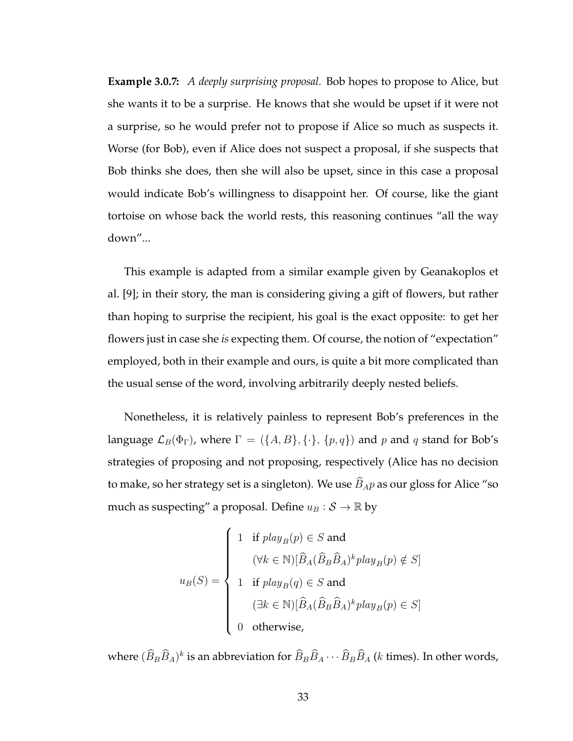**Example 3.0.7:** *A deeply surprising proposal.* Bob hopes to propose to Alice, but she wants it to be a surprise. He knows that she would be upset if it were not a surprise, so he would prefer not to propose if Alice so much as suspects it. Worse (for Bob), even if Alice does not suspect a proposal, if she suspects that Bob thinks she does, then she will also be upset, since in this case a proposal would indicate Bob's willingness to disappoint her. Of course, like the giant tortoise on whose back the world rests, this reasoning continues "all the way down"...

This example is adapted from a similar example given by Geanakoplos et al. [9]; in their story, the man is considering giving a gift of flowers, but rather than hoping to surprise the recipient, his goal is the exact opposite: to get her flowers just in case she *is* expecting them. Of course, the notion of "expectation" employed, both in their example and ours, is quite a bit more complicated than the usual sense of the word, involving arbitrarily deeply nested beliefs.

Nonetheless, it is relatively painless to represent Bob's preferences in the language  $\mathcal{L}_B(\Phi_{\Gamma})$ , where  $\Gamma = (\{A, B\}, \{\cdot\}, \{p, q\})$  and p and q stand for Bob's strategies of proposing and not proposing, respectively (Alice has no decision to make, so her strategy set is a singleton). We use  $\widehat{B}_{AP}$  as our gloss for Alice "so much as suspecting" a proposal. Define  $u_B : \mathcal{S} \to \mathbb{R}$  by

$$
u_B(S) = \begin{cases} 1 & \text{if } play_B(p) \in S \text{ and} \\ & (\forall k \in \mathbb{N})[\widehat{B}_A(\widehat{B}_B\widehat{B}_A)^k play_B(p) \notin S] \\ & 1 & \text{if } play_B(q) \in S \text{ and} \\ & (\exists k \in \mathbb{N})[\widehat{B}_A(\widehat{B}_B\widehat{B}_A)^k play_B(p) \in S] \\ 0 & \text{otherwise,} \end{cases}
$$

where  $(\widehat{B}_B \widehat{B}_A)^k$  is an abbreviation for  $\widehat{B}_B \widehat{B}_A \cdots \widehat{B}_B \widehat{B}_A$  (*k* times). In other words,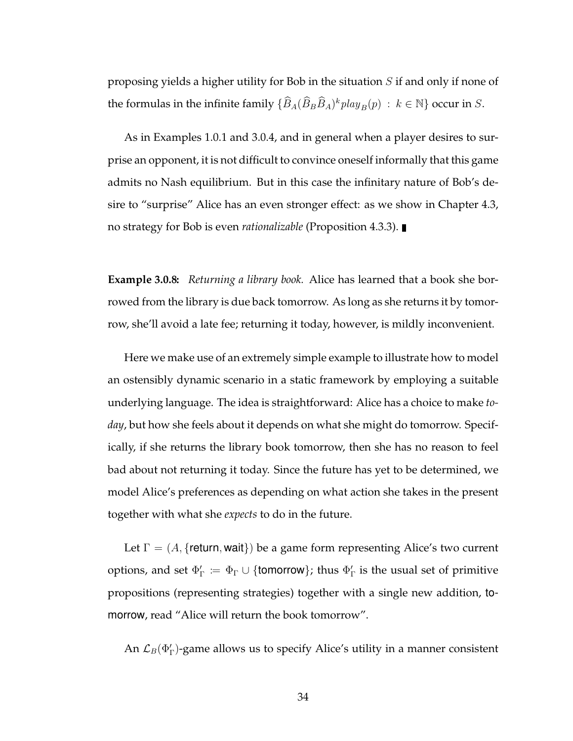proposing yields a higher utility for Bob in the situation S if and only if none of the formulas in the infinite family  $\{\widehat{B}_A(\widehat{B}_B\widehat{B}_A)^kplay_B(p) \; : \; k \in \mathbb{N}\}$  occur in  $S.$ 

As in Examples 1.0.1 and 3.0.4, and in general when a player desires to surprise an opponent, it is not difficult to convince oneself informally that this game admits no Nash equilibrium. But in this case the infinitary nature of Bob's desire to "surprise" Alice has an even stronger effect: as we show in Chapter 4.3, no strategy for Bob is even *rationalizable* (Proposition 4.3.3).

**Example 3.0.8:** *Returning a library book.* Alice has learned that a book she borrowed from the library is due back tomorrow. As long as she returns it by tomorrow, she'll avoid a late fee; returning it today, however, is mildly inconvenient.

Here we make use of an extremely simple example to illustrate how to model an ostensibly dynamic scenario in a static framework by employing a suitable underlying language. The idea is straightforward: Alice has a choice to make *today*, but how she feels about it depends on what she might do tomorrow. Specifically, if she returns the library book tomorrow, then she has no reason to feel bad about not returning it today. Since the future has yet to be determined, we model Alice's preferences as depending on what action she takes in the present together with what she *expects* to do in the future.

Let  $\Gamma = (A, \{$ return, wait $\})$  be a game form representing Alice's two current options, and set  $\Phi_{\Gamma}':=\Phi_{\Gamma}\cup\{\textsf{tomorrow}\}$ ; thus  $\Phi_{\Gamma}'$  is the usual set of primitive propositions (representing strategies) together with a single new addition, tomorrow, read "Alice will return the book tomorrow".

An  $\mathcal{L}_B(\Phi_\Gamma')$ -game allows us to specify Alice's utility in a manner consistent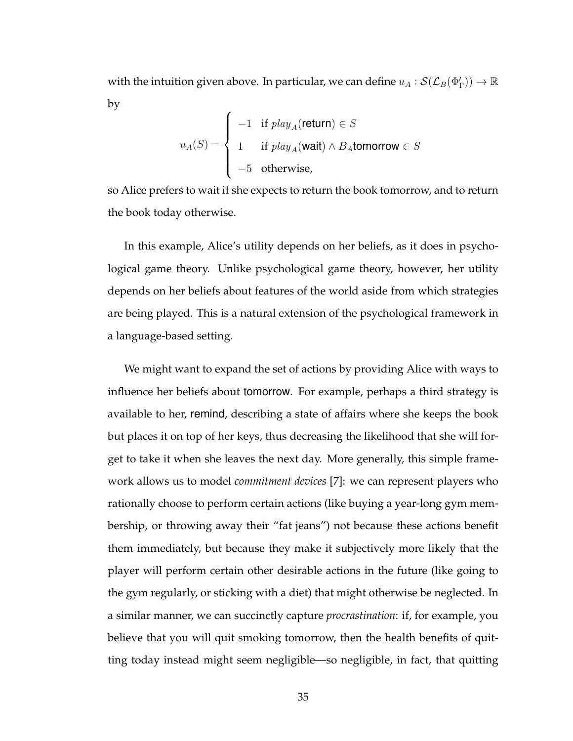with the intuition given above. In particular, we can define  $u_A:\mathcal{S}(\mathcal{L}_B(\Phi_\Gamma'))\to\mathbb{R}$ by

$$
u_A(S) = \begin{cases}\n-1 & \text{if } play_A(\text{return}) \in S \\
1 & \text{if } play_A(\text{wait}) \land B_A \text{tomorrow} \in S \\
-5 & \text{otherwise,} \n\end{cases}
$$

so Alice prefers to wait if she expects to return the book tomorrow, and to return the book today otherwise.

In this example, Alice's utility depends on her beliefs, as it does in psychological game theory. Unlike psychological game theory, however, her utility depends on her beliefs about features of the world aside from which strategies are being played. This is a natural extension of the psychological framework in a language-based setting.

We might want to expand the set of actions by providing Alice with ways to influence her beliefs about tomorrow. For example, perhaps a third strategy is available to her, remind, describing a state of affairs where she keeps the book but places it on top of her keys, thus decreasing the likelihood that she will forget to take it when she leaves the next day. More generally, this simple framework allows us to model *commitment devices* [7]: we can represent players who rationally choose to perform certain actions (like buying a year-long gym membership, or throwing away their "fat jeans") not because these actions benefit them immediately, but because they make it subjectively more likely that the player will perform certain other desirable actions in the future (like going to the gym regularly, or sticking with a diet) that might otherwise be neglected. In a similar manner, we can succinctly capture *procrastination*: if, for example, you believe that you will quit smoking tomorrow, then the health benefits of quitting today instead might seem negligible—so negligible, in fact, that quitting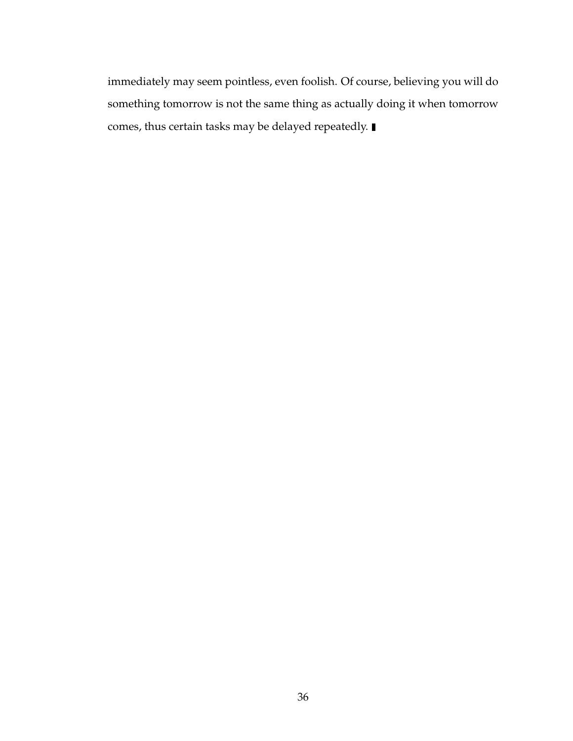immediately may seem pointless, even foolish. Of course, believing you will do something tomorrow is not the same thing as actually doing it when tomorrow comes, thus certain tasks may be delayed repeatedly.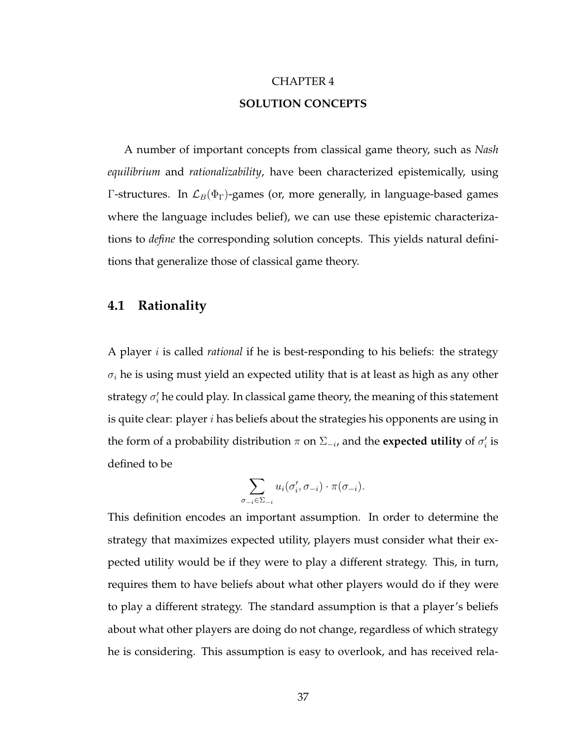# CHAPTER 4 **SOLUTION CONCEPTS**

A number of important concepts from classical game theory, such as *Nash equilibrium* and *rationalizability*, have been characterized epistemically, using Γ-structures. In  $\mathcal{L}_B(\Phi_\Gamma)$ -games (or, more generally, in language-based games where the language includes belief), we can use these epistemic characterizations to *define* the corresponding solution concepts. This yields natural definitions that generalize those of classical game theory.

### **4.1 Rationality**

A player i is called *rational* if he is best-responding to his beliefs: the strategy  $\sigma_i$  he is using must yield an expected utility that is at least as high as any other strategy  $\sigma'_i$  he could play. In classical game theory, the meaning of this statement is quite clear: player  $i$  has beliefs about the strategies his opponents are using in the form of a probability distribution  $\pi$  on  $\Sigma_{-i}$ , and the **expected utility** of  $\sigma'_i$  is defined to be

$$
\sum_{\sigma_{-i}\in\Sigma_{-i}} u_i(\sigma'_i,\sigma_{-i})\cdot\pi(\sigma_{-i}).
$$

This definition encodes an important assumption. In order to determine the strategy that maximizes expected utility, players must consider what their expected utility would be if they were to play a different strategy. This, in turn, requires them to have beliefs about what other players would do if they were to play a different strategy. The standard assumption is that a player's beliefs about what other players are doing do not change, regardless of which strategy he is considering. This assumption is easy to overlook, and has received rela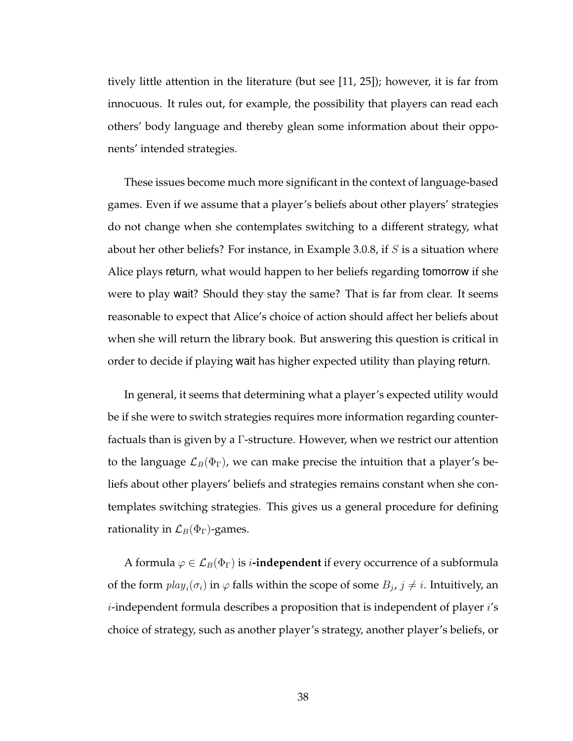tively little attention in the literature (but see [11, 25]); however, it is far from innocuous. It rules out, for example, the possibility that players can read each others' body language and thereby glean some information about their opponents' intended strategies.

These issues become much more significant in the context of language-based games. Even if we assume that a player's beliefs about other players' strategies do not change when she contemplates switching to a different strategy, what about her other beliefs? For instance, in Example 3.0.8, if  $S$  is a situation where Alice plays return, what would happen to her beliefs regarding tomorrow if she were to play wait? Should they stay the same? That is far from clear. It seems reasonable to expect that Alice's choice of action should affect her beliefs about when she will return the library book. But answering this question is critical in order to decide if playing wait has higher expected utility than playing return.

In general, it seems that determining what a player's expected utility would be if she were to switch strategies requires more information regarding counterfactuals than is given by a Γ-structure. However, when we restrict our attention to the language  $\mathcal{L}_B(\Phi_{\Gamma})$ , we can make precise the intuition that a player's beliefs about other players' beliefs and strategies remains constant when she contemplates switching strategies. This gives us a general procedure for defining rationality in  $\mathcal{L}_B(\Phi_{\Gamma})$ -games.

A formula  $\varphi \in \mathcal{L}_B(\Phi_{\Gamma})$  is *i***-independent** if every occurrence of a subformula of the form  $play_i(\sigma_i)$  in  $\varphi$  falls within the scope of some  $B_j$ ,  $j\neq i.$  Intuitively, an *i*-independent formula describes a proposition that is independent of player  $i$ 's choice of strategy, such as another player's strategy, another player's beliefs, or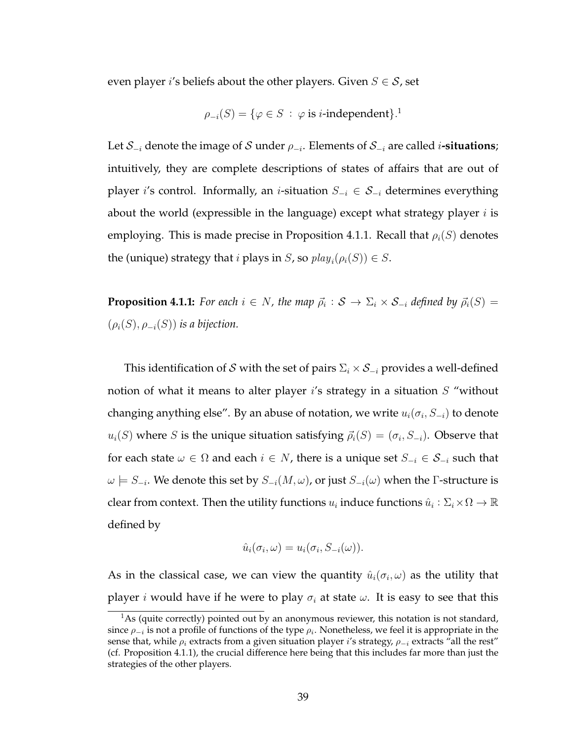even player *i*'s beliefs about the other players. Given  $S \in \mathcal{S}$ , set

$$
\rho_{-i}(S) = \{ \varphi \in S \; : \; \varphi \text{ is } i\text{-independent} \}.
$$

Let S<sup>−</sup><sup>i</sup> denote the image of S under ρ<sup>−</sup><sup>i</sup> . Elements of S<sup>−</sup><sup>i</sup> are called i**-situations**; intuitively, they are complete descriptions of states of affairs that are out of player i's control. Informally, an i-situation  $S_{-i} \in S_{-i}$  determines everything about the world (expressible in the language) except what strategy player  $i$  is employing. This is made precise in Proposition 4.1.1. Recall that  $\rho_i(S)$  denotes the (unique) strategy that *i* plays in *S*, so  $play_i(\rho_i(S)) \in S$ .

**Proposition 4.1.1:** For each  $i \in N$ , the map  $\vec{\rho}_i : \mathcal{S} \to \Sigma_i \times \mathcal{S}_{-i}$  defined by  $\vec{\rho}_i(S) =$  $(\rho_i(S), \rho_{-i}(S))$  *is a bijection.* 

This identification of S with the set of pairs  $\Sigma_i \times S_{-i}$  provides a well-defined notion of what it means to alter player  $i$ 's strategy in a situation  $S$  "without changing anything else". By an abuse of notation, we write  $u_i(\sigma_i, S_{-i})$  to denote  $u_i(S)$  where  $S$  is the unique situation satisfying  $\vec{\rho}_i(S) = (\sigma_i, S_{-i}).$  Observe that for each state  $\omega \in \Omega$  and each  $i \in N$ , there is a unique set  $S_{-i} \in S_{-i}$  such that  $\omega\models S_{-i}.$  We denote this set by  $S_{-i}(M,\omega)$ , or just  $S_{-i}(\omega)$  when the  $\Gamma$ -structure is clear from context. Then the utility functions  $u_i$  induce functions  $\hat{u}_i : \Sigma_i \times \overline{\Omega} \to \mathbb{R}$ defined by

$$
\hat{u}_i(\sigma_i, \omega) = u_i(\sigma_i, S_{-i}(\omega)).
$$

As in the classical case, we can view the quantity  $\hat{u}_i(\sigma_i,\omega)$  as the utility that player *i* would have if he were to play  $\sigma_i$  at state  $\omega$ . It is easy to see that this

 $<sup>1</sup>$ As (quite correctly) pointed out by an anonymous reviewer, this notation is not standard,</sup> since  $\rho_{-i}$  is not a profile of functions of the type  $\rho_i$ . Nonetheless, we feel it is appropriate in the sense that, while  $\rho_i$  extracts from a given situation player i's strategy,  $\rho_{-i}$  extracts "all the rest" (cf. Proposition 4.1.1), the crucial difference here being that this includes far more than just the strategies of the other players.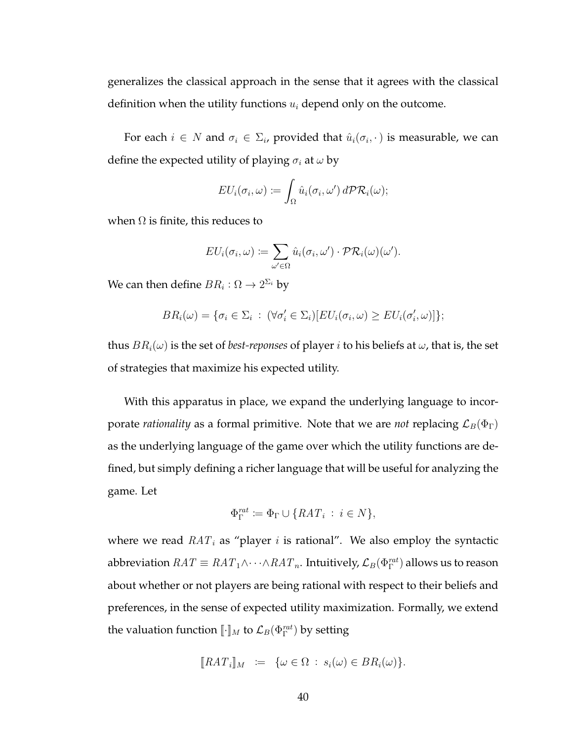generalizes the classical approach in the sense that it agrees with the classical definition when the utility functions  $u_i$  depend only on the outcome.

For each  $i \in N$  and  $\sigma_i \in \Sigma_i$ , provided that  $\hat{u}_i(\sigma_i, \cdot)$  is measurable, we can define the expected utility of playing  $\sigma_i$  at  $\omega$  by

$$
EU_i(\sigma_i, \omega) \coloneqq \int_{\Omega} \hat{u}_i(\sigma_i, \omega') \, d\mathcal{PR}_i(\omega);
$$

when  $\Omega$  is finite, this reduces to

$$
EU_i(\sigma_i, \omega) \coloneqq \sum_{\omega' \in \Omega} \hat{u}_i(\sigma_i, \omega') \cdot \mathcal{PR}_i(\omega)(\omega').
$$

We can then define  $BR_i:\Omega\to 2^{\Sigma_i}$  by

$$
BR_i(\omega) = \{ \sigma_i \in \Sigma_i : (\forall \sigma'_i \in \Sigma_i) [EU_i(\sigma_i, \omega) \geq EU_i(\sigma'_i, \omega)] \};
$$

thus  $BR_i(\omega)$  is the set of *best-reponses* of player *i* to his beliefs at  $\omega$ , that is, the set of strategies that maximize his expected utility.

With this apparatus in place, we expand the underlying language to incorporate *rationality* as a formal primitive. Note that we are *not* replacing  $\mathcal{L}_B(\Phi_{\Gamma})$ as the underlying language of the game over which the utility functions are defined, but simply defining a richer language that will be useful for analyzing the game. Let

$$
\Phi_{\Gamma}^{rat} \coloneqq \Phi_{\Gamma} \cup \{RAT_i \, : \, i \in N\},\
$$

where we read  $RAT_i$  as "player i is rational". We also employ the syntactic abbreviation  $RAT \equiv RAT_1 \wedge \cdots \wedge RAT_n.$  Intuitively,  $\mathcal{L}_B(\Phi^{rat}_\Gamma)$  allows us to reason about whether or not players are being rational with respect to their beliefs and preferences, in the sense of expected utility maximization. Formally, we extend the valuation function  $\llbracket \cdot \rrbracket_M$  to  $\mathcal{L}_B(\Phi^{nat}_\Gamma)$  by setting

$$
[\![RAT_i]\!]_M \; := \; \{\omega \in \Omega \, : \, s_i(\omega) \in BR_i(\omega) \}.
$$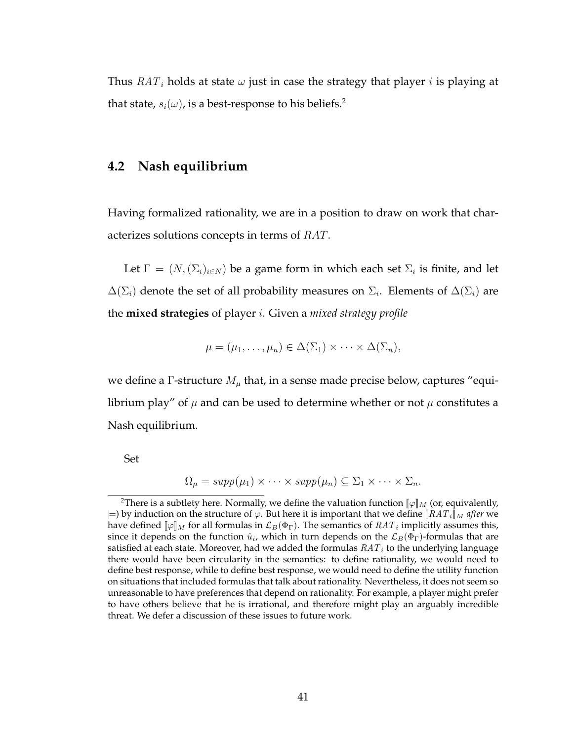Thus  $RAT_i$  holds at state  $\omega$  just in case the strategy that player *i* is playing at that state,  $s_i(\omega)$ , is a best-response to his beliefs.<sup>2</sup>

### **4.2 Nash equilibrium**

Having formalized rationality, we are in a position to draw on work that characterizes solutions concepts in terms of RAT.

Let  $\Gamma = (N, (\Sigma_i)_{i \in N})$  be a game form in which each set  $\Sigma_i$  is finite, and let  $\Delta(\Sigma_i)$  denote the set of all probability measures on  $\Sigma_i$ . Elements of  $\Delta(\Sigma_i)$  are the **mixed strategies** of player i. Given a *mixed strategy profile*

$$
\mu = (\mu_1, \ldots, \mu_n) \in \Delta(\Sigma_1) \times \cdots \times \Delta(\Sigma_n),
$$

we define a  $\Gamma$ -structure  $M_{\mu}$  that, in a sense made precise below, captures "equilibrium play" of  $\mu$  and can be used to determine whether or not  $\mu$  constitutes a Nash equilibrium.

Set

$$
\Omega_{\mu} = supp(\mu_1) \times \cdots \times supp(\mu_n) \subseteq \Sigma_1 \times \cdots \times \Sigma_n.
$$

<sup>&</sup>lt;sup>2</sup>There is a subtlety here. Normally, we define the valuation function  $\llbracket \varphi \rrbracket_M$  (or, equivalently,  $\models$ ) by induction on the structure of  $\varphi.$  But here it is important that we define  $\llbracket RAT_i \rrbracket_M$  *after* we have defined  $\llbracket \varphi \rrbracket_M$  for all formulas in  $\mathcal{L}_B(\Phi_\Gamma).$  The semantics of  $RAT_i$  implicitly assumes this, since it depends on the function  $\hat{u}_i$ , which in turn depends on the  $\mathcal{L}_B(\Phi_\Gamma)$ -formulas that are satisfied at each state. Moreover, had we added the formulas  $RAT_i$  to the underlying language there would have been circularity in the semantics: to define rationality, we would need to define best response, while to define best response, we would need to define the utility function on situations that included formulas that talk about rationality. Nevertheless, it does not seem so unreasonable to have preferences that depend on rationality. For example, a player might prefer to have others believe that he is irrational, and therefore might play an arguably incredible threat. We defer a discussion of these issues to future work.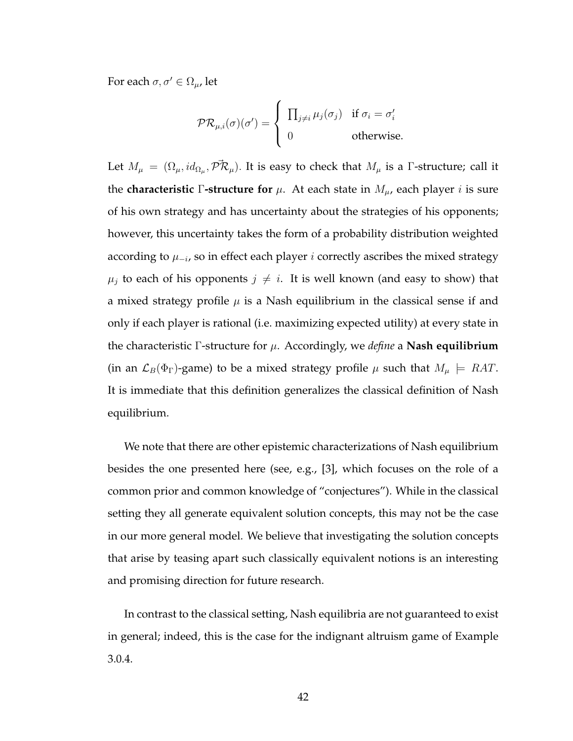For each  $\sigma, \sigma' \in \Omega_{\mu}$ , let

$$
\mathcal{PR}_{\mu,i}(\sigma)(\sigma') = \begin{cases} \prod_{j \neq i} \mu_j(\sigma_j) & \text{if } \sigma_i = \sigma'_i \\ 0 & \text{otherwise.} \end{cases}
$$

Let  $M_\mu\ =\ (\Omega_\mu, id_{\Omega_\mu}, \vec{\mathcal{PR}}_\mu).$  It is easy to check that  $M_\mu$  is a  $\Gamma$ -structure; call it the **characteristic** Γ-structure for  $\mu$ . At each state in  $M_{\mu}$ , each player *i* is sure of his own strategy and has uncertainty about the strategies of his opponents; however, this uncertainty takes the form of a probability distribution weighted according to  $\mu_{-i}$ , so in effect each player  $i$  correctly ascribes the mixed strategy  $\mu_j$  to each of his opponents  $j \neq i$ . It is well known (and easy to show) that a mixed strategy profile  $\mu$  is a Nash equilibrium in the classical sense if and only if each player is rational (i.e. maximizing expected utility) at every state in the characteristic Γ-structure for µ. Accordingly, we *define* a **Nash equilibrium** (in an  $\mathcal{L}_B(\Phi_{\Gamma})$ -game) to be a mixed strategy profile  $\mu$  such that  $M_{\mu} \models RAT$ . It is immediate that this definition generalizes the classical definition of Nash equilibrium.

We note that there are other epistemic characterizations of Nash equilibrium besides the one presented here (see, e.g., [3], which focuses on the role of a common prior and common knowledge of "conjectures"). While in the classical setting they all generate equivalent solution concepts, this may not be the case in our more general model. We believe that investigating the solution concepts that arise by teasing apart such classically equivalent notions is an interesting and promising direction for future research.

In contrast to the classical setting, Nash equilibria are not guaranteed to exist in general; indeed, this is the case for the indignant altruism game of Example 3.0.4.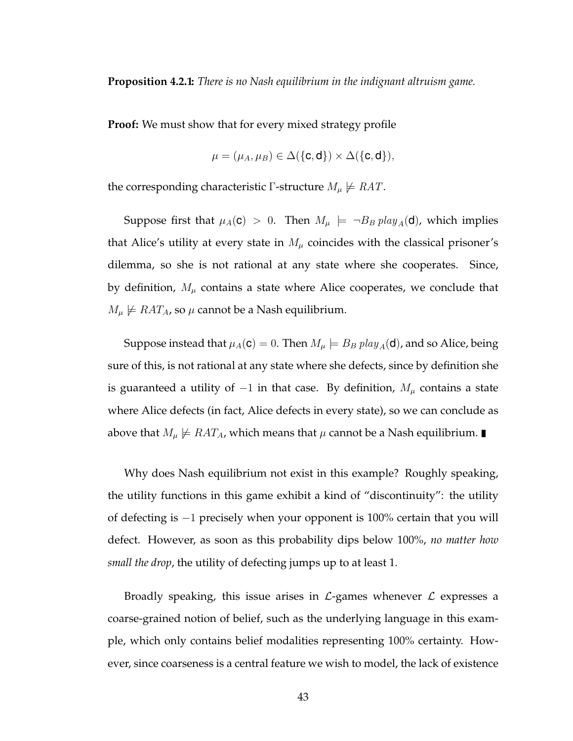**Proposition 4.2.1:** *There is no Nash equilibrium in the indignant altruism game.*

**Proof:** We must show that for every mixed strategy profile

$$
\mu = (\mu_A, \mu_B) \in \Delta(\{\mathbf{c}, \mathbf{d}\}) \times \Delta(\{\mathbf{c}, \mathbf{d}\}),
$$

the corresponding characteristic Γ-structure  $M_\mu \not\models RAT$ .

Suppose first that  $\mu_A(c) > 0$ . Then  $M_\mu \models \neg B_B \, play_A(d)$ , which implies that Alice's utility at every state in  $M<sub>\mu</sub>$  coincides with the classical prisoner's dilemma, so she is not rational at any state where she cooperates. Since, by definition,  $M_{\mu}$  contains a state where Alice cooperates, we conclude that  $M_{\mu} \not\models RAT_A$ , so  $\mu$  cannot be a Nash equilibrium.

Suppose instead that  $\mu_A(c) = 0$ . Then  $M_\mu \models B_B \, play_A(d)$ , and so Alice, being sure of this, is not rational at any state where she defects, since by definition she is guaranteed a utility of  $-1$  in that case. By definition,  $M_{\mu}$  contains a state where Alice defects (in fact, Alice defects in every state), so we can conclude as above that  $M_{\mu} \not\models RAT_A$ , which means that  $\mu$  cannot be a Nash equilibrium.

Why does Nash equilibrium not exist in this example? Roughly speaking, the utility functions in this game exhibit a kind of "discontinuity": the utility of defecting is −1 precisely when your opponent is 100% certain that you will defect. However, as soon as this probability dips below 100%, *no matter how small the drop*, the utility of defecting jumps up to at least 1.

Broadly speaking, this issue arises in  $\mathcal{L}$ -games whenever  $\mathcal{L}$  expresses a coarse-grained notion of belief, such as the underlying language in this example, which only contains belief modalities representing 100% certainty. However, since coarseness is a central feature we wish to model, the lack of existence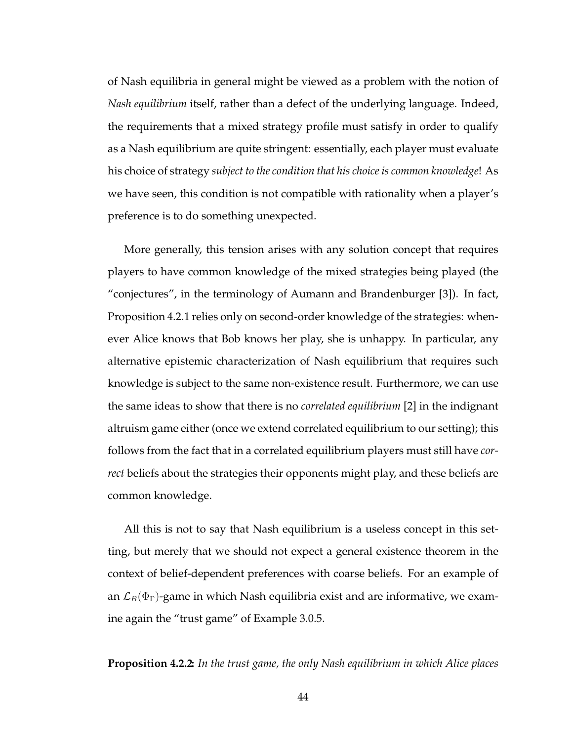of Nash equilibria in general might be viewed as a problem with the notion of *Nash equilibrium* itself, rather than a defect of the underlying language. Indeed, the requirements that a mixed strategy profile must satisfy in order to qualify as a Nash equilibrium are quite stringent: essentially, each player must evaluate his choice of strategy *subject to the condition that his choice is common knowledge*! As we have seen, this condition is not compatible with rationality when a player's preference is to do something unexpected.

More generally, this tension arises with any solution concept that requires players to have common knowledge of the mixed strategies being played (the "conjectures", in the terminology of Aumann and Brandenburger [3]). In fact, Proposition 4.2.1 relies only on second-order knowledge of the strategies: whenever Alice knows that Bob knows her play, she is unhappy. In particular, any alternative epistemic characterization of Nash equilibrium that requires such knowledge is subject to the same non-existence result. Furthermore, we can use the same ideas to show that there is no *correlated equilibrium* [2] in the indignant altruism game either (once we extend correlated equilibrium to our setting); this follows from the fact that in a correlated equilibrium players must still have *correct* beliefs about the strategies their opponents might play, and these beliefs are common knowledge.

All this is not to say that Nash equilibrium is a useless concept in this setting, but merely that we should not expect a general existence theorem in the context of belief-dependent preferences with coarse beliefs. For an example of an  $\mathcal{L}_B(\Phi_{\Gamma})$ -game in which Nash equilibria exist and are informative, we examine again the "trust game" of Example 3.0.5.

**Proposition 4.2.2:** *In the trust game, the only Nash equilibrium in which Alice places*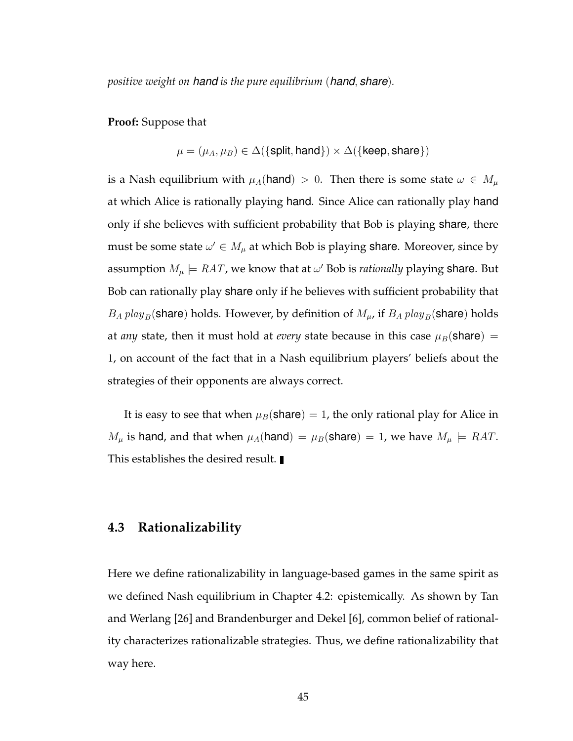*positive weight on hand is the pure equilibrium* (*hand*, *share*)*.*

**Proof:** Suppose that

$$
\mu = (\mu_A, \mu_B) \in \Delta({\text{split}, \text{hand}}) \times \Delta({\text{keep}, \text{share}})
$$

is a Nash equilibrium with  $\mu_A(\text{hand}) > 0$ . Then there is some state  $\omega \in M_\mu$ at which Alice is rationally playing hand. Since Alice can rationally play hand only if she believes with sufficient probability that Bob is playing share, there must be some state  $\omega' \in M_\mu$  at which Bob is playing share. Moreover, since by assumption  $M_\mu \models RAT$ , we know that at  $\omega'$  Bob is *rationally* playing share. But Bob can rationally play share only if he believes with sufficient probability that  $B_A$  play<sub>B</sub>(share) holds. However, by definition of  $M_\mu$ , if  $B_A$  play<sub>B</sub>(share) holds at *any* state, then it must hold at *every* state because in this case  $\mu_B(\text{share})$  = 1, on account of the fact that in a Nash equilibrium players' beliefs about the strategies of their opponents are always correct.

It is easy to see that when  $\mu_B(\text{share}) = 1$ , the only rational play for Alice in  $M_{\mu}$  is hand, and that when  $\mu_A(\text{hand}) = \mu_B(\text{share}) = 1$ , we have  $M_{\mu} \models RAT$ . This establishes the desired result.

### **4.3 Rationalizability**

Here we define rationalizability in language-based games in the same spirit as we defined Nash equilibrium in Chapter 4.2: epistemically. As shown by Tan and Werlang [26] and Brandenburger and Dekel [6], common belief of rationality characterizes rationalizable strategies. Thus, we define rationalizability that way here.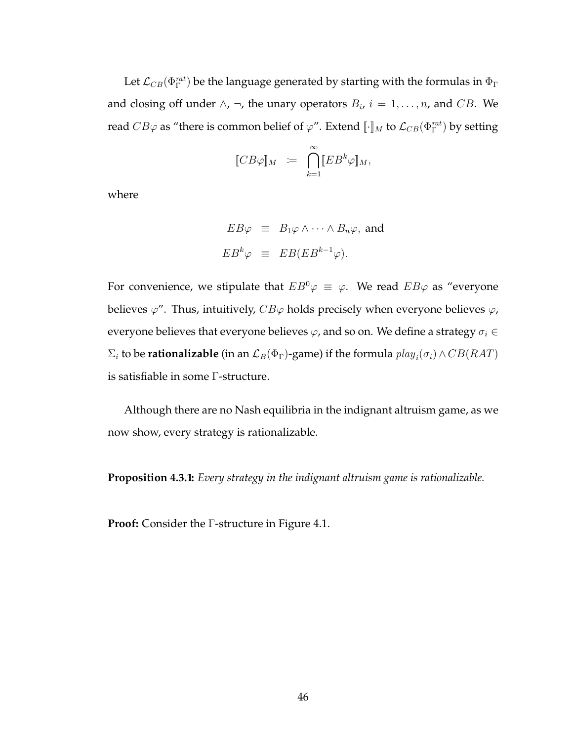Let  $\mathcal{L}_{CB}(\Phi^{rat}_{\Gamma})$  be the language generated by starting with the formulas in  $\Phi_{\Gamma}$ and closing off under  $\wedge$ ,  $\neg$ , the unary operators  $B_i$ ,  $i = 1, \ldots, n$ , and  $CB$ . We read  $CB\varphi$  as "there is common belief of  $\varphi$ ". Extend  $\llbracket\cdot\rrbracket_M$  to  $\mathcal{L}_{CB}(\Phi^{rat}_{\Gamma})$  by setting

$$
[\![CB\varphi]\!]_M \ \coloneqq \ \bigcap_{k=1}^\infty [\![EB^k\varphi]\!]_M,
$$

where

$$
EB\varphi \equiv B_1\varphi \wedge \cdots \wedge B_n\varphi, \text{ and}
$$
  

$$
EB^k\varphi \equiv EB(EB^{k-1}\varphi).
$$

For convenience, we stipulate that  $EB^0\varphi \equiv \varphi$ . We read  $EB\varphi$  as "everyone" believes  $\varphi''$ . Thus, intuitively,  $CB\varphi$  holds precisely when everyone believes  $\varphi$ , everyone believes that everyone believes  $\varphi$ , and so on. We define a strategy  $\sigma_i \in$  $\Sigma_i$  to be **rationalizable** (in an  $\mathcal{L}_B(\Phi_\Gamma)$ -game) if the formula  $play_i(\sigma_i) \land CB(RAT)$ is satisfiable in some Γ-structure.

Although there are no Nash equilibria in the indignant altruism game, as we now show, every strategy is rationalizable.

**Proposition 4.3.1:** *Every strategy in the indignant altruism game is rationalizable.*

**Proof:** Consider the Γ-structure in Figure 4.1.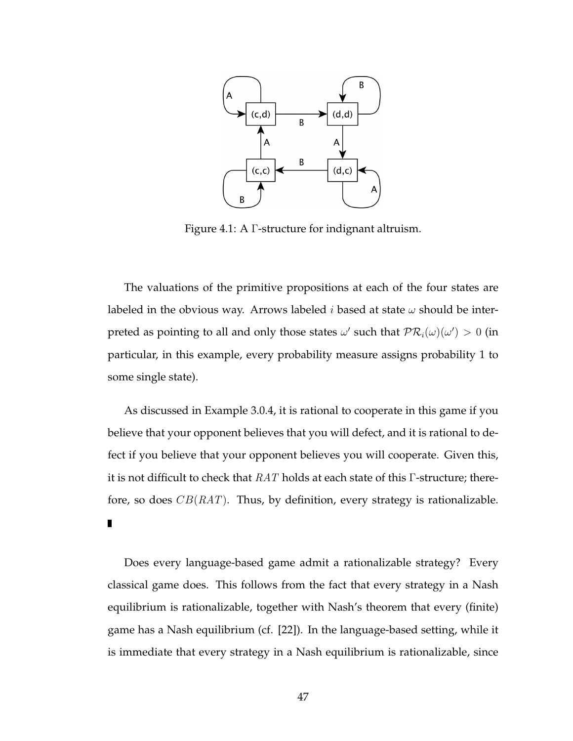

Figure 4.1: A Γ-structure for indignant altruism.

The valuations of the primitive propositions at each of the four states are labeled in the obvious way. Arrows labeled *i* based at state  $\omega$  should be interpreted as pointing to all and only those states  $\omega'$  such that  $\mathcal{PR}_i(\omega)(\omega') > 0$  (in particular, in this example, every probability measure assigns probability 1 to some single state).

As discussed in Example 3.0.4, it is rational to cooperate in this game if you believe that your opponent believes that you will defect, and it is rational to defect if you believe that your opponent believes you will cooperate. Given this, it is not difficult to check that  $RAT$  holds at each state of this  $\Gamma$ -structure; therefore, so does  $CB(RAT)$ . Thus, by definition, every strategy is rationalizable. П

Does every language-based game admit a rationalizable strategy? Every classical game does. This follows from the fact that every strategy in a Nash equilibrium is rationalizable, together with Nash's theorem that every (finite) game has a Nash equilibrium (cf. [22]). In the language-based setting, while it is immediate that every strategy in a Nash equilibrium is rationalizable, since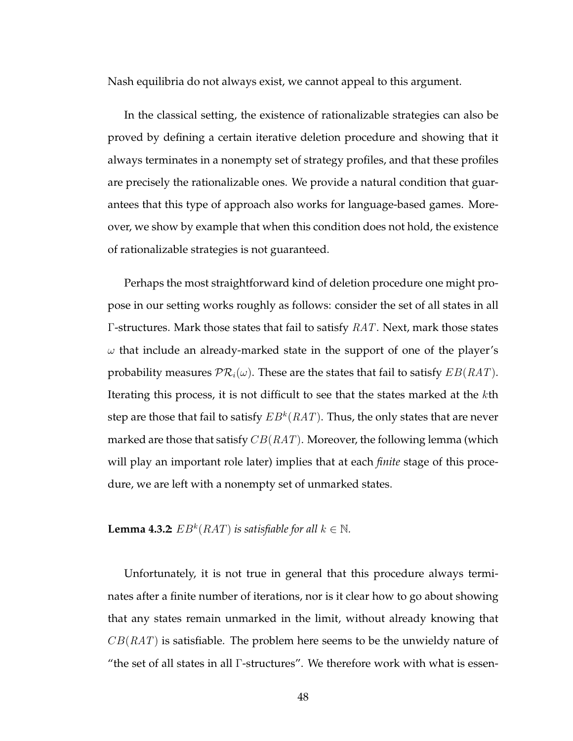Nash equilibria do not always exist, we cannot appeal to this argument.

In the classical setting, the existence of rationalizable strategies can also be proved by defining a certain iterative deletion procedure and showing that it always terminates in a nonempty set of strategy profiles, and that these profiles are precisely the rationalizable ones. We provide a natural condition that guarantees that this type of approach also works for language-based games. Moreover, we show by example that when this condition does not hold, the existence of rationalizable strategies is not guaranteed.

Perhaps the most straightforward kind of deletion procedure one might propose in our setting works roughly as follows: consider the set of all states in all Γ-structures. Mark those states that fail to satisfy RAT. Next, mark those states  $\omega$  that include an already-marked state in the support of one of the player's probability measures  $PR_i(\omega)$ . These are the states that fail to satisfy  $EB(RAT)$ . Iterating this process, it is not difficult to see that the states marked at the kth step are those that fail to satisfy  $EB^k(RAT).$  Thus, the only states that are never marked are those that satisfy  $CB(RAT)$ . Moreover, the following lemma (which will play an important role later) implies that at each *finite* stage of this procedure, we are left with a nonempty set of unmarked states.

**Lemma 4.3.2**  $EB^k(RAT)$  *is satisfiable for all*  $k \in \mathbb{N}$ *.* 

Unfortunately, it is not true in general that this procedure always terminates after a finite number of iterations, nor is it clear how to go about showing that any states remain unmarked in the limit, without already knowing that  $CB(RAT)$  is satisfiable. The problem here seems to be the unwieldy nature of "the set of all states in all Γ-structures". We therefore work with what is essen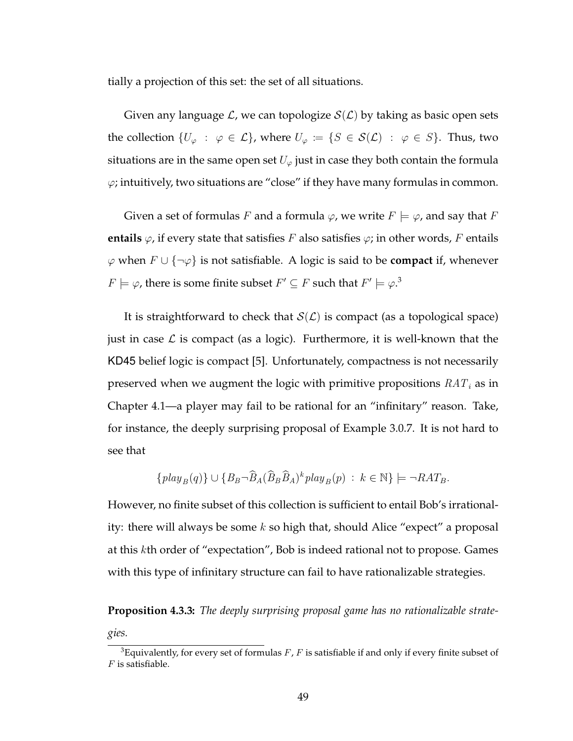tially a projection of this set: the set of all situations.

Given any language  $\mathcal{L}$ , we can topologize  $\mathcal{S}(\mathcal{L})$  by taking as basic open sets the collection  $\{U_{\varphi} : \varphi \in \mathcal{L}\}\)$ , where  $U_{\varphi} := \{S \in \mathcal{S}(\mathcal{L}) : \varphi \in S\}$ . Thus, two situations are in the same open set  $U_{\varphi}$  just in case they both contain the formula  $\varphi$ ; intuitively, two situations are "close" if they have many formulas in common.

Given a set of formulas F and a formula  $\varphi$ , we write  $F \models \varphi$ , and say that F **entails**  $\varphi$ , if every state that satisfies F also satisfies  $\varphi$ ; in other words, F entails  $\varphi$  when  $F \cup \{\neg \varphi\}$  is not satisfiable. A logic is said to be **compact** if, whenever  $F \models \varphi$ , there is some finite subset  $F' \subseteq F$  such that  $F' \models \varphi$ .<sup>3</sup>

It is straightforward to check that  $S(\mathcal{L})$  is compact (as a topological space) just in case  $\mathcal L$  is compact (as a logic). Furthermore, it is well-known that the KD45 belief logic is compact [5]. Unfortunately, compactness is not necessarily preserved when we augment the logic with primitive propositions  $RAT_i$  as in Chapter 4.1—a player may fail to be rational for an "infinitary" reason. Take, for instance, the deeply surprising proposal of Example 3.0.7. It is not hard to see that

$$
\{play_B(q)\} \cup \{B_B \neg \widehat{B}_A(\widehat{B}_B \widehat{B}_A)^k play_B(p) : k \in \mathbb{N}\} \models \neg RAT_B.
$$

However, no finite subset of this collection is sufficient to entail Bob's irrationality: there will always be some  $k$  so high that, should Alice "expect" a proposal at this kth order of "expectation", Bob is indeed rational not to propose. Games with this type of infinitary structure can fail to have rationalizable strategies.

**Proposition 4.3.3:** *The deeply surprising proposal game has no rationalizable strategies.*

<sup>&</sup>lt;sup>3</sup>Equivalently, for every set of formulas  $F$ ,  $F$  is satisfiable if and only if every finite subset of  $F$  is satisfiable.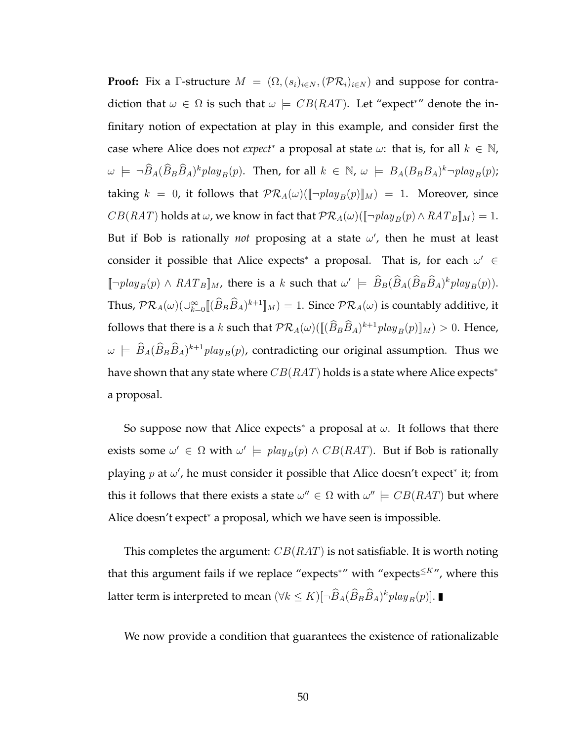**Proof:** Fix a Γ-structure  $M = (\Omega, (s_i)_{i \in N}, (\mathcal{PR}_i)_{i \in N})$  and suppose for contradiction that  $\omega \in \Omega$  is such that  $\omega \models CB(RAT)$ . Let "expect\*" denote the infinitary notion of expectation at play in this example, and consider first the case where Alice does not *expect*<sup>\*</sup> a proposal at state  $\omega$ : that is, for all  $k \in \mathbb{N}$ ,  $\omega \models \neg \widehat{B}_A(\widehat{B}_B\widehat{B}_A)^k$ play<sub>B</sub>(p). Then, for all  $k \in \mathbb{N}$ ,  $\omega \models B_A(B_BB_A)^k \neg \text{play}_B(p)$ ; taking  $k = 0$ , it follows that  $PR_A(\omega)([\neg play_B(p)]_M) = 1$ . Moreover, since  $CB(RAT)$  holds at  $\omega$ , we know in fact that  $PR_A(\omega)([\neg play_B(p) \land RAT_B]]_M) = 1$ . But if Bob is rationally *not* proposing at a state  $\omega'$ , then he must at least consider it possible that Alice expects<sup>\*</sup> a proposal. That is, for each  $\omega' \in$  $[\neg play_B(p) \wedge RAT_B]_M$ , there is a k such that  $\omega' \models \hat{B}_B(\hat{B}_A(\hat{B}_B\hat{B}_A)^k play_B(p)).$ Thus,  $\mathcal{PR}_A(\omega)(\cup_{k=0}^{\infty}[(\widehat{B}_B\widehat{B}_A)^{k+1}]_M)=1$ . Since  $\mathcal{PR}_A(\omega)$  is countably additive, it follows that there is a k such that  $\mathcal{PR}_A(\omega)(\llbracket (\hat{B}_B\hat{B}_A)^{k+1}play_B(p)\rrbracket_M)>0.$  Hence,  $\omega \models \hat{B}_A(\hat{B}_B\hat{B}_A)^{k+1}$  play<sub>B</sub> $(p)$ , contradicting our original assumption. Thus we have shown that any state where  $CB(RAT)$  holds is a state where Alice expects<sup>\*</sup> a proposal.

So suppose now that Alice expects<sup>\*</sup> a proposal at  $\omega$ . It follows that there exists some  $\omega' \in \Omega$  with  $\omega' \models \text{play}_B(p) \land \text{CB}(RAT)$ . But if Bob is rationally playing p at  $\omega'$ , he must consider it possible that Alice doesn't expect\* it; from this it follows that there exists a state  $\omega'' \in \Omega$  with  $\omega'' \models CB(RAT)$  but where Alice doesn't expect<sup>∗</sup> a proposal, which we have seen is impossible.

This completes the argument:  $CB(RAT)$  is not satisfiable. It is worth noting that this argument fails if we replace "expects<sup>\*"</sup> with "expects<sup> $\leq K''$ </sup>, where this latter term is interpreted to mean  $(\forall k \leq K) [\neg \widehat{B}_A (\widehat{B}_B \widehat{B}_A)^k play_B(p)].$ 

We now provide a condition that guarantees the existence of rationalizable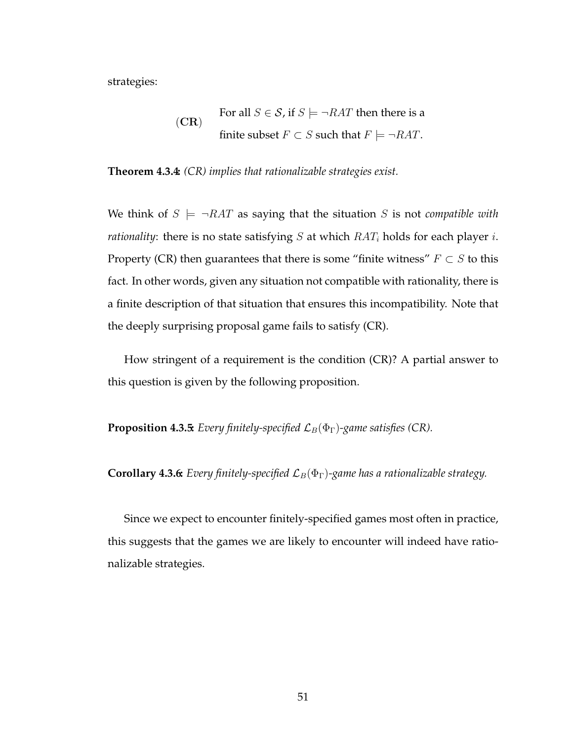strategies:

(CR) For all *S* ∈ *S*, if *S* |= 
$$
\neg
$$
 *RAT* then there is a  
finite subset *F* ⊂ *S* such that *F* |=  $\neg$ *RAT*.

**Theorem 4.3.4:** *(CR) implies that rationalizable strategies exist.*

We think of  $S \models \neg RAT$  as saying that the situation S is not *compatible with rationality*: there is no state satisfying  $S$  at which  $RAT_i$  holds for each player *i*. Property (CR) then guarantees that there is some "finite witness"  $F \subset S$  to this fact. In other words, given any situation not compatible with rationality, there is a finite description of that situation that ensures this incompatibility. Note that the deeply surprising proposal game fails to satisfy (CR).

How stringent of a requirement is the condition (CR)? A partial answer to this question is given by the following proposition.

**Proposition 4.3.5:** *Every finitely-specified*  $\mathcal{L}_B(\Phi_{\Gamma})$ -game satisfies (CR).

**Corollary 4.3.6:** *Every finitely-specified*  $\mathcal{L}_B(\Phi_{\Gamma})$ -game has a rationalizable strategy.

Since we expect to encounter finitely-specified games most often in practice, this suggests that the games we are likely to encounter will indeed have rationalizable strategies.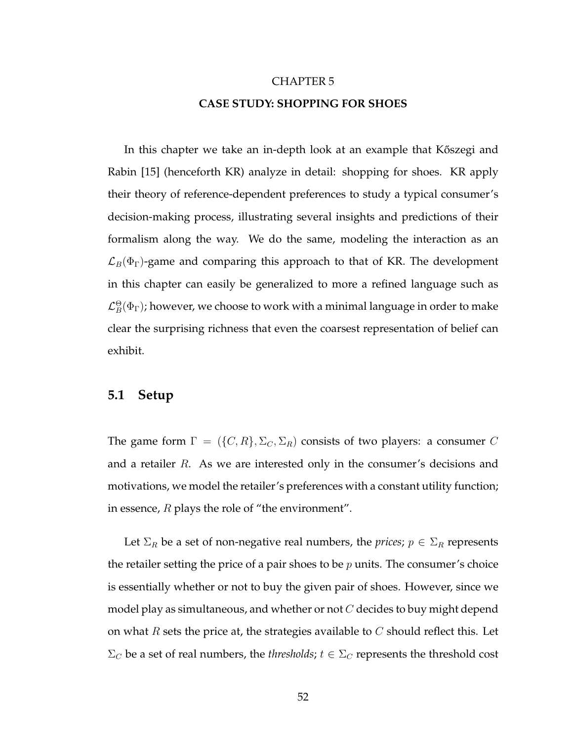#### CHAPTER 5

#### **CASE STUDY: SHOPPING FOR SHOES**

In this chapter we take an in-depth look at an example that Kőszegi and Rabin [15] (henceforth KR) analyze in detail: shopping for shoes. KR apply their theory of reference-dependent preferences to study a typical consumer's decision-making process, illustrating several insights and predictions of their formalism along the way. We do the same, modeling the interaction as an  $\mathcal{L}_B(\Phi_{\Gamma})$ -game and comparing this approach to that of KR. The development in this chapter can easily be generalized to more a refined language such as  $\mathcal{L}^\Theta_B(\Phi_\Gamma)$ ; however, we choose to work with a minimal language in order to make clear the surprising richness that even the coarsest representation of belief can exhibit.

### **5.1 Setup**

The game form  $\Gamma = (\{C, R\}, \Sigma_C, \Sigma_R)$  consists of two players: a consumer C and a retailer R. As we are interested only in the consumer's decisions and motivations, we model the retailer's preferences with a constant utility function; in essence,  $R$  plays the role of "the environment".

Let  $\Sigma_R$  be a set of non-negative real numbers, the *prices*;  $p \in \Sigma_R$  represents the retailer setting the price of a pair shoes to be  $p$  units. The consumer's choice is essentially whether or not to buy the given pair of shoes. However, since we model play as simultaneous, and whether or not  $C$  decides to buy might depend on what  $R$  sets the price at, the strategies available to  $C$  should reflect this. Let  $\Sigma_C$  be a set of real numbers, the *thresholds*;  $t \in \Sigma_C$  represents the threshold cost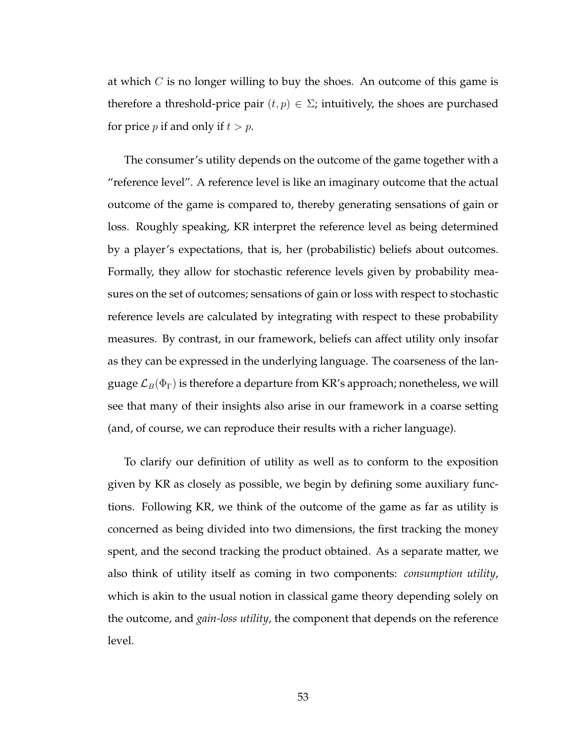at which  $C$  is no longer willing to buy the shoes. An outcome of this game is therefore a threshold-price pair  $(t, p) \in \Sigma$ ; intuitively, the shoes are purchased for price *p* if and only if  $t > p$ .

The consumer's utility depends on the outcome of the game together with a "reference level". A reference level is like an imaginary outcome that the actual outcome of the game is compared to, thereby generating sensations of gain or loss. Roughly speaking, KR interpret the reference level as being determined by a player's expectations, that is, her (probabilistic) beliefs about outcomes. Formally, they allow for stochastic reference levels given by probability measures on the set of outcomes; sensations of gain or loss with respect to stochastic reference levels are calculated by integrating with respect to these probability measures. By contrast, in our framework, beliefs can affect utility only insofar as they can be expressed in the underlying language. The coarseness of the language  $\mathcal{L}_B(\Phi_{\Gamma})$  is therefore a departure from KR's approach; nonetheless, we will see that many of their insights also arise in our framework in a coarse setting (and, of course, we can reproduce their results with a richer language).

To clarify our definition of utility as well as to conform to the exposition given by KR as closely as possible, we begin by defining some auxiliary functions. Following KR, we think of the outcome of the game as far as utility is concerned as being divided into two dimensions, the first tracking the money spent, and the second tracking the product obtained. As a separate matter, we also think of utility itself as coming in two components: *consumption utility*, which is akin to the usual notion in classical game theory depending solely on the outcome, and *gain-loss utility*, the component that depends on the reference level.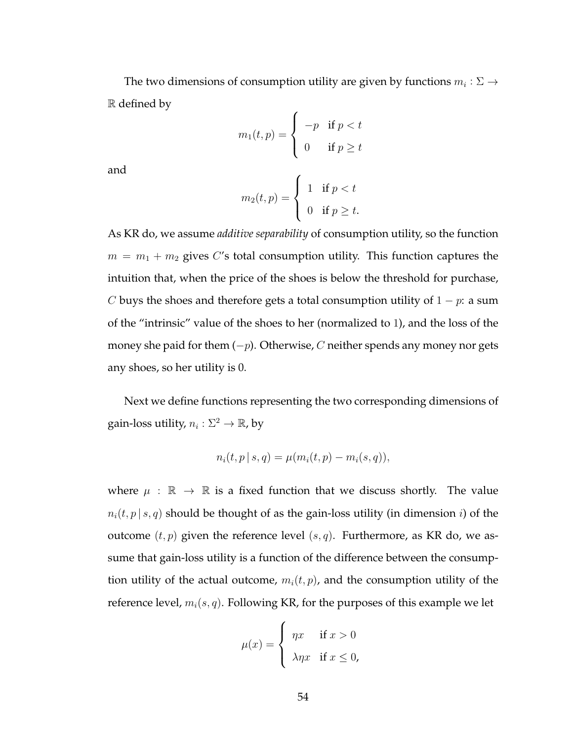The two dimensions of consumption utility are given by functions  $m_i: \Sigma \to$ R defined by

$$
m_1(t, p) = \begin{cases} -p & \text{if } p < t \\ 0 & \text{if } p \ge t \end{cases}
$$

and

$$
m_2(t,p) = \begin{cases} 1 & \text{if } p < t \\ 0 & \text{if } p \ge t. \end{cases}
$$

As KR do, we assume *additive separability* of consumption utility, so the function  $m = m_1 + m_2$  gives C's total consumption utility. This function captures the intuition that, when the price of the shoes is below the threshold for purchase, C buys the shoes and therefore gets a total consumption utility of  $1 - p$ : a sum of the "intrinsic" value of the shoes to her (normalized to 1), and the loss of the money she paid for them  $(-p)$ . Otherwise, C neither spends any money nor gets any shoes, so her utility is 0.

Next we define functions representing the two corresponding dimensions of gain-loss utility,  $n_i: \Sigma^2 \to \mathbb{R}$ , by

$$
n_i(t, p | s, q) = \mu(m_i(t, p) - m_i(s, q)),
$$

where  $\mu : \mathbb{R} \to \mathbb{R}$  is a fixed function that we discuss shortly. The value  $n_i(t, p | s, q)$  should be thought of as the gain-loss utility (in dimension *i*) of the outcome  $(t, p)$  given the reference level  $(s, q)$ . Furthermore, as KR do, we assume that gain-loss utility is a function of the difference between the consumption utility of the actual outcome,  $m_i(t, p)$ , and the consumption utility of the reference level,  $m_i(s, q)$ . Following KR, for the purposes of this example we let

$$
\mu(x) = \begin{cases} \eta x & \text{if } x > 0 \\ \lambda \eta x & \text{if } x \le 0, \end{cases}
$$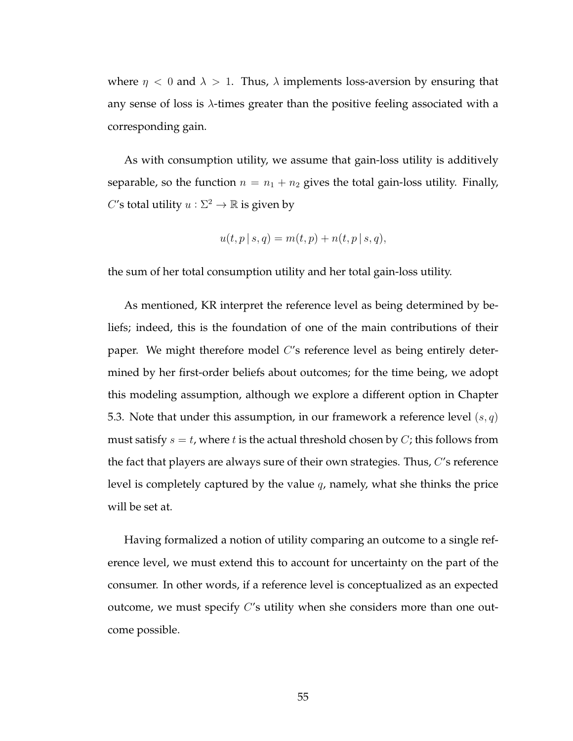where  $\eta$  < 0 and  $\lambda$  > 1. Thus,  $\lambda$  implements loss-aversion by ensuring that any sense of loss is  $\lambda$ -times greater than the positive feeling associated with a corresponding gain.

As with consumption utility, we assume that gain-loss utility is additively separable, so the function  $n = n_1 + n_2$  gives the total gain-loss utility. Finally, C's total utility  $u : \Sigma^2 \to \mathbb{R}$  is given by

$$
u(t, p | s, q) = m(t, p) + n(t, p | s, q),
$$

the sum of her total consumption utility and her total gain-loss utility.

As mentioned, KR interpret the reference level as being determined by beliefs; indeed, this is the foundation of one of the main contributions of their paper. We might therefore model  $C$ 's reference level as being entirely determined by her first-order beliefs about outcomes; for the time being, we adopt this modeling assumption, although we explore a different option in Chapter 5.3. Note that under this assumption, in our framework a reference level  $(s, q)$ must satisfy  $s = t$ , where t is the actual threshold chosen by C; this follows from the fact that players are always sure of their own strategies. Thus, C's reference level is completely captured by the value q, namely, what she thinks the price will be set at.

Having formalized a notion of utility comparing an outcome to a single reference level, we must extend this to account for uncertainty on the part of the consumer. In other words, if a reference level is conceptualized as an expected outcome, we must specify  $C'$ s utility when she considers more than one outcome possible.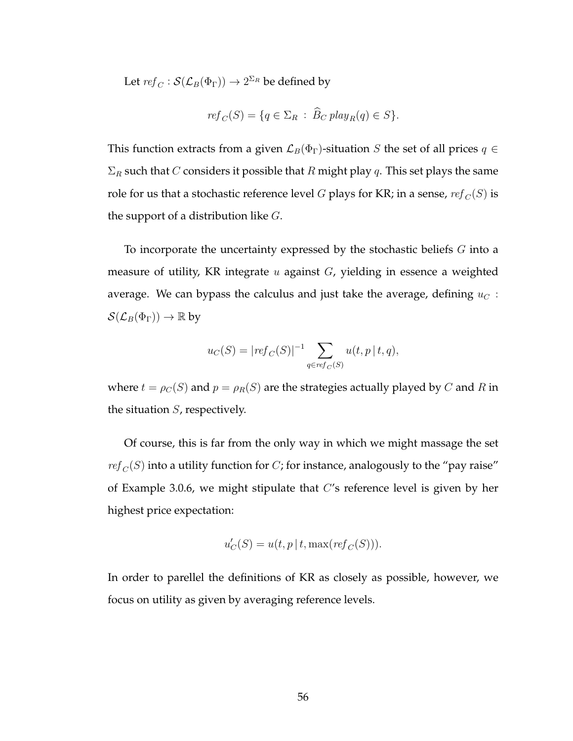Let  $\mathit{ref}_C : \mathcal{S}(\mathcal{L}_B(\Phi_\Gamma)) \to 2^{\Sigma_R}$  be defined by

$$
ref_C(S) = \{q \in \Sigma_R : \widehat{B}_C \, play_R(q) \in S\}.
$$

This function extracts from a given  $\mathcal{L}_B(\Phi_{\Gamma})$ -situation S the set of all prices  $q \in$  $\Sigma_R$  such that C considers it possible that R might play q. This set plays the same role for us that a stochastic reference level G plays for KR; in a sense,  $ref_C(S)$  is the support of a distribution like  $G$ .

To incorporate the uncertainty expressed by the stochastic beliefs  $G$  into a measure of utility, KR integrate  $u$  against  $G$ , yielding in essence a weighted average. We can bypass the calculus and just take the average, defining  $u<sub>C</sub>$ :  $\mathcal{S}(\mathcal{L}_B(\Phi_{\Gamma})) \to \mathbb{R}$  by

$$
u_C(S) = |ref_C(S)|^{-1} \sum_{q \in ref_C(S)} u(t, p | t, q),
$$

where  $t = \rho_C(S)$  and  $p = \rho_R(S)$  are the strategies actually played by C and R in the situation  $S$ , respectively.

Of course, this is far from the only way in which we might massage the set  $ref_C(S)$  into a utility function for C; for instance, analogously to the "pay raise" of Example 3.0.6, we might stipulate that C's reference level is given by her highest price expectation:

$$
u_C'(S) = u(t, p \mid t, \max(\mathit{ref}_C(S))).
$$

In order to parellel the definitions of KR as closely as possible, however, we focus on utility as given by averaging reference levels.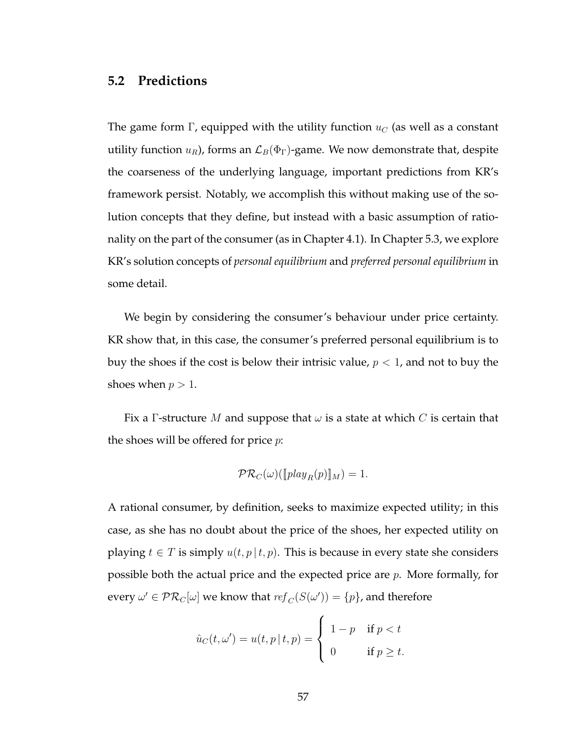## **5.2 Predictions**

The game form Γ, equipped with the utility function  $u<sub>C</sub>$  (as well as a constant utility function  $u_R$ ), forms an  $\mathcal{L}_B(\Phi_{\Gamma})$ -game. We now demonstrate that, despite the coarseness of the underlying language, important predictions from KR's framework persist. Notably, we accomplish this without making use of the solution concepts that they define, but instead with a basic assumption of rationality on the part of the consumer (as in Chapter 4.1). In Chapter 5.3, we explore KR's solution concepts of *personal equilibrium* and *preferred personal equilibrium* in some detail.

We begin by considering the consumer's behaviour under price certainty. KR show that, in this case, the consumer's preferred personal equilibrium is to buy the shoes if the cost is below their intrisic value,  $p < 1$ , and not to buy the shoes when  $p > 1$ .

Fix a Γ-structure M and suppose that  $\omega$  is a state at which C is certain that the shoes will be offered for price  $p$ :

$$
\mathcal{PR}_C(\omega)([\![play_R(p)]\!]_M) = 1.
$$

A rational consumer, by definition, seeks to maximize expected utility; in this case, as she has no doubt about the price of the shoes, her expected utility on playing  $t \in T$  is simply  $u(t, p | t, p)$ . This is because in every state she considers possible both the actual price and the expected price are  $p$ . More formally, for every  $\omega' \in \mathcal{PR}_C[\omega]$  we know that  $\mathit{ref}_C(S(\omega')) = \{p\}$ , and therefore

$$
\hat{u}_C(t,\omega') = u(t,p\,|\,t,p) = \begin{cases} 1-p & \text{if } p < t \\ 0 & \text{if } p \ge t. \end{cases}
$$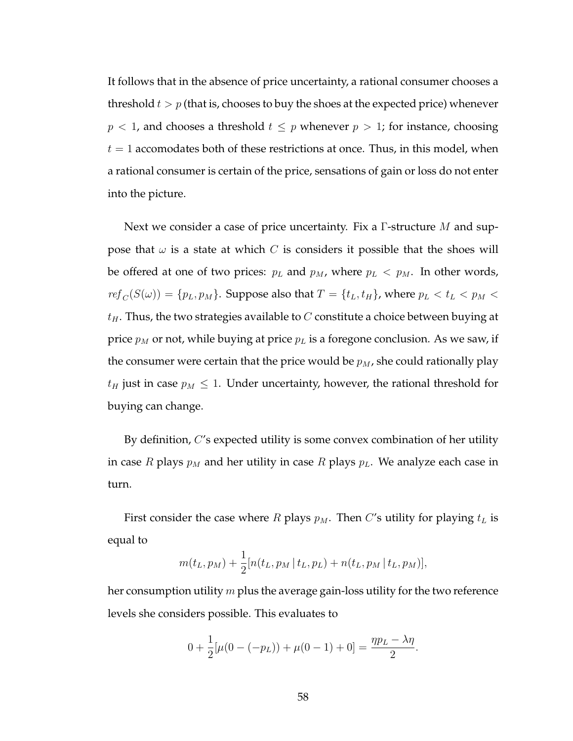It follows that in the absence of price uncertainty, a rational consumer chooses a threshold  $t > p$  (that is, chooses to buy the shoes at the expected price) whenever  $p < 1$ , and chooses a threshold  $t \leq p$  whenever  $p > 1$ ; for instance, choosing  $t = 1$  accomodates both of these restrictions at once. Thus, in this model, when a rational consumer is certain of the price, sensations of gain or loss do not enter into the picture.

Next we consider a case of price uncertainty. Fix a  $\Gamma$ -structure M and suppose that  $\omega$  is a state at which C is considers it possible that the shoes will be offered at one of two prices:  $p_L$  and  $p_M$ , where  $p_L < p_M$ . In other words,  $ref_C(S(\omega)) = \{p_L, p_M\}$ . Suppose also that  $T = \{t_L, t_H\}$ , where  $p_L < t_L < p_M <$  $t_H$ . Thus, the two strategies available to C constitute a choice between buying at price  $p_M$  or not, while buying at price  $p_L$  is a foregone conclusion. As we saw, if the consumer were certain that the price would be  $p_M$ , she could rationally play  $t_H$  just in case  $p_M \leq 1$ . Under uncertainty, however, the rational threshold for buying can change.

By definition, C's expected utility is some convex combination of her utility in case R plays  $p_M$  and her utility in case R plays  $p_L$ . We analyze each case in turn.

First consider the case where R plays  $p_M$ . Then C's utility for playing  $t_L$  is equal to

$$
m(t_L, p_M) + \frac{1}{2} [n(t_L, p_M | t_L, p_L) + n(t_L, p_M | t_L, p_M)],
$$

her consumption utility m plus the average gain-loss utility for the two reference levels she considers possible. This evaluates to

$$
0 + \frac{1}{2}[\mu(0 - (-p_L)) + \mu(0 - 1) + 0] = \frac{\eta p_L - \lambda \eta}{2}.
$$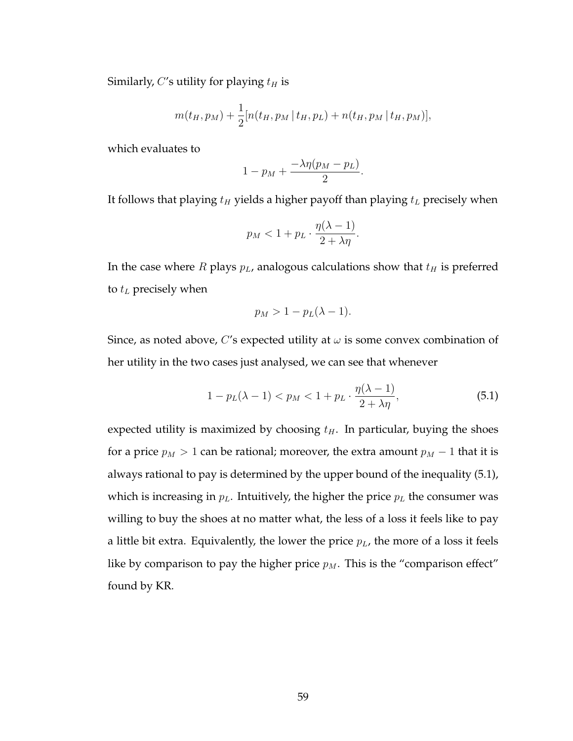Similarly, C's utility for playing  $t_H$  is

$$
m(t_H, p_M) + \frac{1}{2} [n(t_H, p_M | t_H, p_L) + n(t_H, p_M | t_H, p_M)],
$$

which evaluates to

$$
1-p_M+\frac{-\lambda\eta(p_M-p_L)}{2}.
$$

It follows that playing  $t_H$  yields a higher payoff than playing  $t_L$  precisely when

$$
p_M < 1 + p_L \cdot \frac{\eta(\lambda - 1)}{2 + \lambda \eta}.
$$

In the case where  $R$  plays  $p<sub>L</sub>$ , analogous calculations show that  $t<sub>H</sub>$  is preferred to  $t_L$  precisely when

$$
p_M > 1 - p_L(\lambda - 1).
$$

Since, as noted above, C's expected utility at  $\omega$  is some convex combination of her utility in the two cases just analysed, we can see that whenever

$$
1 - p_L(\lambda - 1) < p_M < 1 + p_L \cdot \frac{\eta(\lambda - 1)}{2 + \lambda \eta},\tag{5.1}
$$

expected utility is maximized by choosing  $t_H$ . In particular, buying the shoes for a price  $p_M > 1$  can be rational; moreover, the extra amount  $p_M - 1$  that it is always rational to pay is determined by the upper bound of the inequality (5.1), which is increasing in  $p<sub>L</sub>$ . Intuitively, the higher the price  $p<sub>L</sub>$  the consumer was willing to buy the shoes at no matter what, the less of a loss it feels like to pay a little bit extra. Equivalently, the lower the price  $p_L$ , the more of a loss it feels like by comparison to pay the higher price  $p_M$ . This is the "comparison effect" found by KR.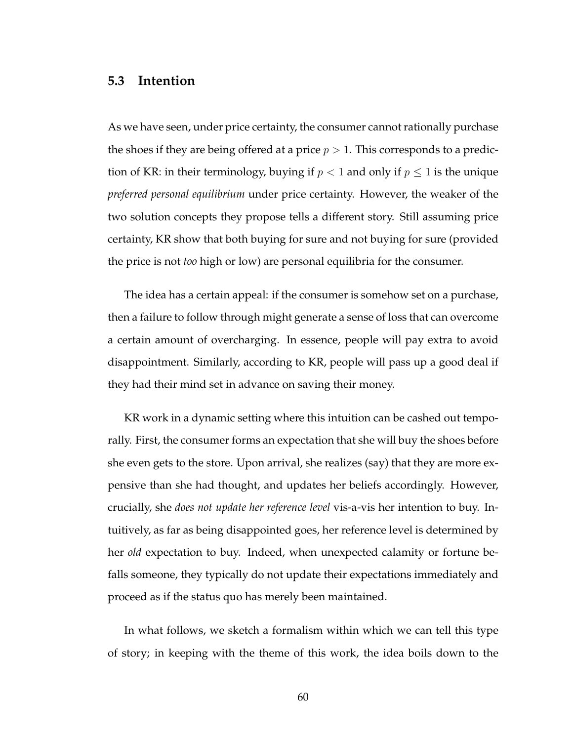### **5.3 Intention**

As we have seen, under price certainty, the consumer cannot rationally purchase the shoes if they are being offered at a price  $p > 1$ . This corresponds to a prediction of KR: in their terminology, buying if  $p < 1$  and only if  $p \le 1$  is the unique *preferred personal equilibrium* under price certainty. However, the weaker of the two solution concepts they propose tells a different story. Still assuming price certainty, KR show that both buying for sure and not buying for sure (provided the price is not *too* high or low) are personal equilibria for the consumer.

The idea has a certain appeal: if the consumer is somehow set on a purchase, then a failure to follow through might generate a sense of loss that can overcome a certain amount of overcharging. In essence, people will pay extra to avoid disappointment. Similarly, according to KR, people will pass up a good deal if they had their mind set in advance on saving their money.

KR work in a dynamic setting where this intuition can be cashed out temporally. First, the consumer forms an expectation that she will buy the shoes before she even gets to the store. Upon arrival, she realizes (say) that they are more expensive than she had thought, and updates her beliefs accordingly. However, crucially, she *does not update her reference level* vis-a-vis her intention to buy. Intuitively, as far as being disappointed goes, her reference level is determined by her *old* expectation to buy. Indeed, when unexpected calamity or fortune befalls someone, they typically do not update their expectations immediately and proceed as if the status quo has merely been maintained.

In what follows, we sketch a formalism within which we can tell this type of story; in keeping with the theme of this work, the idea boils down to the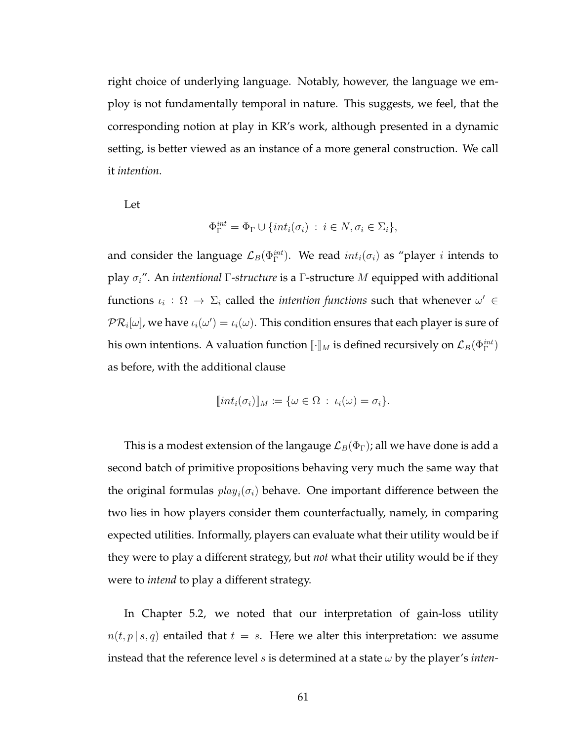right choice of underlying language. Notably, however, the language we employ is not fundamentally temporal in nature. This suggests, we feel, that the corresponding notion at play in KR's work, although presented in a dynamic setting, is better viewed as an instance of a more general construction. We call it *intention*.

Let

$$
\Phi_{\Gamma}^{int} = \Phi_{\Gamma} \cup \{int_i(\sigma_i) : i \in N, \sigma_i \in \Sigma_i \},
$$

and consider the language  $\mathcal{L}_B(\Phi_\Gamma^{int}).$  We read  $int_i(\sigma_i)$  as "player  $i$  intends to play σi". An *intentional* Γ*-structure* is a Γ-structure M equipped with additional functions  $\iota_i$  :  $\Omega \to \Sigma_i$  called the *intention functions* such that whenever  $\omega' \in$  $\mathcal{PR}_i[\omega]$ , we have  $\iota_i(\omega') = \iota_i(\omega)$ . This condition ensures that each player is sure of his own intentions. A valuation function  $[\![\cdot]\!]_M$  is defined recursively on  $\mathcal{L}_B(\Phi_\Gamma^{int})$ as before, with the additional clause

$$
[int_i(\sigma_i)]_M := {\omega \in \Omega : \iota_i(\omega) = \sigma_i}.
$$

This is a modest extension of the langauge  $\mathcal{L}_B(\Phi_{\Gamma})$ ; all we have done is add a second batch of primitive propositions behaving very much the same way that the original formulas  $play_i(\sigma_i)$  behave. One important difference between the two lies in how players consider them counterfactually, namely, in comparing expected utilities. Informally, players can evaluate what their utility would be if they were to play a different strategy, but *not* what their utility would be if they were to *intend* to play a different strategy.

In Chapter 5.2, we noted that our interpretation of gain-loss utility  $n(t, p | s, q)$  entailed that  $t = s$ . Here we alter this interpretation: we assume instead that the reference level  $s$  is determined at a state  $\omega$  by the player's *inten*-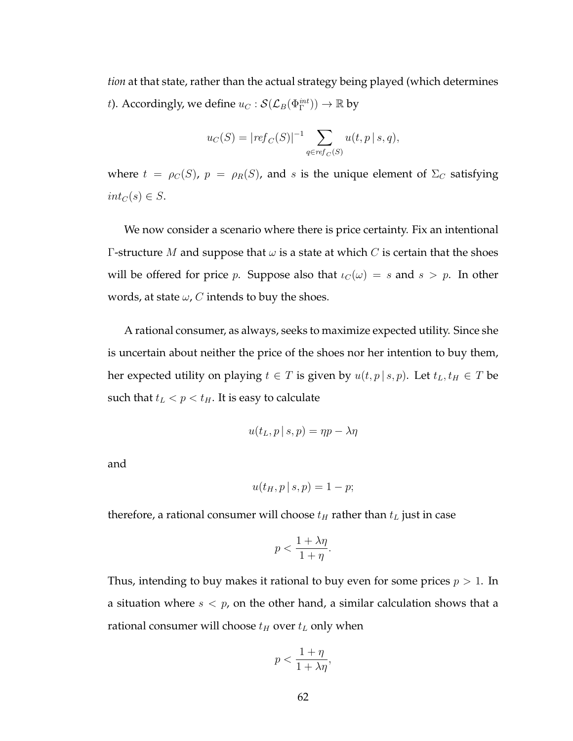*tion* at that state, rather than the actual strategy being played (which determines t). Accordingly, we define  $u_C : \mathcal{S}(\mathcal{L}_B(\Phi^{int}_{\Gamma})) \to \mathbb{R}$  by

$$
u_C(S) = |ref_C(S)|^{-1} \sum_{q \in ref_C(S)} u(t, p \mid s, q),
$$

where  $t = \rho_C(S)$ ,  $p = \rho_R(S)$ , and s is the unique element of  $\Sigma_C$  satisfying  $int_C(s) \in S$ .

We now consider a scenario where there is price certainty. Fix an intentional Γ-structure *M* and suppose that  $ω$  is a state at which *C* is certain that the shoes will be offered for price p. Suppose also that  $\iota_C(\omega) = s$  and  $s > p$ . In other words, at state  $\omega$ , C intends to buy the shoes.

A rational consumer, as always, seeks to maximize expected utility. Since she is uncertain about neither the price of the shoes nor her intention to buy them, her expected utility on playing  $t \in T$  is given by  $u(t, p | s, p)$ . Let  $t_L, t_H \in T$  be such that  $t_L < p < t_H$ . It is easy to calculate

$$
u(t_L, p \mid s, p) = \eta p - \lambda \eta
$$

and

$$
u(t_H, p \mid s, p) = 1 - p;
$$

therefore, a rational consumer will choose  $t_H$  rather than  $t_L$  just in case

$$
p < \frac{1 + \lambda \eta}{1 + \eta}.
$$

Thus, intending to buy makes it rational to buy even for some prices  $p > 1$ . In a situation where  $s < p$ , on the other hand, a similar calculation shows that a rational consumer will choose  $t_H$  over  $t_L$  only when

$$
p < \frac{1+\eta}{1+\lambda\eta},
$$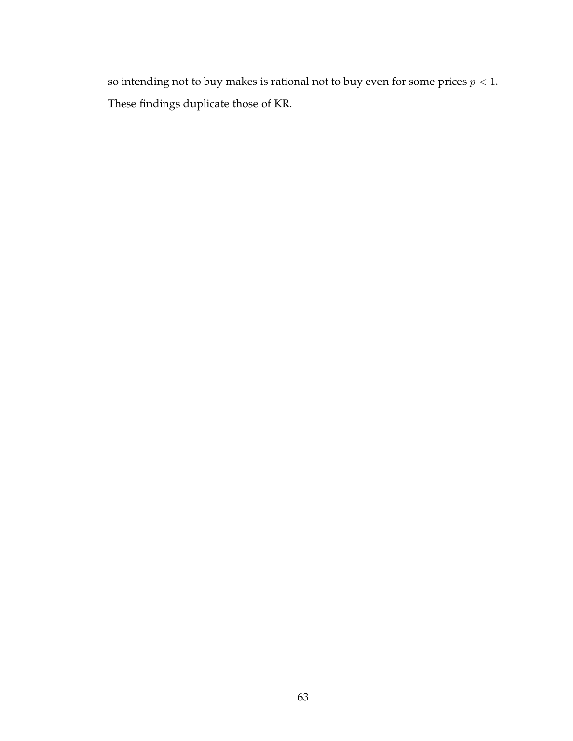so intending not to buy makes is rational not to buy even for some prices  $p < 1.$ These findings duplicate those of KR.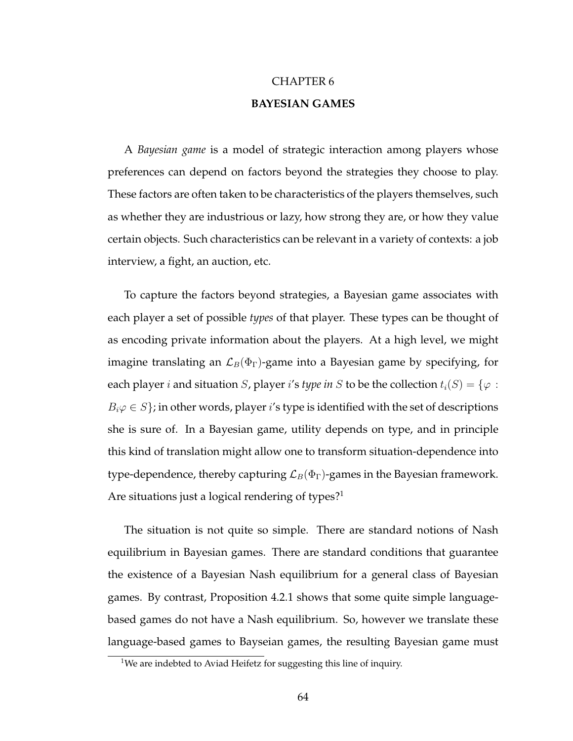# CHAPTER 6 **BAYESIAN GAMES**

A *Bayesian game* is a model of strategic interaction among players whose preferences can depend on factors beyond the strategies they choose to play. These factors are often taken to be characteristics of the players themselves, such as whether they are industrious or lazy, how strong they are, or how they value certain objects. Such characteristics can be relevant in a variety of contexts: a job interview, a fight, an auction, etc.

To capture the factors beyond strategies, a Bayesian game associates with each player a set of possible *types* of that player. These types can be thought of as encoding private information about the players. At a high level, we might imagine translating an  $\mathcal{L}_B(\Phi_{\Gamma})$ -game into a Bayesian game by specifying, for each player *i* and situation *S*, player *i's type in S* to be the collection  $t_i(S) = \{\varphi : S\}$  $B_i\varphi \in S$ ; in other words, player i's type is identified with the set of descriptions she is sure of. In a Bayesian game, utility depends on type, and in principle this kind of translation might allow one to transform situation-dependence into type-dependence, thereby capturing  $\mathcal{L}_B(\Phi_{\Gamma})$ -games in the Bayesian framework. Are situations just a logical rendering of types?<sup>1</sup>

The situation is not quite so simple. There are standard notions of Nash equilibrium in Bayesian games. There are standard conditions that guarantee the existence of a Bayesian Nash equilibrium for a general class of Bayesian games. By contrast, Proposition 4.2.1 shows that some quite simple languagebased games do not have a Nash equilibrium. So, however we translate these language-based games to Bayseian games, the resulting Bayesian game must

<sup>&</sup>lt;sup>1</sup>We are indebted to Aviad Heifetz for suggesting this line of inquiry.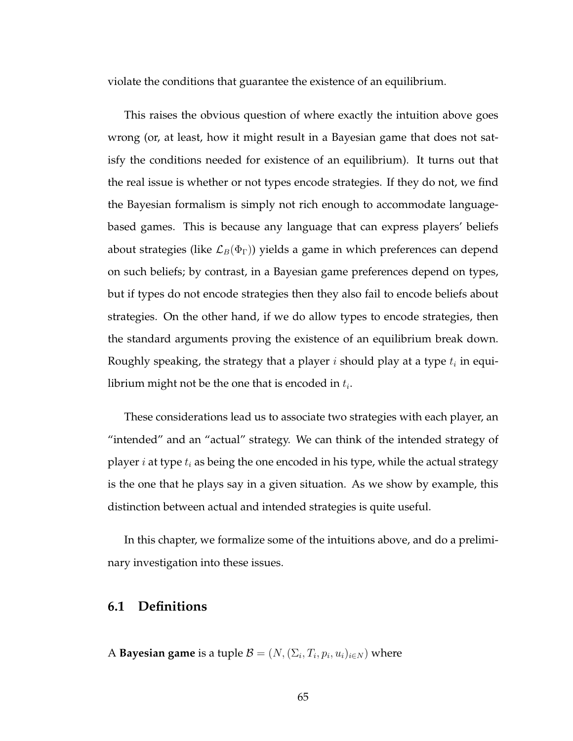violate the conditions that guarantee the existence of an equilibrium.

This raises the obvious question of where exactly the intuition above goes wrong (or, at least, how it might result in a Bayesian game that does not satisfy the conditions needed for existence of an equilibrium). It turns out that the real issue is whether or not types encode strategies. If they do not, we find the Bayesian formalism is simply not rich enough to accommodate languagebased games. This is because any language that can express players' beliefs about strategies (like  $\mathcal{L}_B(\Phi_{\Gamma})$ ) yields a game in which preferences can depend on such beliefs; by contrast, in a Bayesian game preferences depend on types, but if types do not encode strategies then they also fail to encode beliefs about strategies. On the other hand, if we do allow types to encode strategies, then the standard arguments proving the existence of an equilibrium break down. Roughly speaking, the strategy that a player  $i$  should play at a type  $t_i$  in equilibrium might not be the one that is encoded in  $t_i.$ 

These considerations lead us to associate two strategies with each player, an "intended" and an "actual" strategy. We can think of the intended strategy of player *i* at type  $t_i$  as being the one encoded in his type, while the actual strategy is the one that he plays say in a given situation. As we show by example, this distinction between actual and intended strategies is quite useful.

In this chapter, we formalize some of the intuitions above, and do a preliminary investigation into these issues.

### **6.1 Definitions**

A **Bayesian game** is a tuple  $\mathcal{B} = (N, (\Sigma_i, T_i, p_i, u_i)_{i \in N})$  where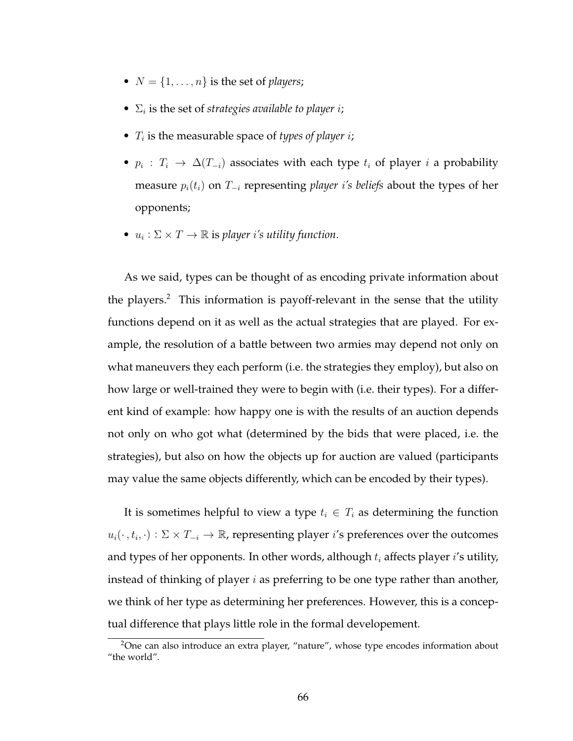- $N = \{1, \ldots, n\}$  is the set of *players*;
- $\Sigma_i$  is the set of *strategies available to player i*;
- $T_i$  is the measurable space of *types of player i*;
- $p_i: T_i \to \Delta(T_{-i})$  associates with each type  $t_i$  of player i a probability measure  $p_i(t_i)$  on  $T_{-i}$  representing *player i's beliefs* about the types of her opponents;
- $u_i : \Sigma \times T \to \mathbb{R}$  is player *i's utility function*.

As we said, types can be thought of as encoding private information about the players.<sup>2</sup> This information is payoff-relevant in the sense that the utility functions depend on it as well as the actual strategies that are played. For example, the resolution of a battle between two armies may depend not only on what maneuvers they each perform (i.e. the strategies they employ), but also on how large or well-trained they were to begin with (i.e. their types). For a different kind of example: how happy one is with the results of an auction depends not only on who got what (determined by the bids that were placed, i.e. the strategies), but also on how the objects up for auction are valued (participants may value the same objects differently, which can be encoded by their types).

It is sometimes helpful to view a type  $t_i \in T_i$  as determining the function  $u_i(\cdot, t_i, \cdot) : \Sigma \times T_{-i} \to \mathbb{R}$ , representing player *i*'s preferences over the outcomes and types of her opponents. In other words, although  $t_i$  affects player i's utility, instead of thinking of player  $i$  as preferring to be one type rather than another, we think of her type as determining her preferences. However, this is a conceptual difference that plays little role in the formal developement.

<sup>&</sup>lt;sup>2</sup>One can also introduce an extra player, "nature", whose type encodes information about "the world".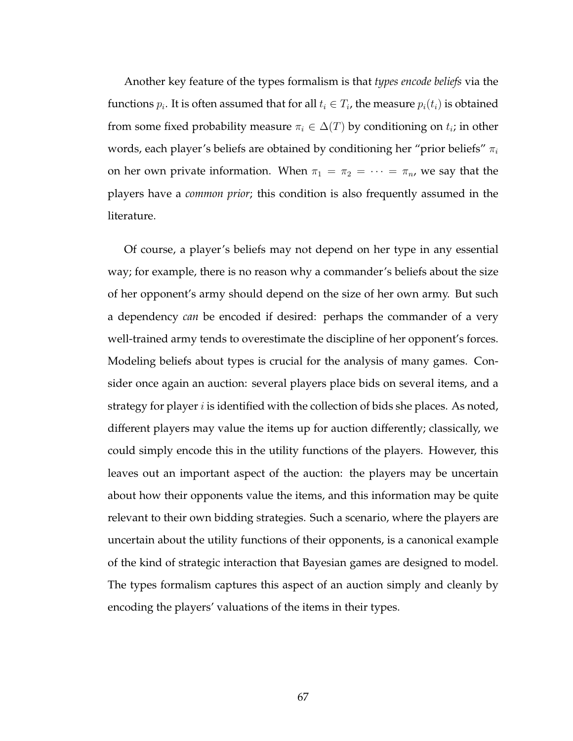Another key feature of the types formalism is that *types encode beliefs* via the functions  $p_i.$  It is often assumed that for all  $t_i \in T_i$ , the measure  $p_i(t_i)$  is obtained from some fixed probability measure  $\pi_i \in \Delta(T)$  by conditioning on  $t_i$ ; in other words, each player's beliefs are obtained by conditioning her "prior beliefs"  $\pi_i$ on her own private information. When  $\pi_1 = \pi_2 = \cdots = \pi_n$ , we say that the players have a *common prior*; this condition is also frequently assumed in the literature.

Of course, a player's beliefs may not depend on her type in any essential way; for example, there is no reason why a commander's beliefs about the size of her opponent's army should depend on the size of her own army. But such a dependency *can* be encoded if desired: perhaps the commander of a very well-trained army tends to overestimate the discipline of her opponent's forces. Modeling beliefs about types is crucial for the analysis of many games. Consider once again an auction: several players place bids on several items, and a strategy for player  $i$  is identified with the collection of bids she places. As noted, different players may value the items up for auction differently; classically, we could simply encode this in the utility functions of the players. However, this leaves out an important aspect of the auction: the players may be uncertain about how their opponents value the items, and this information may be quite relevant to their own bidding strategies. Such a scenario, where the players are uncertain about the utility functions of their opponents, is a canonical example of the kind of strategic interaction that Bayesian games are designed to model. The types formalism captures this aspect of an auction simply and cleanly by encoding the players' valuations of the items in their types.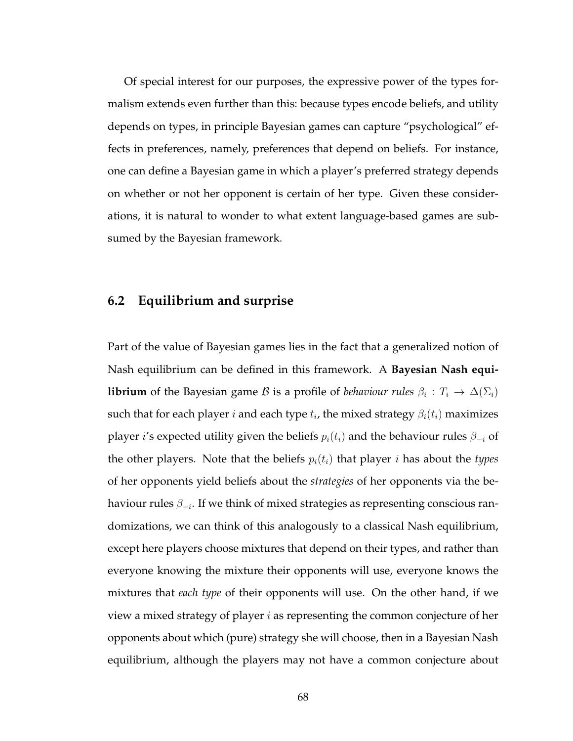Of special interest for our purposes, the expressive power of the types formalism extends even further than this: because types encode beliefs, and utility depends on types, in principle Bayesian games can capture "psychological" effects in preferences, namely, preferences that depend on beliefs. For instance, one can define a Bayesian game in which a player's preferred strategy depends on whether or not her opponent is certain of her type. Given these considerations, it is natural to wonder to what extent language-based games are subsumed by the Bayesian framework.

### **6.2 Equilibrium and surprise**

Part of the value of Bayesian games lies in the fact that a generalized notion of Nash equilibrium can be defined in this framework. A **Bayesian Nash equilibrium** of the Bayesian game  $\mathcal B$  is a profile of *behaviour rules*  $\beta_i : T_i \to \Delta(\Sigma_i)$ such that for each player  $i$  and each type  $t_i$ , the mixed strategy  $\beta_i(t_i)$  maximizes player *i's* expected utility given the beliefs  $p_i(t_i)$  and the behaviour rules  $\beta_{-i}$  of the other players. Note that the beliefs  $p_i(t_i)$  that player i has about the *types* of her opponents yield beliefs about the *strategies* of her opponents via the behaviour rules  $\beta_{-i}$ . If we think of mixed strategies as representing conscious randomizations, we can think of this analogously to a classical Nash equilibrium, except here players choose mixtures that depend on their types, and rather than everyone knowing the mixture their opponents will use, everyone knows the mixtures that *each type* of their opponents will use. On the other hand, if we view a mixed strategy of player  $i$  as representing the common conjecture of her opponents about which (pure) strategy she will choose, then in a Bayesian Nash equilibrium, although the players may not have a common conjecture about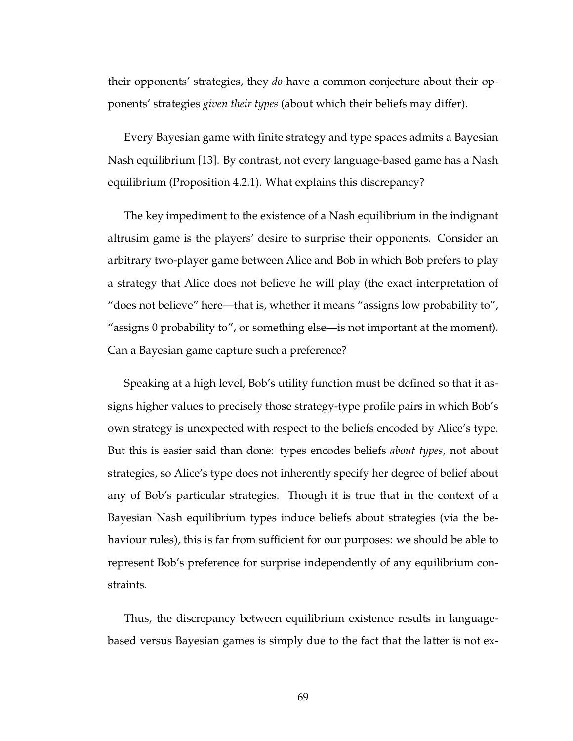their opponents' strategies, they *do* have a common conjecture about their opponents' strategies *given their types* (about which their beliefs may differ).

Every Bayesian game with finite strategy and type spaces admits a Bayesian Nash equilibrium [13]. By contrast, not every language-based game has a Nash equilibrium (Proposition 4.2.1). What explains this discrepancy?

The key impediment to the existence of a Nash equilibrium in the indignant altrusim game is the players' desire to surprise their opponents. Consider an arbitrary two-player game between Alice and Bob in which Bob prefers to play a strategy that Alice does not believe he will play (the exact interpretation of "does not believe" here—that is, whether it means "assigns low probability to", "assigns 0 probability to", or something else—is not important at the moment). Can a Bayesian game capture such a preference?

Speaking at a high level, Bob's utility function must be defined so that it assigns higher values to precisely those strategy-type profile pairs in which Bob's own strategy is unexpected with respect to the beliefs encoded by Alice's type. But this is easier said than done: types encodes beliefs *about types*, not about strategies, so Alice's type does not inherently specify her degree of belief about any of Bob's particular strategies. Though it is true that in the context of a Bayesian Nash equilibrium types induce beliefs about strategies (via the behaviour rules), this is far from sufficient for our purposes: we should be able to represent Bob's preference for surprise independently of any equilibrium constraints.

Thus, the discrepancy between equilibrium existence results in languagebased versus Bayesian games is simply due to the fact that the latter is not ex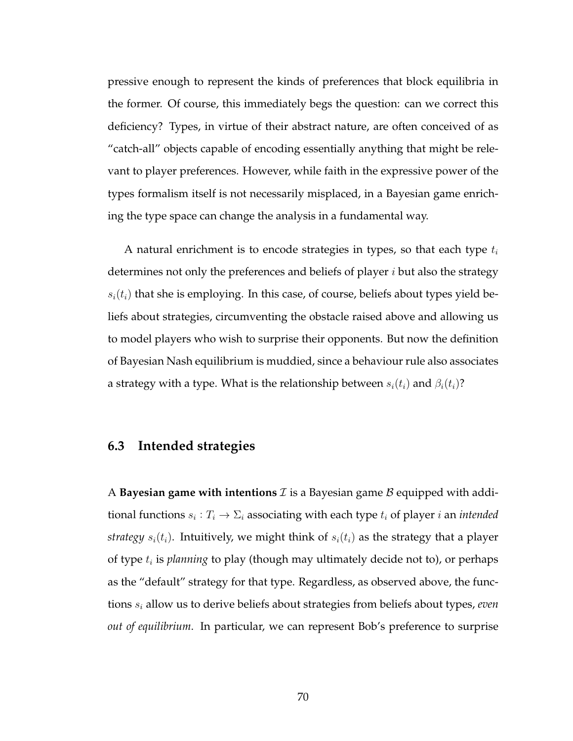pressive enough to represent the kinds of preferences that block equilibria in the former. Of course, this immediately begs the question: can we correct this deficiency? Types, in virtue of their abstract nature, are often conceived of as "catch-all" objects capable of encoding essentially anything that might be relevant to player preferences. However, while faith in the expressive power of the types formalism itself is not necessarily misplaced, in a Bayesian game enriching the type space can change the analysis in a fundamental way.

A natural enrichment is to encode strategies in types, so that each type  $t_i$ determines not only the preferences and beliefs of player  $i$  but also the strategy  $s_i(t_i)$  that she is employing. In this case, of course, beliefs about types yield beliefs about strategies, circumventing the obstacle raised above and allowing us to model players who wish to surprise their opponents. But now the definition of Bayesian Nash equilibrium is muddied, since a behaviour rule also associates a strategy with a type. What is the relationship between  $s_i(t_i)$  and  $\beta_i(t_i)$ ?

### **6.3 Intended strategies**

A **Bayesian game with intentions**  $\mathcal I$  is a Bayesian game  $\mathcal B$  equipped with additional functions  $s_i: T_i \to \Sigma_i$  associating with each type  $t_i$  of player  $i$  an *intended strategy*  $s_i(t_i)$ . Intuitively, we might think of  $s_i(t_i)$  as the strategy that a player of type  $t_i$  is *planning* to play (though may ultimately decide not to), or perhaps as the "default" strategy for that type. Regardless, as observed above, the functions  $s_i$  allow us to derive beliefs about strategies from beliefs about types, *even out of equilibrium*. In particular, we can represent Bob's preference to surprise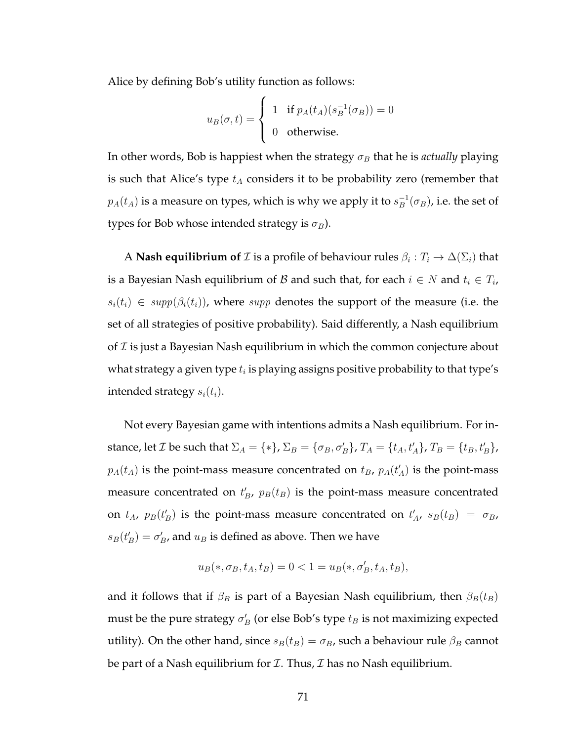Alice by defining Bob's utility function as follows:

$$
u_B(\sigma, t) = \begin{cases} 1 & \text{if } p_A(t_A)(s_B^{-1}(\sigma_B)) = 0\\ 0 & \text{otherwise.} \end{cases}
$$

In other words, Bob is happiest when the strategy  $\sigma_B$  that he is *actually* playing is such that Alice's type  $t_A$  considers it to be probability zero (remember that  $p_A(t_A)$  is a measure on types, which is why we apply it to  $s_B^{-1}$  $B^{-1}(\sigma_B)$ , i.e. the set of types for Bob whose intended strategy is  $\sigma_B$ ).

A **Nash equilibrium of**  $\mathcal I$  is a profile of behaviour rules  $\beta_i:T_i\to \Delta(\Sigma_i)$  that is a Bayesian Nash equilibrium of  ${\mathcal{B}}$  and such that, for each  $i\in N$  and  $t_i\in T_i$ ,  $s_i(t_i) \in supp(\beta_i(t_i))$ , where supp denotes the support of the measure (i.e. the set of all strategies of positive probability). Said differently, a Nash equilibrium of  $\mathcal I$  is just a Bayesian Nash equilibrium in which the common conjecture about what strategy a given type  $t_i$  is playing assigns positive probability to that type's intended strategy  $s_i(t_i)$ .

Not every Bayesian game with intentions admits a Nash equilibrium. For instance, let  $\mathcal I$  be such that  $\Sigma_A = \{ * \}, \Sigma_B = \{ \sigma_B, \sigma'_B \}, T_A = \{ t_A, t'_A \}, T_B = \{ t_B, t'_B \},$  $p_A(t_A)$  is the point-mass measure concentrated on  $t_B$ ,  $p_A(t'_A)$  is the point-mass measure concentrated on  $t_B'$ ,  $p_B(t_B)$  is the point-mass measure concentrated on  $t_A$ ,  $p_B(t'_B)$  is the point-mass measure concentrated on  $t'_A$ ,  $s_B(t_B) = \sigma_B$ ,  $s_B(t'_B) = \sigma'_B$ , and  $u_B$  is defined as above. Then we have

$$
u_B(*, \sigma_B, t_A, t_B) = 0 < 1 = u_B(*, \sigma'_B, t_A, t_B),
$$

and it follows that if  $\beta_B$  is part of a Bayesian Nash equilibrium, then  $\beta_B(t_B)$ must be the pure strategy  $\sigma_B'$  (or else Bob's type  $t_B$  is not maximizing expected utility). On the other hand, since  $s_B(t_B) = \sigma_B$ , such a behaviour rule  $\beta_B$  cannot be part of a Nash equilibrium for  $I$ . Thus,  $I$  has no Nash equilibrium.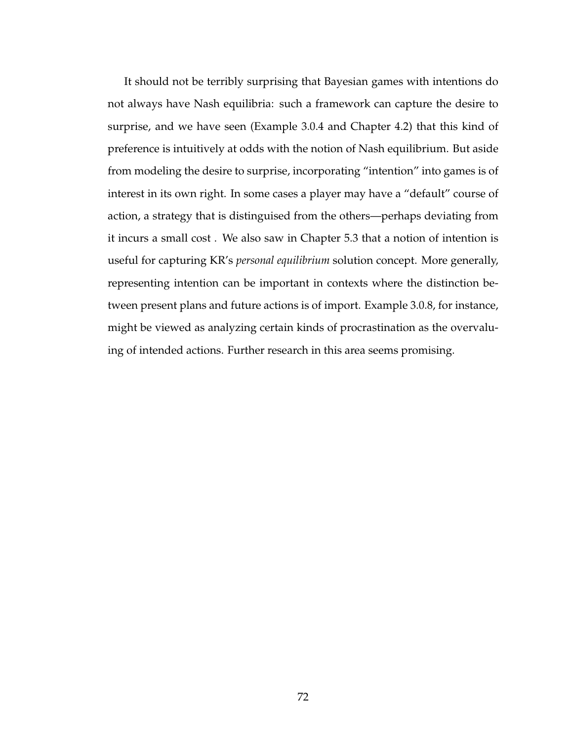It should not be terribly surprising that Bayesian games with intentions do not always have Nash equilibria: such a framework can capture the desire to surprise, and we have seen (Example 3.0.4 and Chapter 4.2) that this kind of preference is intuitively at odds with the notion of Nash equilibrium. But aside from modeling the desire to surprise, incorporating "intention" into games is of interest in its own right. In some cases a player may have a "default" course of action, a strategy that is distinguised from the others—perhaps deviating from it incurs a small cost . We also saw in Chapter 5.3 that a notion of intention is useful for capturing KR's *personal equilibrium* solution concept. More generally, representing intention can be important in contexts where the distinction between present plans and future actions is of import. Example 3.0.8, for instance, might be viewed as analyzing certain kinds of procrastination as the overvaluing of intended actions. Further research in this area seems promising.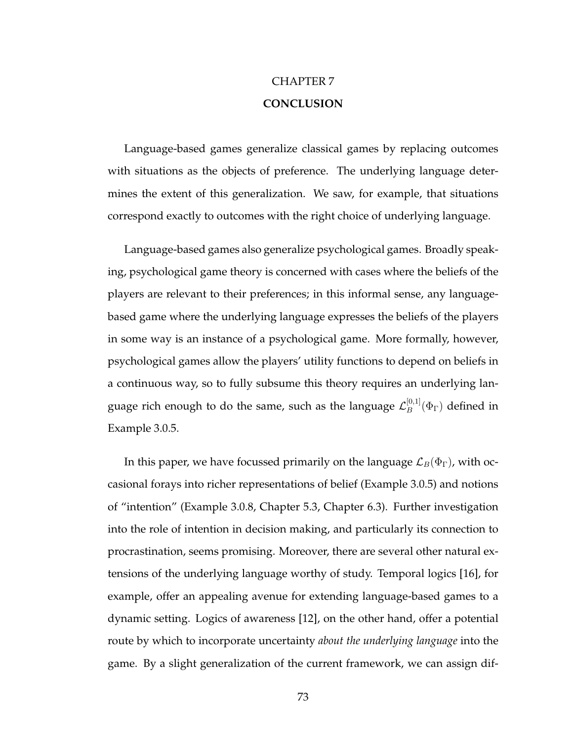# CHAPTER 7 **CONCLUSION**

Language-based games generalize classical games by replacing outcomes with situations as the objects of preference. The underlying language determines the extent of this generalization. We saw, for example, that situations correspond exactly to outcomes with the right choice of underlying language.

Language-based games also generalize psychological games. Broadly speaking, psychological game theory is concerned with cases where the beliefs of the players are relevant to their preferences; in this informal sense, any languagebased game where the underlying language expresses the beliefs of the players in some way is an instance of a psychological game. More formally, however, psychological games allow the players' utility functions to depend on beliefs in a continuous way, so to fully subsume this theory requires an underlying language rich enough to do the same, such as the language  ${\cal L}_B^{[0,1]}$  $B^{\scriptscriptstyle{[0,1]}}(\Phi_{\Gamma})$  defined in Example 3.0.5.

In this paper, we have focussed primarily on the language  $\mathcal{L}_B(\Phi_{\Gamma})$ , with occasional forays into richer representations of belief (Example 3.0.5) and notions of "intention" (Example 3.0.8, Chapter 5.3, Chapter 6.3). Further investigation into the role of intention in decision making, and particularly its connection to procrastination, seems promising. Moreover, there are several other natural extensions of the underlying language worthy of study. Temporal logics [16], for example, offer an appealing avenue for extending language-based games to a dynamic setting. Logics of awareness [12], on the other hand, offer a potential route by which to incorporate uncertainty *about the underlying language* into the game. By a slight generalization of the current framework, we can assign dif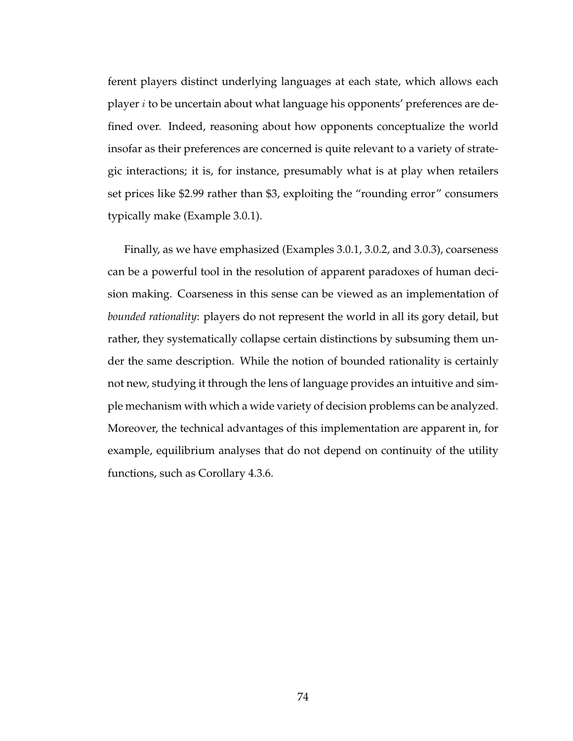ferent players distinct underlying languages at each state, which allows each player i to be uncertain about what language his opponents' preferences are defined over. Indeed, reasoning about how opponents conceptualize the world insofar as their preferences are concerned is quite relevant to a variety of strategic interactions; it is, for instance, presumably what is at play when retailers set prices like \$2.99 rather than \$3, exploiting the "rounding error" consumers typically make (Example 3.0.1).

Finally, as we have emphasized (Examples 3.0.1, 3.0.2, and 3.0.3), coarseness can be a powerful tool in the resolution of apparent paradoxes of human decision making. Coarseness in this sense can be viewed as an implementation of *bounded rationality*: players do not represent the world in all its gory detail, but rather, they systematically collapse certain distinctions by subsuming them under the same description. While the notion of bounded rationality is certainly not new, studying it through the lens of language provides an intuitive and simple mechanism with which a wide variety of decision problems can be analyzed. Moreover, the technical advantages of this implementation are apparent in, for example, equilibrium analyses that do not depend on continuity of the utility functions, such as Corollary 4.3.6.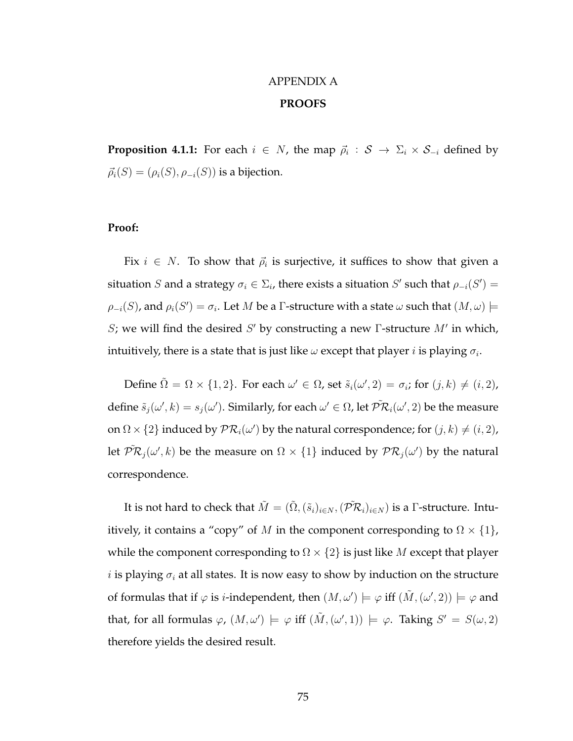## APPENDIX A **PROOFS**

**Proposition 4.1.1:** For each  $i \in N$ , the map  $\vec{\rho}_i : \mathcal{S} \to \Sigma_i \times \mathcal{S}_{-i}$  defined by  $\vec{\rho_i}(S) = (\rho_i(S), \rho_{-i}(S))$  is a bijection.

#### **Proof:**

Fix  $i \in N$ . To show that  $\vec{\rho}_i$  is surjective, it suffices to show that given a situation S and a strategy  $\sigma_i \in \Sigma_i$ , there exists a situation S' such that  $\rho_{-i}(S') =$  $\rho_{-i}(S)$ , and  $\rho_i(S') = \sigma_i$ . Let  $M$  be a  $\Gamma$ -structure with a state  $\omega$  such that  $(M, \omega) \models$ S; we will find the desired S' by constructing a new  $\Gamma$ -structure  $M'$  in which, intuitively, there is a state that is just like  $\omega$  except that player  $i$  is playing  $\sigma_i.$ 

Define  $\tilde{\Omega} = \Omega \times \{1,2\}$ . For each  $\omega' \in \Omega$ , set  $\tilde{s}_i(\omega',2) = \sigma_i$ ; for  $(j,k) \neq (i,2)$ , define  $\tilde{s}_j(\omega',k)=s_j(\omega').$  Similarly, for each  $\omega'\in \Omega$ , let  $\tilde{\mathcal{PR}}_i(\omega',2)$  be the measure on  $\Omega \times \{2\}$  induced by  $\mathcal{PR}_i(\omega')$  by the natural correspondence; for  $(j,k) \neq (i, 2)$ , let  $\mathcal{\tilde{PR}}_j(\omega',k)$  be the measure on  $\Omega\times\{1\}$  induced by  $\mathcal{PR}_j(\omega')$  by the natural correspondence.

It is not hard to check that  $\tilde{M}=(\tilde{\Omega},(\tilde{s}_i)_{i\in N},(\tilde{\mathcal{PR}}_i)_{i\in N})$  is a  $\Gamma$ -structure. Intuitively, it contains a "copy" of M in the component corresponding to  $\Omega \times \{1\}$ , while the component corresponding to  $\Omega \times \{2\}$  is just like M except that player *i* is playing  $\sigma_i$  at all states. It is now easy to show by induction on the structure of formulas that if  $\varphi$  is *i*-independent, then  $(M,\omega')\models \varphi$  iff  $(\tilde{M}, (\omega', 2))\models \varphi$  and that, for all formulas  $\varphi$ ,  $(M, \omega') \models \varphi$  iff  $(\tilde{M}, (\omega', 1)) \models \varphi$ . Taking  $S' = S(\omega, 2)$ therefore yields the desired result.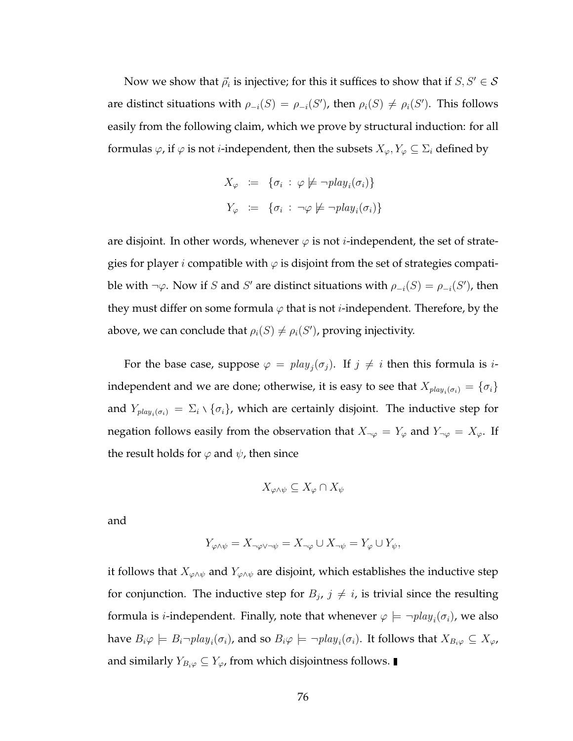Now we show that  $\vec{\rho}_i$  is injective; for this it suffices to show that if  $S, S' \in \mathcal{S}$ are distinct situations with  $\rho_{-i}(S) = \rho_{-i}(S')$ , then  $\rho_i(S) \neq \rho_i(S')$ . This follows easily from the following claim, which we prove by structural induction: for all formulas  $\varphi$ , if  $\varphi$  is not *i*-independent, then the subsets  $X_{\varphi}, Y_{\varphi} \subseteq \Sigma_i$  defined by

$$
X_{\varphi} := \{ \sigma_i : \varphi \not\models \neg play_i(\sigma_i) \}
$$
  

$$
Y_{\varphi} := \{ \sigma_i : \neg \varphi \not\models \neg play_i(\sigma_i) \}
$$

are disjoint. In other words, whenever  $\varphi$  is not *i*-independent, the set of strategies for player *i* compatible with  $\varphi$  is disjoint from the set of strategies compatible with  $\neg \varphi$ . Now if S and S' are distinct situations with  $\rho_{-i}(S) = \rho_{-i}(S')$ , then they must differ on some formula  $\varphi$  that is not *i*-independent. Therefore, by the above, we can conclude that  $\rho_i(S) \neq \rho_i(S')$ , proving injectivity.

For the base case, suppose  $\varphi = \text{play}_j(\sigma_j)$ . If  $j \neq i$  then this formula is *i*independent and we are done; otherwise, it is easy to see that  $X_{play_i(\sigma_i)} = \{\sigma_i\}$ and  $Y_{play_i(\sigma_i)} = \Sigma_i \setminus {\sigma_i}$ , which are certainly disjoint. The inductive step for negation follows easily from the observation that  $X_{\neg \varphi} = Y_{\varphi}$  and  $Y_{\neg \varphi} = X_{\varphi}$ . If the result holds for  $\varphi$  and  $\psi$ , then since

$$
X_{\varphi \wedge \psi} \subseteq X_{\varphi} \cap X_{\psi}
$$

and

$$
Y_{\varphi \wedge \psi} = X_{\neg \varphi \vee \neg \psi} = X_{\neg \varphi} \cup X_{\neg \psi} = Y_{\varphi} \cup Y_{\psi},
$$

it follows that  $X_{\varphi \land \psi}$  and  $Y_{\varphi \land \psi}$  are disjoint, which establishes the inductive step for conjunction. The inductive step for  $B_j$ ,  $j \neq i$ , is trivial since the resulting formula is *i*-independent. Finally, note that whenever  $\varphi \models \neg \textit{play}_i(\sigma_i)$ , we also have  $B_i\varphi\models B_i\neg play_i(\sigma_i)$ , and so  $B_i\varphi\models \neg play_i(\sigma_i).$  It follows that  $X_{B_i\varphi}\subseteq X_\varphi$ , and similarly  $Y_{B_i\varphi} \subseteq Y_{\varphi}$ , from which disjointness follows. ■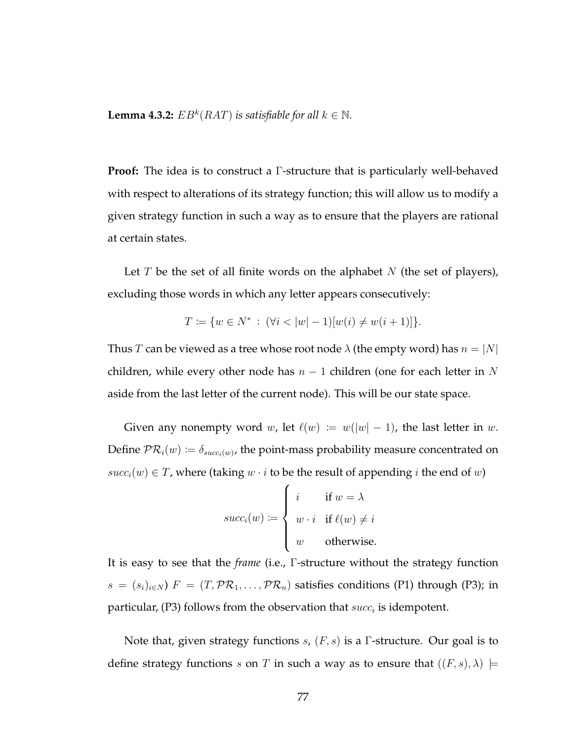**Lemma 4.3.2:**  $EB^k(RAT)$  *is satisfiable for all*  $k \in \mathbb{N}$ *.* 

**Proof:** The idea is to construct a Γ-structure that is particularly well-behaved with respect to alterations of its strategy function; this will allow us to modify a given strategy function in such a way as to ensure that the players are rational at certain states.

Let  $T$  be the set of all finite words on the alphabet  $N$  (the set of players), excluding those words in which any letter appears consecutively:

$$
T := \{ w \in N^* \, : \, (\forall i < |w| - 1)[w(i) \neq w(i+1)] \}.
$$

Thus T can be viewed as a tree whose root node  $\lambda$  (the empty word) has  $n = |N|$ children, while every other node has  $n-1$  children (one for each letter in N aside from the last letter of the current node). This will be our state space.

Given any nonempty word w, let  $\ell(w) := w(|w| - 1)$ , the last letter in w. Define  $\mathcal{PR}_i(w) \coloneqq \delta_{succ_i(w)}$ , the point-mass probability measure concentrated on  $succ_i(w) \in T$ , where (taking  $w \cdot i$  to be the result of appending i the end of w)

$$
succ_i(w) := \begin{cases} i & \text{if } w = \lambda \\ w \cdot i & \text{if } \ell(w) \neq i \\ w & \text{otherwise.} \end{cases}
$$

It is easy to see that the *frame* (i.e., Γ-structure without the strategy function  $s = (s_i)_{i \in N}$ )  $F = (T, \mathcal{PR}_1, \ldots, \mathcal{PR}_n)$  satisfies conditions (P1) through (P3); in particular, (P3) follows from the observation that  $succ_i$  is idempotent.

Note that, given strategy functions s,  $(F, s)$  is a  $\Gamma$ -structure. Our goal is to define strategy functions s on T in such a way as to ensure that  $((F, s), \lambda) \models$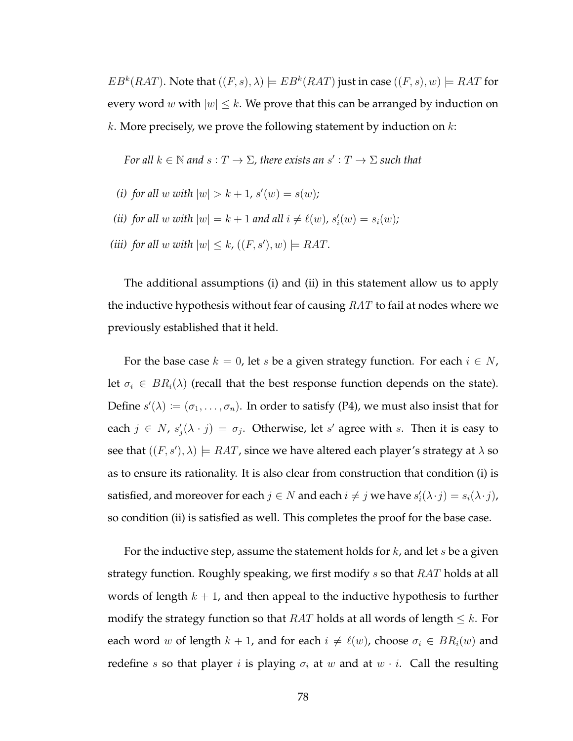$EB^k(RAT)$ . Note that  $((F, s), \lambda) \models EB^k(RAT)$  just in case  $((F, s), w) \models RAT$  for every word w with  $|w| \leq k$ . We prove that this can be arranged by induction on  $k$ . More precisely, we prove the following statement by induction on  $k$ :

*For all*  $k \in \mathbb{N}$  *and*  $s: T \to \Sigma$ , there exists an  $s': T \to \Sigma$  such that

- (*i*) for all w with  $|w| > k + 1$ ,  $s'(w) = s(w)$ ;
- *(ii) for all*  $w$  *with*  $|w| = k + 1$  *and all*  $i \neq \ell(w)$ *,*  $s'_i(w) = s_i(w)$ *;*
- *(iii) for all* w with  $|w| \leq k$ ,  $((F, s'), w) \models RAT$ .

The additional assumptions (i) and (ii) in this statement allow us to apply the inductive hypothesis without fear of causing  $RAT$  to fail at nodes where we previously established that it held.

For the base case  $k = 0$ , let s be a given strategy function. For each  $i \in N$ , let  $\sigma_i \in BR_i(\lambda)$  (recall that the best response function depends on the state). Define  $s'(\lambda) \coloneqq (\sigma_1, \ldots, \sigma_n)$ . In order to satisfy (P4), we must also insist that for each  $j \in N$ ,  $s'_j(\lambda \cdot j) = \sigma_j$ . Otherwise, let s' agree with s. Then it is easy to see that  $((F, s'), \lambda) \models RAT$ , since we have altered each player's strategy at  $\lambda$  so as to ensure its rationality. It is also clear from construction that condition (i) is satisfied, and moreover for each  $j \in N$  and each  $i \neq j$  we have  $s_i'(\lambda \cdot j) = s_i(\lambda \cdot j)$ , so condition (ii) is satisfied as well. This completes the proof for the base case.

For the inductive step, assume the statement holds for  $k$ , and let  $s$  be a given strategy function. Roughly speaking, we first modify s so that RAT holds at all words of length  $k + 1$ , and then appeal to the inductive hypothesis to further modify the strategy function so that  $RAT$  holds at all words of length  $\leq k$ . For each word w of length  $k + 1$ , and for each  $i \neq \ell(w)$ , choose  $\sigma_i \in BR_i(w)$  and redefine s so that player i is playing  $\sigma_i$  at w and at  $w \cdot i$ . Call the resulting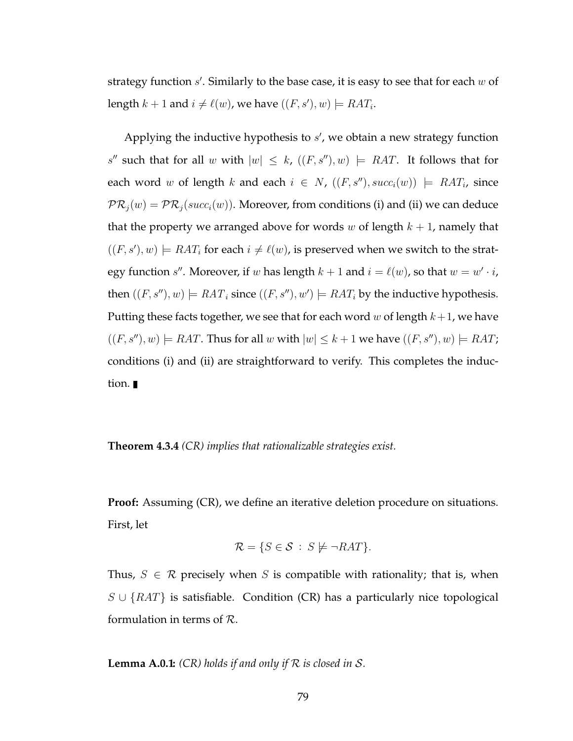strategy function  $s'$ . Similarly to the base case, it is easy to see that for each  $w$  of length  $k + 1$  and  $i \neq \ell(w)$ , we have  $((F, s'), w) \models RAT_i$ .

Applying the inductive hypothesis to  $s'$ , we obtain a new strategy function s'' such that for all w with  $|w| \leq k$ ,  $((F, s''), w) \models RAT$ . It follows that for each word w of length k and each  $i \in N$ ,  $((F, s''), succ_i(w)) \models RAT_i$ , since  $PR_i(w) = PR_i(succ_i(w))$ . Moreover, from conditions (i) and (ii) we can deduce that the property we arranged above for words w of length  $k + 1$ , namely that  $((F, s'), w) \models RAT_i$  for each  $i \neq \ell(w)$ , is preserved when we switch to the strategy function  $s''$ . Moreover, if w has length  $k + 1$  and  $i = \ell(w)$ , so that  $w = w' \cdot i$ , then  $((F, s''), w) \models RAT_i$  since  $((F, s''), w') \models RAT_i$  by the inductive hypothesis. Putting these facts together, we see that for each word w of length  $k+1$ , we have  $((F, s''), w) \models RAT$ . Thus for all w with  $|w| \leq k+1$  we have  $((F, s''), w) \models RAT$ ; conditions (i) and (ii) are straightforward to verify. This completes the induction.

**Theorem 4.3.4** *(CR) implies that rationalizable strategies exist.*

**Proof:** Assuming (CR), we define an iterative deletion procedure on situations. First, let

$$
\mathcal{R} = \{ S \in \mathcal{S} \, : \, S \not\models \neg RAT \}.
$$

Thus,  $S \in \mathcal{R}$  precisely when S is compatible with rationality; that is, when  $S \cup \{RAT\}$  is satisfiable. Condition (CR) has a particularly nice topological formulation in terms of R.

**Lemma A.0.1:** *(CR) holds if and only if* R *is closed in* S*.*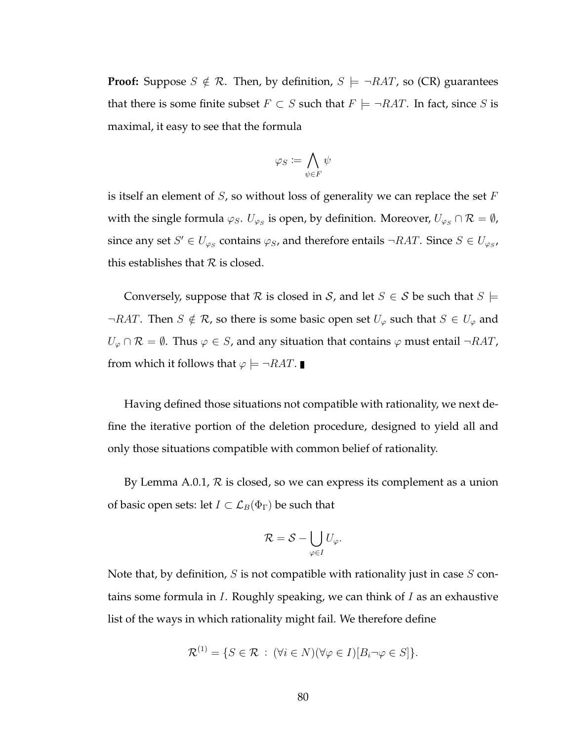**Proof:** Suppose  $S \notin \mathcal{R}$ . Then, by definition,  $S \models \neg RAT$ , so (CR) guarantees that there is some finite subset  $F \subset S$  such that  $F \models \neg RAT$ . In fact, since S is maximal, it easy to see that the formula

$$
\varphi_S\coloneqq\bigwedge_{\psi\in F}\psi
$$

is itself an element of  $S$ , so without loss of generality we can replace the set  $F$ with the single formula  $\varphi_S.$   $U_{\varphi_S}$  is open, by definition. Moreover,  $U_{\varphi_S} \cap \mathcal{R} = \emptyset$ , since any set  $S' \in U_{\varphi_S}$  contains  $\varphi_S$ , and therefore entails  $\neg RAT$ . Since  $S \in U_{\varphi_S}$ , this establishes that  $R$  is closed.

Conversely, suppose that R is closed in S, and let  $S \in S$  be such that  $S \models$  $\neg RAT$ . Then  $S \notin \mathcal{R}$ , so there is some basic open set  $U_{\varphi}$  such that  $S \in U_{\varphi}$  and  $U_{\varphi} \cap \mathcal{R} = \emptyset$ . Thus  $\varphi \in S$ , and any situation that contains  $\varphi$  must entail  $\neg RAT$ , from which it follows that  $\varphi \models \neg RAT$ .

Having defined those situations not compatible with rationality, we next define the iterative portion of the deletion procedure, designed to yield all and only those situations compatible with common belief of rationality.

By Lemma A.0.1,  $R$  is closed, so we can express its complement as a union of basic open sets: let  $I \subset \mathcal{L}_B(\Phi_{\Gamma})$  be such that

$$
\mathcal{R} = \mathcal{S} - \bigcup_{\varphi \in I} U_\varphi.
$$

Note that, by definition, S is not compatible with rationality just in case  $S$  contains some formula in  $I$ . Roughly speaking, we can think of  $I$  as an exhaustive list of the ways in which rationality might fail. We therefore define

$$
\mathcal{R}^{(1)} = \{ S \in \mathcal{R} : (\forall i \in N)(\forall \varphi \in I)[B_i \neg \varphi \in S] \}.
$$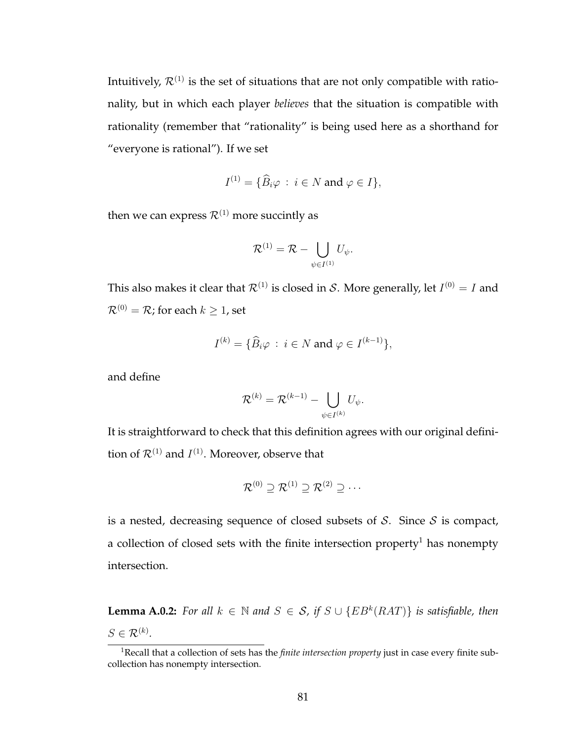Intuitively,  $\mathcal{R}^{(1)}$  is the set of situations that are not only compatible with rationality, but in which each player *believes* that the situation is compatible with rationality (remember that "rationality" is being used here as a shorthand for "everyone is rational"). If we set

$$
I^{(1)} = \{ \widehat{B}_i \varphi \, : \, i \in N \text{ and } \varphi \in I \},
$$

then we can express  $\mathcal{R}^{(1)}$  more succintly as

$$
\mathcal{R}^{(1)} = \mathcal{R} - \bigcup_{\psi \in I^{(1)}} U_{\psi}.
$$

This also makes it clear that  $\mathcal{R}^{(1)}$  is closed in S. More generally, let  $I^{(0)}=I$  and  $\mathcal{R}^{(0)}=\mathcal{R}$  ; for each  $k\geq 1$  , set

$$
I^{(k)} = \{ \widehat{B}_i \varphi : i \in N \text{ and } \varphi \in I^{(k-1)} \},
$$

and define

$$
\mathcal{R}^{(k)} = \mathcal{R}^{(k-1)} - \bigcup_{\psi \in I^{(k)}} U_{\psi}.
$$

It is straightforward to check that this definition agrees with our original definition of  $\mathcal{R}^{(1)}$  and  $I^{(1)}$ . Moreover, observe that

$$
\mathcal{R}^{(0)} \supseteq \mathcal{R}^{(1)} \supseteq \mathcal{R}^{(2)} \supseteq \cdots
$$

is a nested, decreasing sequence of closed subsets of  $S$ . Since  $S$  is compact, a collection of closed sets with the finite intersection property<sup>1</sup> has nonempty intersection.

**Lemma A.0.2:** *For all*  $k \in \mathbb{N}$  *and*  $S \in S$ , *if*  $S \cup \{EB^k(RAT)\}$  *is satisfiable, then*  $S \in \mathcal{R}^{(k)}$ .

<sup>1</sup>Recall that a collection of sets has the *finite intersection property* just in case every finite subcollection has nonempty intersection.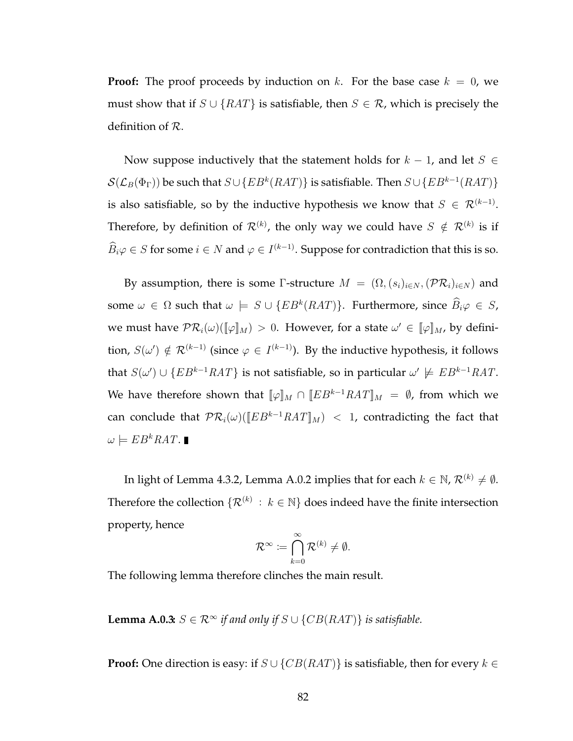**Proof:** The proof proceeds by induction on k. For the base case  $k = 0$ , we must show that if  $S \cup \{RAT\}$  is satisfiable, then  $S \in \mathcal{R}$ , which is precisely the definition of R.

Now suppose inductively that the statement holds for  $k - 1$ , and let  $S \in$  $\mathcal{S}(\mathcal{L}_B(\Phi_\Gamma))$  be such that  $S\cup\{EB^k(RAT)\}$  is satisfiable. Then  $S\cup\{EB^{k-1}(RAT)\}$ is also satisfiable, so by the inductive hypothesis we know that  $S \in \mathcal{R}^{(k-1)}$ . Therefore, by definition of  $\mathcal{R}^{(k)}$ , the only way we could have  $S \notin \mathcal{R}^{(k)}$  is if  $\widehat{B}_i\varphi \in S$  for some  $i \in N$  and  $\varphi \in I^{(k-1)}$ . Suppose for contradiction that this is so.

By assumption, there is some Γ-structure  $M = (\Omega, (s_i)_{i \in N}, (\mathcal{PR}_i)_{i \in N})$  and some  $\omega \in \Omega$  such that  $\omega \models S \cup \{EB^k(RAT)\}$ . Furthermore, since  $\widehat{B}_i\varphi \in S$ , we must have  $\mathcal{PR}_i(\omega)(\llbracket \varphi \rrbracket_M) > 0$ . However, for a state  $\omega' \in [\varphi]_M$ , by definition,  $S(\omega') \notin \mathcal{R}^{(k-1)}$  (since  $\varphi \in I^{(k-1)}$ ). By the inductive hypothesis, it follows that  $S(\omega') \cup \{EB^{k-1}RAT\}$  is not satisfiable, so in particular  $\omega' \not\models EB^{k-1}RAT$ . We have therefore shown that  $[\varphi]_M \cap [EB^{k-1}RAT]_M = \emptyset$ , from which we can conclude that  $PR_i(\omega)([EB^{k-1}RAT]_M)$  < 1, contradicting the fact that  $\omega \models EB^kRAT.$ 

In light of Lemma 4.3.2, Lemma A.0.2 implies that for each  $k \in \mathbb{N}$ ,  $\mathcal{R}^{(k)} \neq \emptyset$ . Therefore the collection  $\{\mathcal{R}^{(k)} : k \in \mathbb{N}\}$  does indeed have the finite intersection property, hence

$$
\mathcal{R}^{\infty} \coloneqq \bigcap_{k=0}^{\infty} \mathcal{R}^{(k)} \neq \emptyset.
$$

The following lemma therefore clinches the main result.

**Lemma A.0.3:**  $S \in \mathbb{R}^{\infty}$  *if and only if*  $S \cup \{CB(RAT)\}\$  *is satisfiable.* 

**Proof:** One direction is easy: if  $S \cup \{CB(RAT)\}\$ is satisfiable, then for every  $k \in$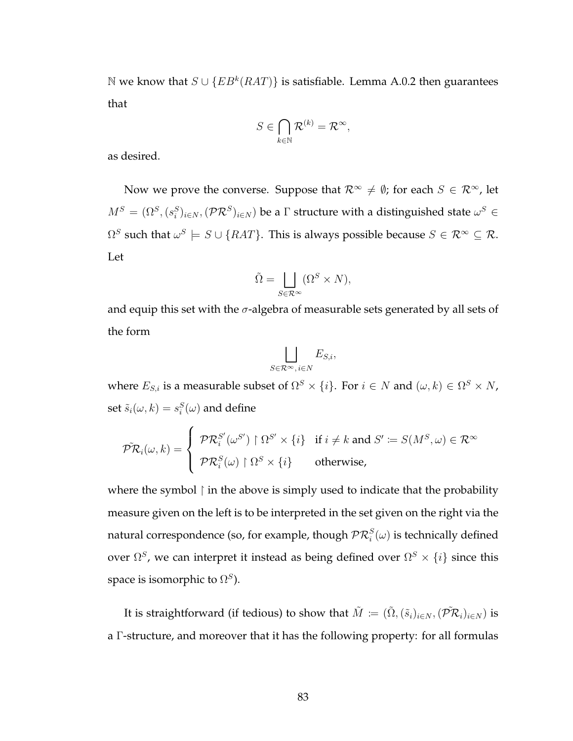N we know that  $S ∪ {EB<sup>k</sup>(RAT)}$  is satisfiable. Lemma A.0.2 then guarantees that

$$
S\in \bigcap_{k\in\mathbb{N}}\mathcal{R}^{(k)}=\mathcal{R}^\infty,
$$

as desired.

Now we prove the converse. Suppose that  $\mathcal{R}^{\infty} \neq \emptyset$ ; for each  $S \in \mathcal{R}^{\infty}$ , let  $M^S=(\Omega^S, (s^S_i)_{i\in N}, (\mathcal{PR}^S)_{i\in N})$  be a  $\Gamma$  structure with a distinguished state  $\omega^S\in$  $\Omega^S$  such that  $\omega^S \models S \cup \{RAT\}.$  This is always possible because  $S \in \mathcal{R}^\infty \subseteq \mathcal{R}.$ Let

$$
\tilde{\Omega} = \bigsqcup_{S \in \mathcal{R}^{\infty}} (\Omega^S \times N),
$$

and equip this set with the  $\sigma$ -algebra of measurable sets generated by all sets of the form

$$
\bigsqcup_{S \in \mathcal{R}^{\infty}, i \in N} E_{S,i},
$$

where  $E_{S,i}$  is a measurable subset of  $\Omega^S\times\{i\}$ . For  $i\in N$  and  $(\omega,k)\in\Omega^S\times N$ , set  $\tilde{s}_i(\omega,k) = s_i^S(\omega)$  and define

$$
\tilde{\mathcal{PR}}_i(\omega, k) = \begin{cases} \mathcal{PR}_i^{S'}(\omega^{S'}) \upharpoonright \Omega^{S'} \times \{i\} & \text{if } i \neq k \text{ and } S' \coloneqq S(M^S, \omega) \in \mathcal{R}^{\infty} \\ \mathcal{PR}_i^{S}(\omega) \upharpoonright \Omega^S \times \{i\} & \text{otherwise,} \end{cases}
$$

where the symbol  $\upharpoonright$  in the above is simply used to indicate that the probability measure given on the left is to be interpreted in the set given on the right via the natural correspondence (so, for example, though  $\mathcal{PR}_i^S(\omega)$  is technically defined over  $\Omega^S$ , we can interpret it instead as being defined over  $\Omega^S \times \{i\}$  since this space is isomorphic to  $\Omega^S$ ).

It is straightforward (if tedious) to show that  $\tilde{M}\coloneqq(\tilde{\Omega},(\tilde{s}_i)_{i\in N},(\tilde{\mathcal{PR}}_i)_{i\in N})$  is a Γ-structure, and moreover that it has the following property: for all formulas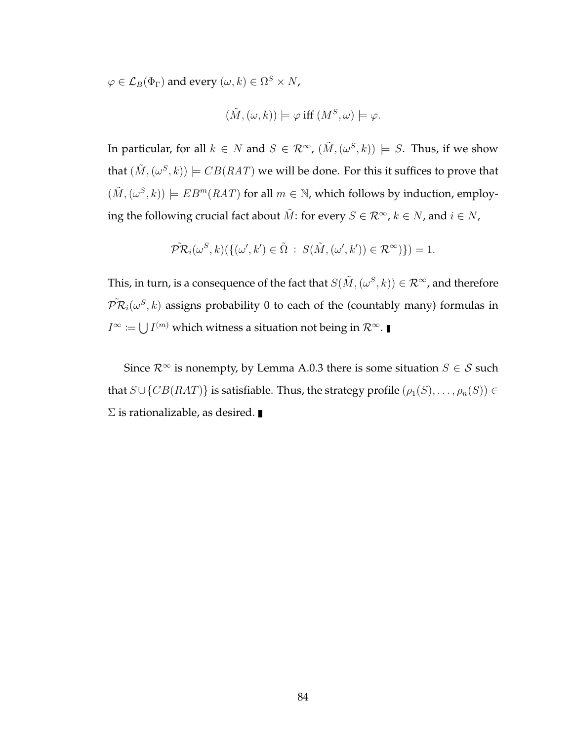$\varphi \in \mathcal{L}_B(\Phi_\Gamma)$  and every  $(\omega, k) \in \Omega^S \times N$ ,

$$
(\tilde{M}, (\omega, k)) \models \varphi \text{ iff } (M^S, \omega) \models \varphi.
$$

In particular, for all  $k \in N$  and  $S \in \mathcal{R}^{\infty}$ ,  $(\tilde{M}, (\omega^S, k)) \models S$ . Thus, if we show that  $(\tilde{M}, (\omega^{S}, k)) \models CB(RAT)$  we will be done. For this it suffices to prove that  $(\tilde{M}, (\omega^S, k)) \models EB^m(RAT)$  for all  $m \in \mathbb{N}$ , which follows by induction, employing the following crucial fact about  $\tilde{M}$ : for every  $S \in \mathcal{R}^{\infty}$ ,  $k \in N$ , and  $i \in N$ ,

$$
\tilde{\mathcal{PR}}_i(\omega^S, k) (\{(\omega', k') \in \tilde{\Omega} : S(\tilde{M}, (\omega', k')) \in \mathcal{R}^{\infty})\}) = 1.
$$

This, in turn, is a consequence of the fact that  $S(\tilde M, (\omega^S, k)) \in \mathcal{R}^\infty$ , and therefore  $\tilde{\mathcal{PR}}_i(\omega^S,k)$  assigns probability 0 to each of the (countably many) formulas in  $I^\infty \coloneqq \bigcup I^{(m)}$  which witness a situation not being in  $\mathcal{R}^\infty.$ 

Since  $\mathcal{R}^{\infty}$  is nonempty, by Lemma A.0.3 there is some situation  $S \in \mathcal{S}$  such that  $S \cup \{CB(RAT)\}\$ is satisfiable. Thus, the strategy profile  $(\rho_1(S), \ldots, \rho_n(S)) \in$  $\Sigma$  is rationalizable, as desired.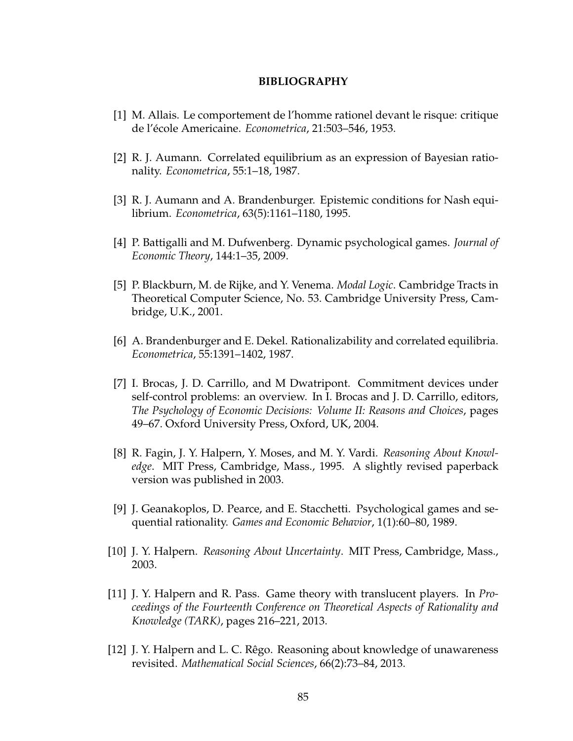#### **BIBLIOGRAPHY**

- [1] M. Allais. Le comportement de l'homme rationel devant le risque: critique de l'école Americaine. *Econometrica*, 21:503–546, 1953.
- [2] R. J. Aumann. Correlated equilibrium as an expression of Bayesian rationality. *Econometrica*, 55:1–18, 1987.
- [3] R. J. Aumann and A. Brandenburger. Epistemic conditions for Nash equilibrium. *Econometrica*, 63(5):1161–1180, 1995.
- [4] P. Battigalli and M. Dufwenberg. Dynamic psychological games. *Journal of Economic Theory*, 144:1–35, 2009.
- [5] P. Blackburn, M. de Rijke, and Y. Venema. *Modal Logic*. Cambridge Tracts in Theoretical Computer Science, No. 53. Cambridge University Press, Cambridge, U.K., 2001.
- [6] A. Brandenburger and E. Dekel. Rationalizability and correlated equilibria. *Econometrica*, 55:1391–1402, 1987.
- [7] I. Brocas, J. D. Carrillo, and M Dwatripont. Commitment devices under self-control problems: an overview. In I. Brocas and J. D. Carrillo, editors, *The Psychology of Economic Decisions: Volume II: Reasons and Choices*, pages 49–67. Oxford University Press, Oxford, UK, 2004.
- [8] R. Fagin, J. Y. Halpern, Y. Moses, and M. Y. Vardi. *Reasoning About Knowledge*. MIT Press, Cambridge, Mass., 1995. A slightly revised paperback version was published in 2003.
- [9] J. Geanakoplos, D. Pearce, and E. Stacchetti. Psychological games and sequential rationality. *Games and Economic Behavior*, 1(1):60–80, 1989.
- [10] J. Y. Halpern. *Reasoning About Uncertainty*. MIT Press, Cambridge, Mass., 2003.
- [11] J. Y. Halpern and R. Pass. Game theory with translucent players. In *Proceedings of the Fourteenth Conference on Theoretical Aspects of Rationality and Knowledge (TARK)*, pages 216–221, 2013.
- [12] J. Y. Halpern and L. C. Rêgo. Reasoning about knowledge of unawareness revisited. *Mathematical Social Sciences*, 66(2):73–84, 2013.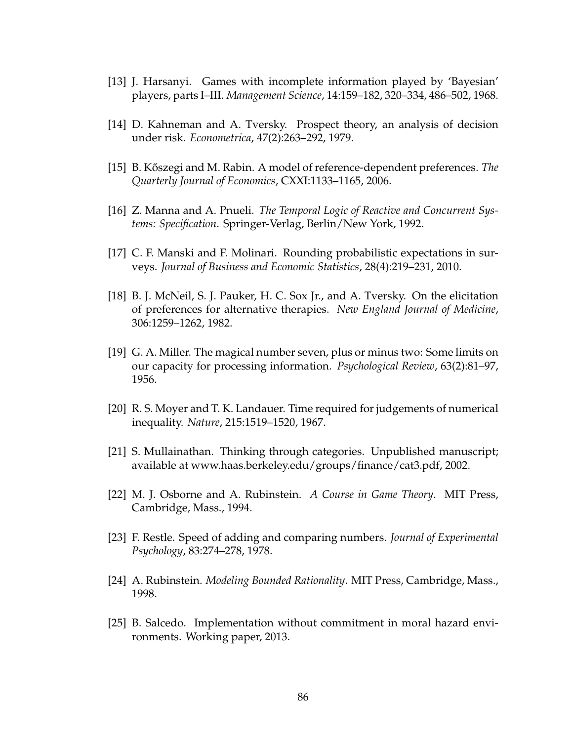- [13] J. Harsanyi. Games with incomplete information played by 'Bayesian' players, parts I–III. *Management Science*, 14:159–182, 320–334, 486–502, 1968.
- [14] D. Kahneman and A. Tversky. Prospect theory, an analysis of decision under risk. *Econometrica*, 47(2):263–292, 1979.
- [15] B. Koszegi and M. Rabin. A model of reference-dependent preferences. ˝ *The Quarterly Journal of Economics*, CXXI:1133–1165, 2006.
- [16] Z. Manna and A. Pnueli. *The Temporal Logic of Reactive and Concurrent Systems: Specification*. Springer-Verlag, Berlin/New York, 1992.
- [17] C. F. Manski and F. Molinari. Rounding probabilistic expectations in surveys. *Journal of Business and Economic Statistics*, 28(4):219–231, 2010.
- [18] B. J. McNeil, S. J. Pauker, H. C. Sox Jr., and A. Tversky. On the elicitation of preferences for alternative therapies. *New England Journal of Medicine*, 306:1259–1262, 1982.
- [19] G. A. Miller. The magical number seven, plus or minus two: Some limits on our capacity for processing information. *Psychological Review*, 63(2):81–97, 1956.
- [20] R. S. Moyer and T. K. Landauer. Time required for judgements of numerical inequality. *Nature*, 215:1519–1520, 1967.
- [21] S. Mullainathan. Thinking through categories. Unpublished manuscript; available at www.haas.berkeley.edu/groups/finance/cat3.pdf, 2002.
- [22] M. J. Osborne and A. Rubinstein. *A Course in Game Theory*. MIT Press, Cambridge, Mass., 1994.
- [23] F. Restle. Speed of adding and comparing numbers. *Journal of Experimental Psychology*, 83:274–278, 1978.
- [24] A. Rubinstein. *Modeling Bounded Rationality*. MIT Press, Cambridge, Mass., 1998.
- [25] B. Salcedo. Implementation without commitment in moral hazard environments. Working paper, 2013.